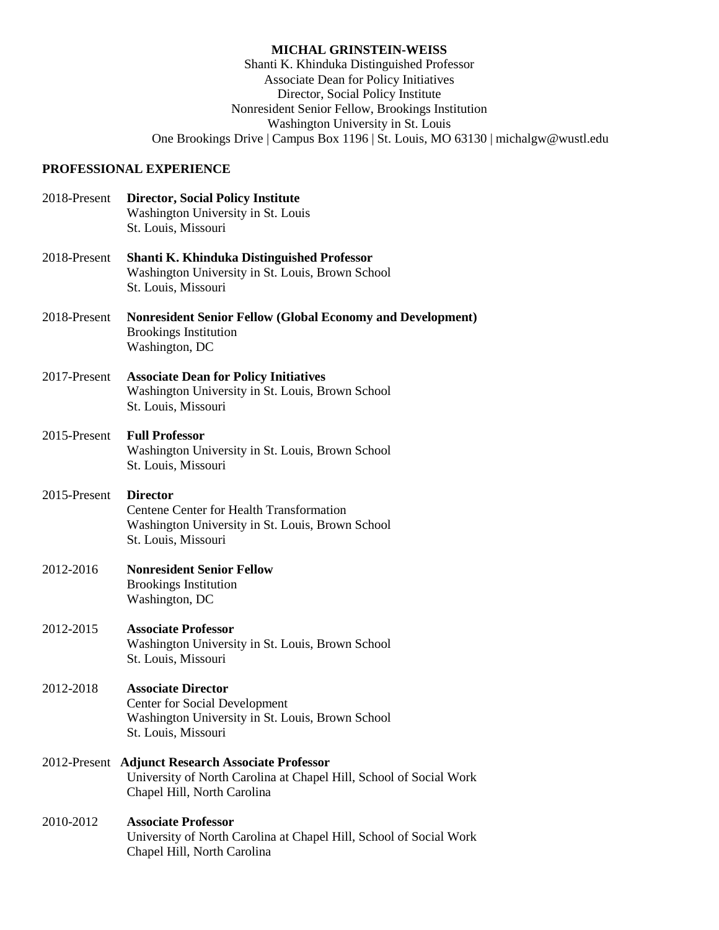#### **MICHAL GRINSTEIN-WEISS**

Shanti K. Khinduka Distinguished Professor Associate Dean for Policy Initiatives Director, Social Policy Institute Nonresident Senior Fellow, Brookings Institution Washington University in St. Louis One Brookings Drive | Campus Box 1196 | St. Louis, MO 63130 | michalgw@wustl.edu

## **PROFESSIONAL EXPERIENCE**

| 2018-Present | <b>Director, Social Policy Institute</b><br>Washington University in St. Louis<br>St. Louis, Missouri                                                  |
|--------------|--------------------------------------------------------------------------------------------------------------------------------------------------------|
| 2018-Present | <b>Shanti K. Khinduka Distinguished Professor</b><br>Washington University in St. Louis, Brown School<br>St. Louis, Missouri                           |
| 2018-Present | <b>Nonresident Senior Fellow (Global Economy and Development)</b><br><b>Brookings Institution</b><br>Washington, DC                                    |
| 2017-Present | <b>Associate Dean for Policy Initiatives</b><br>Washington University in St. Louis, Brown School<br>St. Louis, Missouri                                |
| 2015-Present | <b>Full Professor</b><br>Washington University in St. Louis, Brown School<br>St. Louis, Missouri                                                       |
| 2015-Present | <b>Director</b><br>Centene Center for Health Transformation<br>Washington University in St. Louis, Brown School<br>St. Louis, Missouri                 |
| 2012-2016    | <b>Nonresident Senior Fellow</b><br><b>Brookings Institution</b><br>Washington, DC                                                                     |
| 2012-2015    | <b>Associate Professor</b><br>Washington University in St. Louis, Brown School<br>St. Louis, Missouri                                                  |
| 2012-2018    | <b>Associate Director</b><br><b>Center for Social Development</b><br>Washington University in St. Louis, Brown School<br>St. Louis, Missouri           |
|              | 2012-Present Adjunct Research Associate Professor<br>University of North Carolina at Chapel Hill, School of Social Work<br>Chapel Hill, North Carolina |
| 2010-2012    | <b>Associate Professor</b><br>University of North Carolina at Chapel Hill, School of Social Work<br>Chapel Hill, North Carolina                        |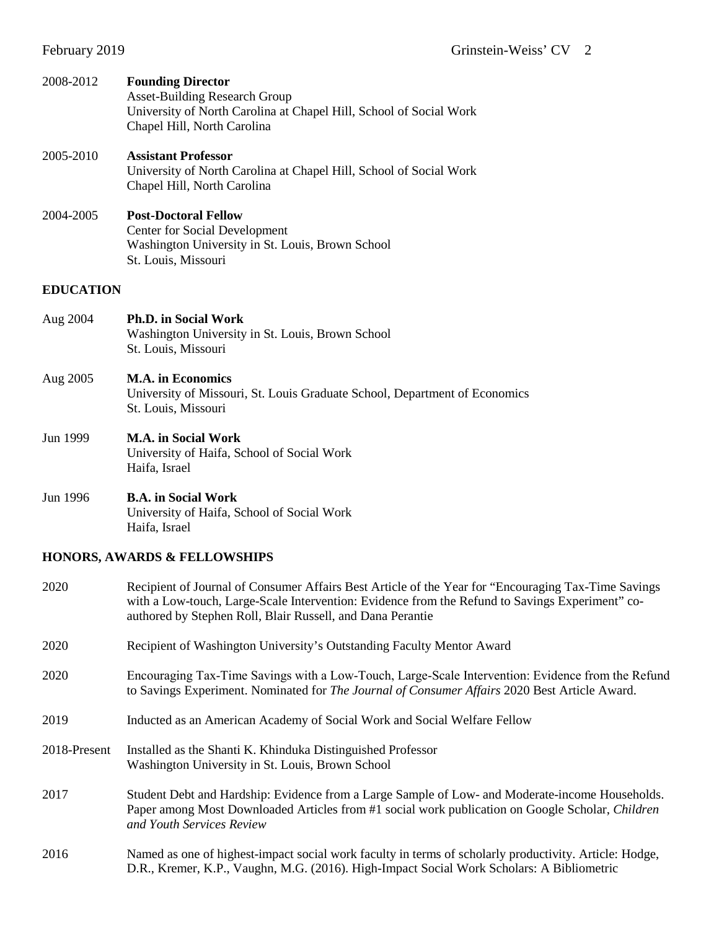| 2008-2012        | <b>Founding Director</b><br><b>Asset-Building Research Group</b><br>University of North Carolina at Chapel Hill, School of Social Work<br>Chapel Hill, North Carolina |
|------------------|-----------------------------------------------------------------------------------------------------------------------------------------------------------------------|
| 2005-2010        | <b>Assistant Professor</b><br>University of North Carolina at Chapel Hill, School of Social Work<br>Chapel Hill, North Carolina                                       |
| 2004-2005        | <b>Post-Doctoral Fellow</b><br>Center for Social Development<br>Washington University in St. Louis, Brown School<br>St. Louis, Missouri                               |
| <b>EDUCATION</b> |                                                                                                                                                                       |
| Aug 2004         | <b>Ph.D. in Social Work</b><br>Washington University in St. Louis, Brown School<br>St. Louis, Missouri                                                                |
| Aug 2005         | <b>M.A.</b> in Economics<br>University of Missouri, St. Louis Graduate School, Department of Economics<br>St. Louis, Missouri                                         |
| Jun 1999         | <b>M.A.</b> in Social Work<br>University of Haifa, School of Social Work<br>Haifa, Israel                                                                             |
| Jun 1996         | <b>B.A.</b> in Social Work<br>University of Haifa, School of Social Work<br>Haifa, Israel                                                                             |
|                  |                                                                                                                                                                       |

# **HONORS, AWARDS & FELLOWSHIPS**

| 2020         | Recipient of Journal of Consumer Affairs Best Article of the Year for "Encouraging Tax-Time Savings"<br>with a Low-touch, Large-Scale Intervention: Evidence from the Refund to Savings Experiment" co-<br>authored by Stephen Roll, Blair Russell, and Dana Perantie |
|--------------|-----------------------------------------------------------------------------------------------------------------------------------------------------------------------------------------------------------------------------------------------------------------------|
| 2020         | Recipient of Washington University's Outstanding Faculty Mentor Award                                                                                                                                                                                                 |
| 2020         | Encouraging Tax-Time Savings with a Low-Touch, Large-Scale Intervention: Evidence from the Refund<br>to Savings Experiment. Nominated for The Journal of Consumer Affairs 2020 Best Article Award.                                                                    |
| 2019         | Inducted as an American Academy of Social Work and Social Welfare Fellow                                                                                                                                                                                              |
| 2018-Present | Installed as the Shanti K. Khinduka Distinguished Professor<br>Washington University in St. Louis, Brown School                                                                                                                                                       |
| 2017         | Student Debt and Hardship: Evidence from a Large Sample of Low- and Moderate-income Households.<br>Paper among Most Downloaded Articles from #1 social work publication on Google Scholar, Children<br>and Youth Services Review                                      |
| 2016         | Named as one of highest-impact social work faculty in terms of scholarly productivity. Article: Hodge,<br>D.R., Kremer, K.P., Vaughn, M.G. (2016). High-Impact Social Work Scholars: A Bibliometric                                                                   |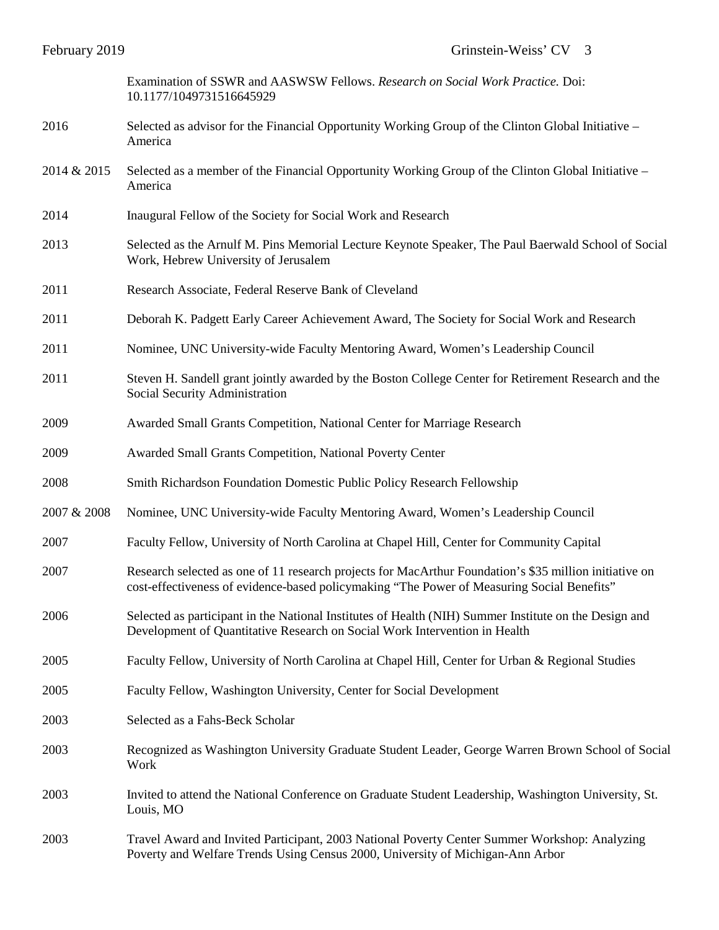Examination of SSWR and AASWSW Fellows. *Research on Social Work Practice.* Doi: 10.1177/1049731516645929

- 2016 Selected as advisor for the Financial Opportunity Working Group of the Clinton Global Initiative America
- 2014 & 2015 Selected as a member of the Financial Opportunity Working Group of the Clinton Global Initiative America
- 2014 Inaugural Fellow of the Society for Social Work and Research
- 2013 Selected as the Arnulf M. Pins Memorial Lecture Keynote Speaker, The Paul Baerwald School of Social Work, Hebrew University of Jerusalem
- 2011 Research Associate, Federal Reserve Bank of Cleveland
- 2011 Deborah K. Padgett Early Career Achievement Award, The Society for Social Work and Research
- 2011 Nominee, UNC University-wide Faculty Mentoring Award, Women's Leadership Council
- 2011 Steven H. Sandell grant jointly awarded by the Boston College Center for Retirement Research and the Social Security Administration
- 2009 Awarded Small Grants Competition, National Center for Marriage Research
- 2009 Awarded Small Grants Competition, National Poverty Center
- 2008 Smith Richardson Foundation Domestic Public Policy Research Fellowship
- 2007 & 2008 Nominee, UNC University-wide Faculty Mentoring Award, Women's Leadership Council
- 2007 Faculty Fellow, University of North Carolina at Chapel Hill, Center for Community Capital
- 2007 Research selected as one of 11 research projects for MacArthur Foundation's \$35 million initiative on cost-effectiveness of evidence-based policymaking "The Power of Measuring Social Benefits"
- 2006 Selected as participant in the National Institutes of Health (NIH) Summer Institute on the Design and Development of Quantitative Research on Social Work Intervention in Health
- 2005 Faculty Fellow, University of North Carolina at Chapel Hill, Center for Urban & Regional Studies
- 2005 Faculty Fellow, Washington University, Center for Social Development
- 2003 Selected as a Fahs-Beck Scholar
- 2003 Recognized as Washington University Graduate Student Leader, George Warren Brown School of Social Work
- 2003 Invited to attend the National Conference on Graduate Student Leadership, Washington University, St. Louis, MO
- 2003 Travel Award and Invited Participant, 2003 National Poverty Center Summer Workshop: Analyzing Poverty and Welfare Trends Using Census 2000, University of Michigan-Ann Arbor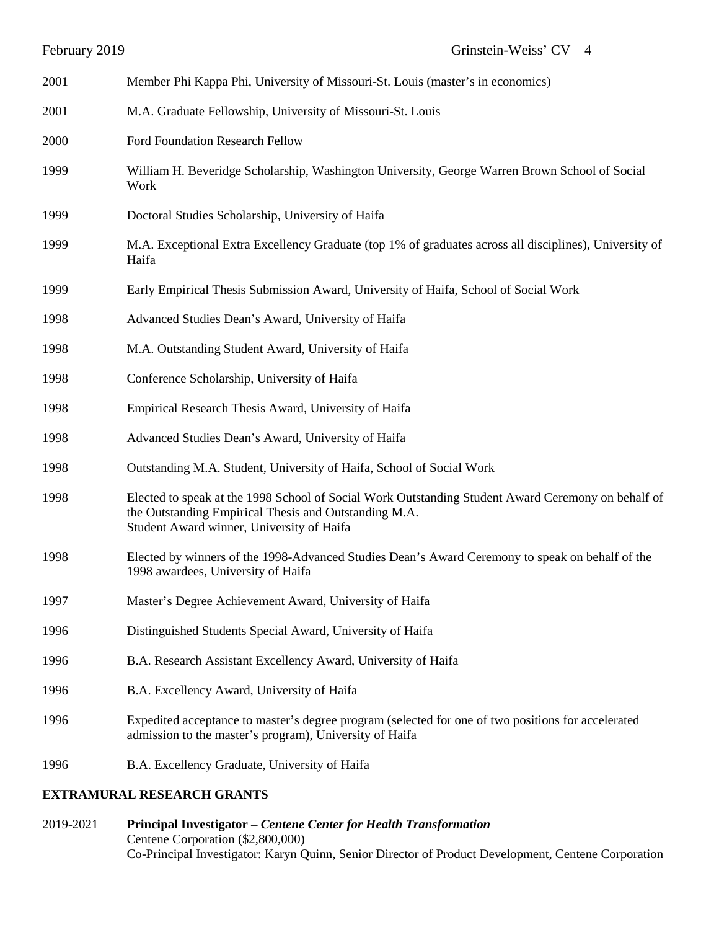| 2001 | Member Phi Kappa Phi, University of Missouri-St. Louis (master's in economics)                                                                                                                           |
|------|----------------------------------------------------------------------------------------------------------------------------------------------------------------------------------------------------------|
| 2001 | M.A. Graduate Fellowship, University of Missouri-St. Louis                                                                                                                                               |
| 2000 | Ford Foundation Research Fellow                                                                                                                                                                          |
| 1999 | William H. Beveridge Scholarship, Washington University, George Warren Brown School of Social<br>Work                                                                                                    |
| 1999 | Doctoral Studies Scholarship, University of Haifa                                                                                                                                                        |
| 1999 | M.A. Exceptional Extra Excellency Graduate (top 1% of graduates across all disciplines), University of<br>Haifa                                                                                          |
| 1999 | Early Empirical Thesis Submission Award, University of Haifa, School of Social Work                                                                                                                      |
| 1998 | Advanced Studies Dean's Award, University of Haifa                                                                                                                                                       |
| 1998 | M.A. Outstanding Student Award, University of Haifa                                                                                                                                                      |
| 1998 | Conference Scholarship, University of Haifa                                                                                                                                                              |
| 1998 | Empirical Research Thesis Award, University of Haifa                                                                                                                                                     |
| 1998 | Advanced Studies Dean's Award, University of Haifa                                                                                                                                                       |
| 1998 | Outstanding M.A. Student, University of Haifa, School of Social Work                                                                                                                                     |
| 1998 | Elected to speak at the 1998 School of Social Work Outstanding Student Award Ceremony on behalf of<br>the Outstanding Empirical Thesis and Outstanding M.A.<br>Student Award winner, University of Haifa |
| 1998 | Elected by winners of the 1998-Advanced Studies Dean's Award Ceremony to speak on behalf of the<br>1998 awardees, University of Haifa                                                                    |
| 1997 | Master's Degree Achievement Award, University of Haifa                                                                                                                                                   |
| 1996 | Distinguished Students Special Award, University of Haifa                                                                                                                                                |
| 1996 | B.A. Research Assistant Excellency Award, University of Haifa                                                                                                                                            |
| 1996 | B.A. Excellency Award, University of Haifa                                                                                                                                                               |
| 1996 | Expedited acceptance to master's degree program (selected for one of two positions for accelerated<br>admission to the master's program), University of Haifa                                            |
| 1996 | B.A. Excellency Graduate, University of Haifa                                                                                                                                                            |

## **EXTRAMURAL RESEARCH GRANTS**

2019-2021 **Principal Investigator –** *Centene Center for Health Transformation*  Centene Corporation (\$2,800,000) Co-Principal Investigator: Karyn Quinn, Senior Director of Product Development, Centene Corporation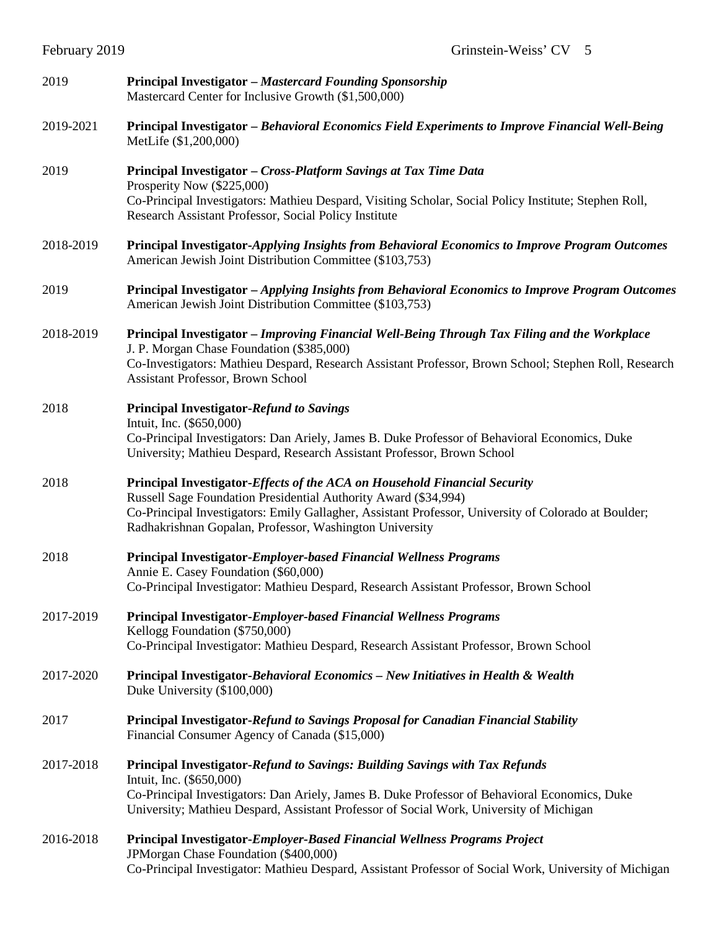| 2019      | Principal Investigator - Mastercard Founding Sponsorship<br>Mastercard Center for Inclusive Growth (\$1,500,000)                                                                                                                                                                                                |
|-----------|-----------------------------------------------------------------------------------------------------------------------------------------------------------------------------------------------------------------------------------------------------------------------------------------------------------------|
| 2019-2021 | Principal Investigator – Behavioral Economics Field Experiments to Improve Financial Well-Being<br>MetLife (\$1,200,000)                                                                                                                                                                                        |
| 2019      | Principal Investigator - Cross-Platform Savings at Tax Time Data<br>Prosperity Now (\$225,000)<br>Co-Principal Investigators: Mathieu Despard, Visiting Scholar, Social Policy Institute; Stephen Roll,<br>Research Assistant Professor, Social Policy Institute                                                |
| 2018-2019 | Principal Investigator-Applying Insights from Behavioral Economics to Improve Program Outcomes<br>American Jewish Joint Distribution Committee (\$103,753)                                                                                                                                                      |
| 2019      | Principal Investigator - Applying Insights from Behavioral Economics to Improve Program Outcomes<br>American Jewish Joint Distribution Committee (\$103,753)                                                                                                                                                    |
| 2018-2019 | Principal Investigator – Improving Financial Well-Being Through Tax Filing and the Workplace<br>J. P. Morgan Chase Foundation (\$385,000)<br>Co-Investigators: Mathieu Despard, Research Assistant Professor, Brown School; Stephen Roll, Research<br>Assistant Professor, Brown School                         |
| 2018      | <b>Principal Investigator-Refund to Savings</b><br>Intuit, Inc. (\$650,000)<br>Co-Principal Investigators: Dan Ariely, James B. Duke Professor of Behavioral Economics, Duke<br>University; Mathieu Despard, Research Assistant Professor, Brown School                                                         |
| 2018      | Principal Investigator-Effects of the ACA on Household Financial Security<br>Russell Sage Foundation Presidential Authority Award (\$34,994)<br>Co-Principal Investigators: Emily Gallagher, Assistant Professor, University of Colorado at Boulder;<br>Radhakrishnan Gopalan, Professor, Washington University |
| 2018      | <b>Principal Investigator-Employer-based Financial Wellness Programs</b><br>Annie E. Casey Foundation (\$60,000)<br>Co-Principal Investigator: Mathieu Despard, Research Assistant Professor, Brown School                                                                                                      |
| 2017-2019 | Principal Investigator-Employer-based Financial Wellness Programs<br>Kellogg Foundation (\$750,000)<br>Co-Principal Investigator: Mathieu Despard, Research Assistant Professor, Brown School                                                                                                                   |
| 2017-2020 | Principal Investigator-Behavioral Economics - New Initiatives in Health & Wealth<br>Duke University (\$100,000)                                                                                                                                                                                                 |
| 2017      | Principal Investigator-Refund to Savings Proposal for Canadian Financial Stability<br>Financial Consumer Agency of Canada (\$15,000)                                                                                                                                                                            |
| 2017-2018 | <b>Principal Investigator-Refund to Savings: Building Savings with Tax Refunds</b><br>Intuit, Inc. (\$650,000)<br>Co-Principal Investigators: Dan Ariely, James B. Duke Professor of Behavioral Economics, Duke<br>University; Mathieu Despard, Assistant Professor of Social Work, University of Michigan      |
| 2016-2018 | <b>Principal Investigator-Employer-Based Financial Wellness Programs Project</b><br>JPMorgan Chase Foundation (\$400,000)<br>Co-Principal Investigator: Mathieu Despard, Assistant Professor of Social Work, University of Michigan                                                                             |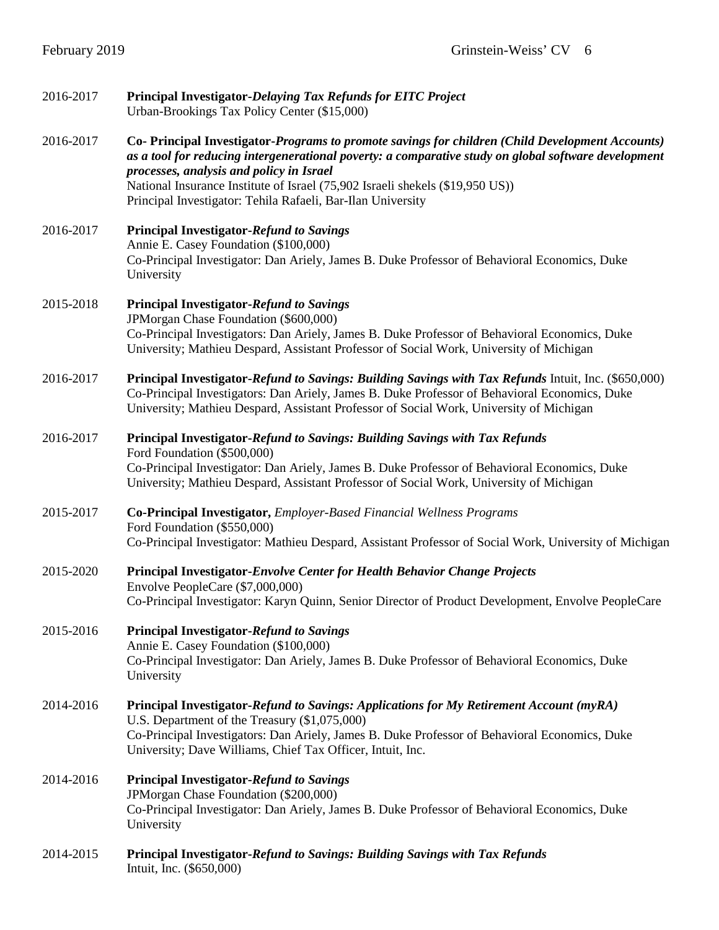| 2016-2017 | Principal Investigator-Delaying Tax Refunds for EITC Project<br>Urban-Brookings Tax Policy Center (\$15,000)                                                                                                                                                                                                                                                                                         |
|-----------|------------------------------------------------------------------------------------------------------------------------------------------------------------------------------------------------------------------------------------------------------------------------------------------------------------------------------------------------------------------------------------------------------|
| 2016-2017 | Co- Principal Investigator-Programs to promote savings for children (Child Development Accounts)<br>as a tool for reducing intergenerational poverty: a comparative study on global software development<br>processes, analysis and policy in Israel<br>National Insurance Institute of Israel (75,902 Israeli shekels (\$19,950 US))<br>Principal Investigator: Tehila Rafaeli, Bar-Ilan University |
| 2016-2017 | <b>Principal Investigator-Refund to Savings</b><br>Annie E. Casey Foundation (\$100,000)<br>Co-Principal Investigator: Dan Ariely, James B. Duke Professor of Behavioral Economics, Duke<br>University                                                                                                                                                                                               |
| 2015-2018 | <b>Principal Investigator-Refund to Savings</b><br>JPMorgan Chase Foundation (\$600,000)<br>Co-Principal Investigators: Dan Ariely, James B. Duke Professor of Behavioral Economics, Duke<br>University; Mathieu Despard, Assistant Professor of Social Work, University of Michigan                                                                                                                 |
| 2016-2017 | Principal Investigator-Refund to Savings: Building Savings with Tax Refunds Intuit, Inc. (\$650,000)<br>Co-Principal Investigators: Dan Ariely, James B. Duke Professor of Behavioral Economics, Duke<br>University; Mathieu Despard, Assistant Professor of Social Work, University of Michigan                                                                                                     |
| 2016-2017 | Principal Investigator-Refund to Savings: Building Savings with Tax Refunds<br>Ford Foundation (\$500,000)<br>Co-Principal Investigator: Dan Ariely, James B. Duke Professor of Behavioral Economics, Duke<br>University; Mathieu Despard, Assistant Professor of Social Work, University of Michigan                                                                                                |
| 2015-2017 | Co-Principal Investigator, Employer-Based Financial Wellness Programs<br>Ford Foundation (\$550,000)<br>Co-Principal Investigator: Mathieu Despard, Assistant Professor of Social Work, University of Michigan                                                                                                                                                                                       |
| 2015-2020 | Principal Investigator-Envolve Center for Health Behavior Change Projects<br>Envolve PeopleCare (\$7,000,000)<br>Co-Principal Investigator: Karyn Quinn, Senior Director of Product Development, Envolve PeopleCare                                                                                                                                                                                  |
| 2015-2016 | <b>Principal Investigator-Refund to Savings</b><br>Annie E. Casey Foundation (\$100,000)<br>Co-Principal Investigator: Dan Ariely, James B. Duke Professor of Behavioral Economics, Duke<br>University                                                                                                                                                                                               |
| 2014-2016 | Principal Investigator-Refund to Savings: Applications for My Retirement Account (myRA)<br>U.S. Department of the Treasury (\$1,075,000)<br>Co-Principal Investigators: Dan Ariely, James B. Duke Professor of Behavioral Economics, Duke<br>University; Dave Williams, Chief Tax Officer, Intuit, Inc.                                                                                              |
| 2014-2016 | <b>Principal Investigator-Refund to Savings</b><br>JPMorgan Chase Foundation (\$200,000)<br>Co-Principal Investigator: Dan Ariely, James B. Duke Professor of Behavioral Economics, Duke<br>University                                                                                                                                                                                               |
| 2014-2015 | Principal Investigator-Refund to Savings: Building Savings with Tax Refunds<br>Intuit, Inc. (\$650,000)                                                                                                                                                                                                                                                                                              |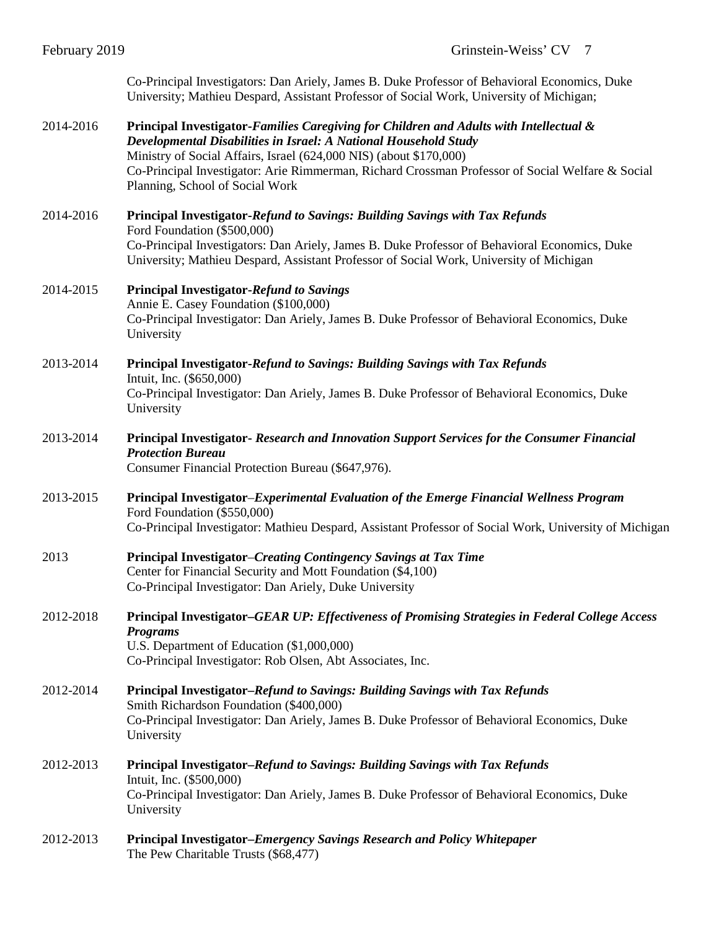Co-Principal Investigators: Dan Ariely, James B. Duke Professor of Behavioral Economics, Duke University; Mathieu Despard, Assistant Professor of Social Work, University of Michigan;

### 2014-2016 **Principal Investigator-***Families Caregiving for Children and Adults with Intellectual & Developmental Disabilities in Israel: A National Household Study* Ministry of Social Affairs, Israel (624,000 NIS) (about \$170,000) Co-Principal Investigator: Arie Rimmerman, Richard Crossman Professor of Social Welfare & Social Planning, School of Social Work

2014-2016 **Principal Investigator-***Refund to Savings: Building Savings with Tax Refunds* Ford Foundation (\$500,000) Co-Principal Investigators: Dan Ariely, James B. Duke Professor of Behavioral Economics, Duke University; Mathieu Despard, Assistant Professor of Social Work, University of Michigan

#### 2014-2015 **Principal Investigator-***Refund to Savings* Annie E. Casey Foundation (\$100,000) Co-Principal Investigator: Dan Ariely, James B. Duke Professor of Behavioral Economics, Duke University

2013-2014 **Principal Investigator-***Refund to Savings: Building Savings with Tax Refunds* Intuit, Inc. (\$650,000) Co-Principal Investigator: Dan Ariely, James B. Duke Professor of Behavioral Economics, Duke University

# 2013-2014 **Principal Investigator-** *Research and Innovation Support Services for the Consumer Financial Protection Bureau*

Consumer Financial Protection Bureau (\$647,976).

- 2013-2015 **Principal Investigator**–*Experimental Evaluation of the Emerge Financial Wellness Program* Ford Foundation (\$550,000) Co-Principal Investigator: Mathieu Despard, Assistant Professor of Social Work, University of Michigan
- 2013 **Principal Investigator**–*Creating Contingency Savings at Tax Time* Center for Financial Security and Mott Foundation (\$4,100) Co-Principal Investigator: Dan Ariely, Duke University

## 2012-2018 **Principal Investigator–***GEAR UP: Effectiveness of Promising Strategies in Federal College Access Programs* U.S. Department of Education (\$1,000,000)

Co-Principal Investigator: Rob Olsen, Abt Associates, Inc.

- 2012-2014 **Principal Investigator–***Refund to Savings: Building Savings with Tax Refunds* Smith Richardson Foundation (\$400,000) Co-Principal Investigator: Dan Ariely, James B. Duke Professor of Behavioral Economics, Duke University
- 2012-2013 **Principal Investigator–***Refund to Savings: Building Savings with Tax Refunds* Intuit, Inc. (\$500,000) Co-Principal Investigator: Dan Ariely, James B. Duke Professor of Behavioral Economics, Duke University
- 2012-2013 **Principal Investigator–***Emergency Savings Research and Policy Whitepaper* The Pew Charitable Trusts (\$68,477)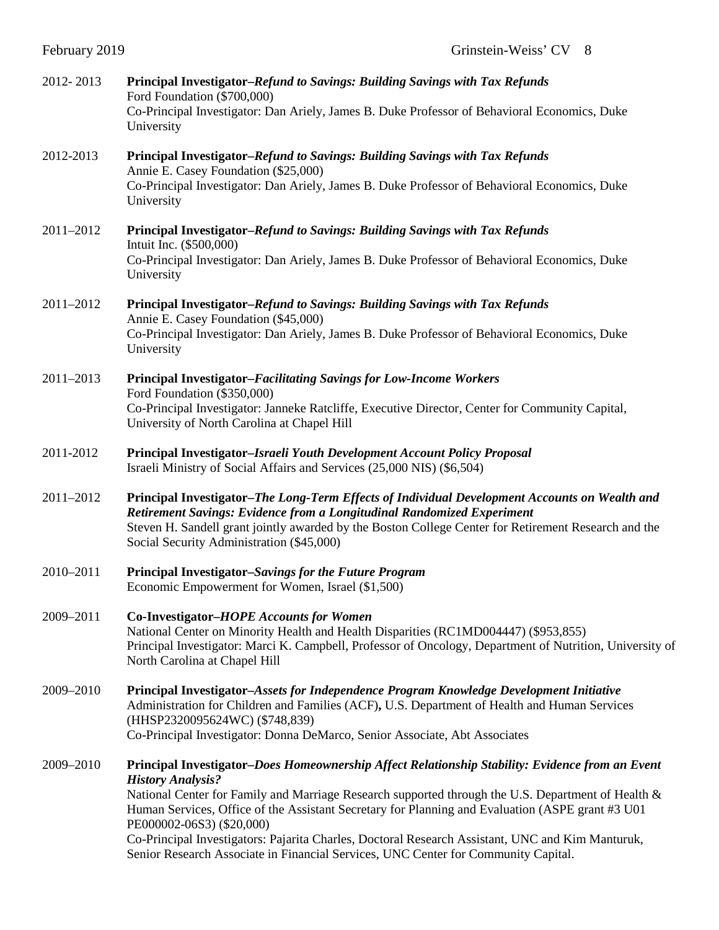| 2012-2013 | Principal Investigator-Refund to Savings: Building Savings with Tax Refunds<br>Ford Foundation (\$700,000)<br>Co-Principal Investigator: Dan Ariely, James B. Duke Professor of Behavioral Economics, Duke<br>University                                                                                                                                                                                                                                                                                                                                      |
|-----------|---------------------------------------------------------------------------------------------------------------------------------------------------------------------------------------------------------------------------------------------------------------------------------------------------------------------------------------------------------------------------------------------------------------------------------------------------------------------------------------------------------------------------------------------------------------|
| 2012-2013 | Principal Investigator-Refund to Savings: Building Savings with Tax Refunds<br>Annie E. Casey Foundation (\$25,000)<br>Co-Principal Investigator: Dan Ariely, James B. Duke Professor of Behavioral Economics, Duke<br>University                                                                                                                                                                                                                                                                                                                             |
| 2011-2012 | Principal Investigator–Refund to Savings: Building Savings with Tax Refunds<br>Intuit Inc. (\$500,000)<br>Co-Principal Investigator: Dan Ariely, James B. Duke Professor of Behavioral Economics, Duke<br>University                                                                                                                                                                                                                                                                                                                                          |
| 2011-2012 | Principal Investigator-Refund to Savings: Building Savings with Tax Refunds<br>Annie E. Casey Foundation (\$45,000)<br>Co-Principal Investigator: Dan Ariely, James B. Duke Professor of Behavioral Economics, Duke<br>University                                                                                                                                                                                                                                                                                                                             |
| 2011-2013 | <b>Principal Investigator-Facilitating Savings for Low-Income Workers</b><br>Ford Foundation (\$350,000)<br>Co-Principal Investigator: Janneke Ratcliffe, Executive Director, Center for Community Capital,<br>University of North Carolina at Chapel Hill                                                                                                                                                                                                                                                                                                    |
| 2011-2012 | Principal Investigator-Israeli Youth Development Account Policy Proposal<br>Israeli Ministry of Social Affairs and Services (25,000 NIS) (\$6,504)                                                                                                                                                                                                                                                                                                                                                                                                            |
| 2011-2012 | Principal Investigator–The Long-Term Effects of Individual Development Accounts on Wealth and<br>Retirement Savings: Evidence from a Longitudinal Randomized Experiment<br>Steven H. Sandell grant jointly awarded by the Boston College Center for Retirement Research and the<br>Social Security Administration (\$45,000)                                                                                                                                                                                                                                  |
| 2010-2011 | Principal Investigator-Savings for the Future Program<br>Economic Empowerment for Women, Israel (\$1,500)                                                                                                                                                                                                                                                                                                                                                                                                                                                     |
| 2009-2011 | Co-Investigator-HOPE Accounts for Women<br>National Center on Minority Health and Health Disparities (RC1MD004447) (\$953,855)<br>Principal Investigator: Marci K. Campbell, Professor of Oncology, Department of Nutrition, University of<br>North Carolina at Chapel Hill                                                                                                                                                                                                                                                                                   |
| 2009-2010 | Principal Investigator-Assets for Independence Program Knowledge Development Initiative<br>Administration for Children and Families (ACF), U.S. Department of Health and Human Services<br>(HHSP2320095624WC) (\$748,839)<br>Co-Principal Investigator: Donna DeMarco, Senior Associate, Abt Associates                                                                                                                                                                                                                                                       |
| 2009-2010 | Principal Investigator-Does Homeownership Affect Relationship Stability: Evidence from an Event<br><b>History Analysis?</b><br>National Center for Family and Marriage Research supported through the U.S. Department of Health &<br>Human Services, Office of the Assistant Secretary for Planning and Evaluation (ASPE grant #3 U01)<br>PE000002-06S3) (\$20,000)<br>Co-Principal Investigators: Pajarita Charles, Doctoral Research Assistant, UNC and Kim Manturuk,<br>Senior Research Associate in Financial Services, UNC Center for Community Capital. |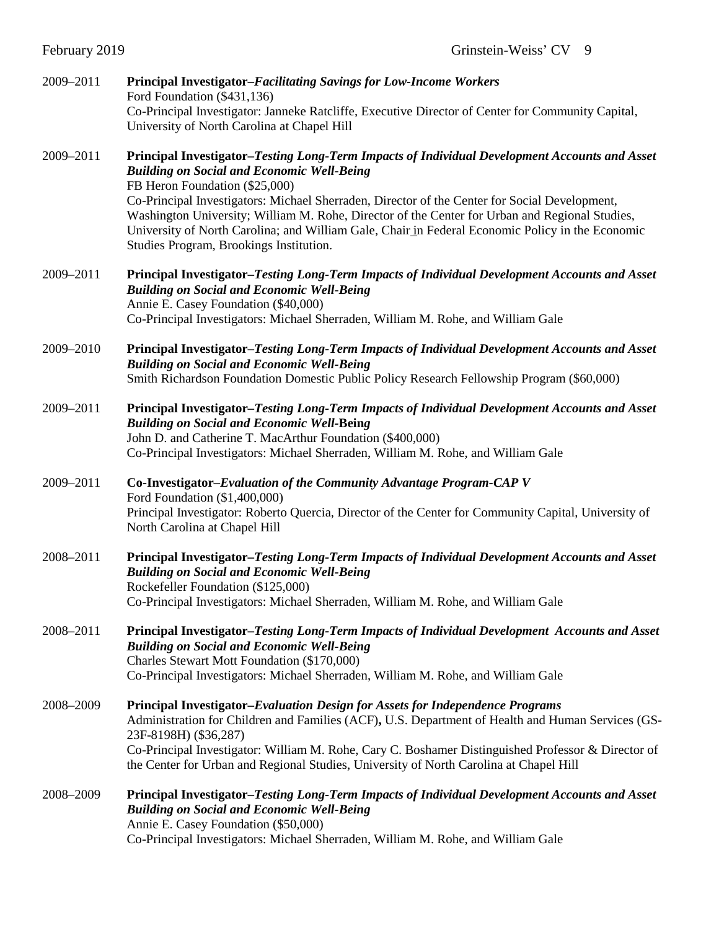| 2009-2011 | <b>Principal Investigator-Facilitating Savings for Low-Income Workers</b><br>Ford Foundation (\$431,136)<br>Co-Principal Investigator: Janneke Ratcliffe, Executive Director of Center for Community Capital,<br>University of North Carolina at Chapel Hill                                                                                                                                                                                                                                                                           |
|-----------|----------------------------------------------------------------------------------------------------------------------------------------------------------------------------------------------------------------------------------------------------------------------------------------------------------------------------------------------------------------------------------------------------------------------------------------------------------------------------------------------------------------------------------------|
| 2009-2011 | Principal Investigator-Testing Long-Term Impacts of Individual Development Accounts and Asset<br><b>Building on Social and Economic Well-Being</b><br>FB Heron Foundation (\$25,000)<br>Co-Principal Investigators: Michael Sherraden, Director of the Center for Social Development,<br>Washington University; William M. Rohe, Director of the Center for Urban and Regional Studies,<br>University of North Carolina; and William Gale, Chair in Federal Economic Policy in the Economic<br>Studies Program, Brookings Institution. |
| 2009-2011 | Principal Investigator-Testing Long-Term Impacts of Individual Development Accounts and Asset<br><b>Building on Social and Economic Well-Being</b><br>Annie E. Casey Foundation (\$40,000)<br>Co-Principal Investigators: Michael Sherraden, William M. Rohe, and William Gale                                                                                                                                                                                                                                                         |
| 2009-2010 | Principal Investigator-Testing Long-Term Impacts of Individual Development Accounts and Asset<br><b>Building on Social and Economic Well-Being</b><br>Smith Richardson Foundation Domestic Public Policy Research Fellowship Program (\$60,000)                                                                                                                                                                                                                                                                                        |
| 2009-2011 | Principal Investigator-Testing Long-Term Impacts of Individual Development Accounts and Asset<br><b>Building on Social and Economic Well-Being</b><br>John D. and Catherine T. MacArthur Foundation (\$400,000)<br>Co-Principal Investigators: Michael Sherraden, William M. Rohe, and William Gale                                                                                                                                                                                                                                    |
| 2009-2011 | Co-Investigator-Evaluation of the Community Advantage Program-CAP V<br>Ford Foundation (\$1,400,000)<br>Principal Investigator: Roberto Quercia, Director of the Center for Community Capital, University of<br>North Carolina at Chapel Hill                                                                                                                                                                                                                                                                                          |
| 2008-2011 | Principal Investigator-Testing Long-Term Impacts of Individual Development Accounts and Asset<br><b>Building on Social and Economic Well-Being</b><br>Rockefeller Foundation (\$125,000)<br>Co-Principal Investigators: Michael Sherraden, William M. Rohe, and William Gale                                                                                                                                                                                                                                                           |
| 2008-2011 | Principal Investigator–Testing Long-Term Impacts of Individual Development Accounts and Asset<br><b>Building on Social and Economic Well-Being</b><br>Charles Stewart Mott Foundation (\$170,000)<br>Co-Principal Investigators: Michael Sherraden, William M. Rohe, and William Gale                                                                                                                                                                                                                                                  |
| 2008-2009 | Principal Investigator-Evaluation Design for Assets for Independence Programs<br>Administration for Children and Families (ACF), U.S. Department of Health and Human Services (GS-<br>23F-8198H) (\$36,287)<br>Co-Principal Investigator: William M. Rohe, Cary C. Boshamer Distinguished Professor & Director of<br>the Center for Urban and Regional Studies, University of North Carolina at Chapel Hill                                                                                                                            |
| 2008-2009 | Principal Investigator-Testing Long-Term Impacts of Individual Development Accounts and Asset<br><b>Building on Social and Economic Well-Being</b><br>Annie E. Casey Foundation (\$50,000)<br>Co-Principal Investigators: Michael Sherraden, William M. Rohe, and William Gale                                                                                                                                                                                                                                                         |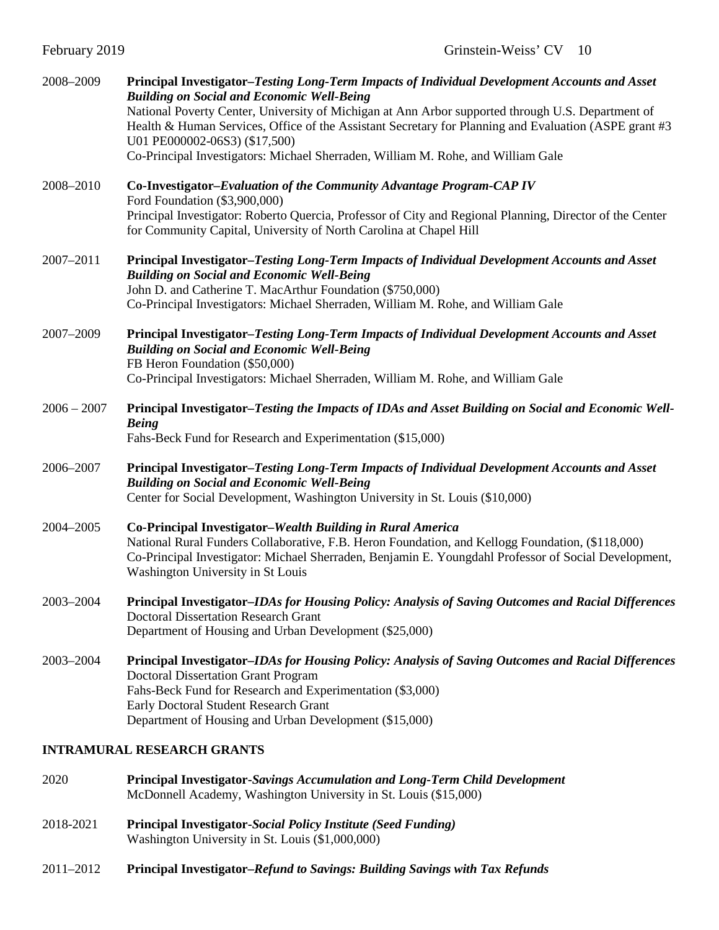| February 2019 |  |  |
|---------------|--|--|
|---------------|--|--|

| 2008-2009     | Principal Investigator-Testing Long-Term Impacts of Individual Development Accounts and Asset<br><b>Building on Social and Economic Well-Being</b><br>National Poverty Center, University of Michigan at Ann Arbor supported through U.S. Department of<br>Health & Human Services, Office of the Assistant Secretary for Planning and Evaluation (ASPE grant #3<br>U01 PE000002-06S3) (\$17,500)<br>Co-Principal Investigators: Michael Sherraden, William M. Rohe, and William Gale |
|---------------|---------------------------------------------------------------------------------------------------------------------------------------------------------------------------------------------------------------------------------------------------------------------------------------------------------------------------------------------------------------------------------------------------------------------------------------------------------------------------------------|
| 2008-2010     | Co-Investigator-Evaluation of the Community Advantage Program-CAP IV<br>Ford Foundation (\$3,900,000)<br>Principal Investigator: Roberto Quercia, Professor of City and Regional Planning, Director of the Center<br>for Community Capital, University of North Carolina at Chapel Hill                                                                                                                                                                                               |
| 2007-2011     | Principal Investigator-Testing Long-Term Impacts of Individual Development Accounts and Asset<br><b>Building on Social and Economic Well-Being</b><br>John D. and Catherine T. MacArthur Foundation (\$750,000)<br>Co-Principal Investigators: Michael Sherraden, William M. Rohe, and William Gale                                                                                                                                                                                   |
| 2007-2009     | Principal Investigator-Testing Long-Term Impacts of Individual Development Accounts and Asset<br><b>Building on Social and Economic Well-Being</b><br>FB Heron Foundation (\$50,000)<br>Co-Principal Investigators: Michael Sherraden, William M. Rohe, and William Gale                                                                                                                                                                                                              |
| $2006 - 2007$ | Principal Investigator-Testing the Impacts of IDAs and Asset Building on Social and Economic Well-<br><b>Being</b><br>Fahs-Beck Fund for Research and Experimentation (\$15,000)                                                                                                                                                                                                                                                                                                      |
| 2006-2007     | Principal Investigator-Testing Long-Term Impacts of Individual Development Accounts and Asset<br><b>Building on Social and Economic Well-Being</b><br>Center for Social Development, Washington University in St. Louis (\$10,000)                                                                                                                                                                                                                                                    |
| 2004-2005     | Co-Principal Investigator-Wealth Building in Rural America<br>National Rural Funders Collaborative, F.B. Heron Foundation, and Kellogg Foundation, (\$118,000)<br>Co-Principal Investigator: Michael Sherraden, Benjamin E. Youngdahl Professor of Social Development,<br>Washington University in St Louis                                                                                                                                                                           |
| 2003-2004     | Principal Investigator-IDAs for Housing Policy: Analysis of Saving Outcomes and Racial Differences<br><b>Doctoral Dissertation Research Grant</b><br>Department of Housing and Urban Development (\$25,000)                                                                                                                                                                                                                                                                           |
| 2003-2004     | Principal Investigator–IDAs for Housing Policy: Analysis of Saving Outcomes and Racial Differences<br><b>Doctoral Dissertation Grant Program</b><br>Fahs-Beck Fund for Research and Experimentation (\$3,000)<br>Early Doctoral Student Research Grant<br>Department of Housing and Urban Development (\$15,000)                                                                                                                                                                      |

## **INTRAMURAL RESEARCH GRANTS**

- 2020 **Principal Investigator-***Savings Accumulation and Long-Term Child Development* McDonnell Academy, Washington University in St. Louis (\$15,000)
- 2018-2021 **Principal Investigator-***Social Policy Institute (Seed Funding)* Washington University in St. Louis (\$1,000,000)
- 2011–2012 **Principal Investigator***–Refund to Savings: Building Savings with Tax Refunds*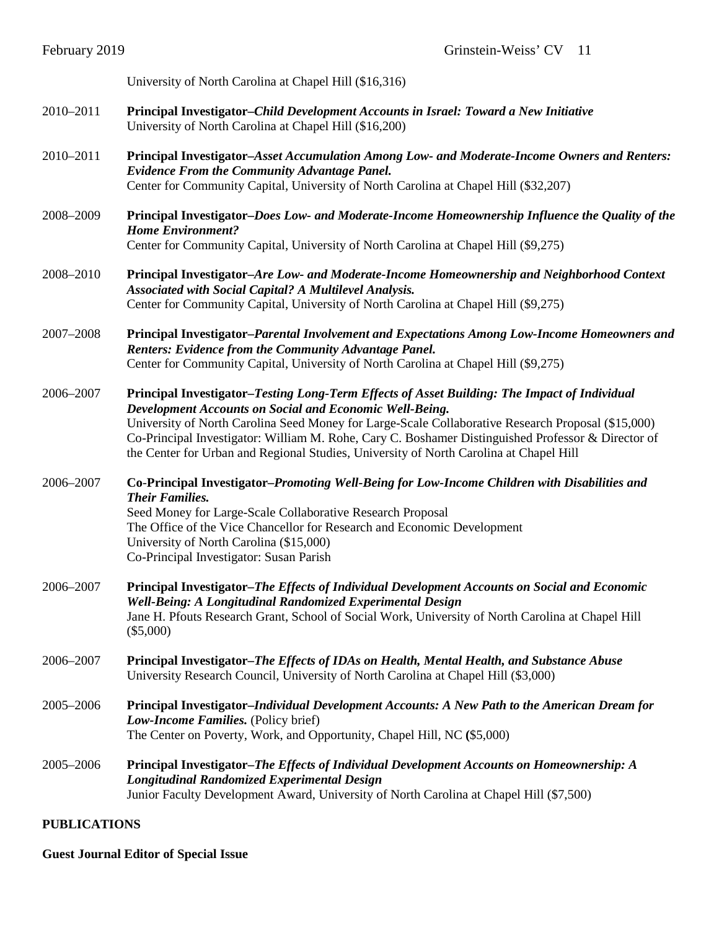|           | University of North Carolina at Chapel Hill (\$16,316)                                                                                                                                                                                                                                                                                                                                                                                                        |
|-----------|---------------------------------------------------------------------------------------------------------------------------------------------------------------------------------------------------------------------------------------------------------------------------------------------------------------------------------------------------------------------------------------------------------------------------------------------------------------|
| 2010-2011 | Principal Investigator-Child Development Accounts in Israel: Toward a New Initiative<br>University of North Carolina at Chapel Hill (\$16,200)                                                                                                                                                                                                                                                                                                                |
| 2010-2011 | Principal Investigator-Asset Accumulation Among Low- and Moderate-Income Owners and Renters:<br><b>Evidence From the Community Advantage Panel.</b><br>Center for Community Capital, University of North Carolina at Chapel Hill (\$32,207)                                                                                                                                                                                                                   |
| 2008-2009 | Principal Investigator-Does Low- and Moderate-Income Homeownership Influence the Quality of the<br><b>Home Environment?</b><br>Center for Community Capital, University of North Carolina at Chapel Hill (\$9,275)                                                                                                                                                                                                                                            |
| 2008-2010 | Principal Investigator-Are Low- and Moderate-Income Homeownership and Neighborhood Context<br>Associated with Social Capital? A Multilevel Analysis.<br>Center for Community Capital, University of North Carolina at Chapel Hill (\$9,275)                                                                                                                                                                                                                   |
| 2007-2008 | Principal Investigator-Parental Involvement and Expectations Among Low-Income Homeowners and<br><b>Renters: Evidence from the Community Advantage Panel.</b><br>Center for Community Capital, University of North Carolina at Chapel Hill (\$9,275)                                                                                                                                                                                                           |
| 2006-2007 | Principal Investigator-Testing Long-Term Effects of Asset Building: The Impact of Individual<br>Development Accounts on Social and Economic Well-Being.<br>University of North Carolina Seed Money for Large-Scale Collaborative Research Proposal (\$15,000)<br>Co-Principal Investigator: William M. Rohe, Cary C. Boshamer Distinguished Professor & Director of<br>the Center for Urban and Regional Studies, University of North Carolina at Chapel Hill |
| 2006-2007 | Co-Principal Investigator-Promoting Well-Being for Low-Income Children with Disabilities and<br><b>Their Families.</b><br>Seed Money for Large-Scale Collaborative Research Proposal<br>The Office of the Vice Chancellor for Research and Economic Development<br>University of North Carolina (\$15,000)<br>Co-Principal Investigator: Susan Parish                                                                                                         |
| 2006-2007 | Principal Investigator-The Effects of Individual Development Accounts on Social and Economic<br>Well-Being: A Longitudinal Randomized Experimental Design<br>Jane H. Pfouts Research Grant, School of Social Work, University of North Carolina at Chapel Hill<br>$(\$5,000)$                                                                                                                                                                                 |
| 2006-2007 | Principal Investigator–The Effects of IDAs on Health, Mental Health, and Substance Abuse<br>University Research Council, University of North Carolina at Chapel Hill (\$3,000)                                                                                                                                                                                                                                                                                |
| 2005-2006 | Principal Investigator–Individual Development Accounts: A New Path to the American Dream for<br>Low-Income Families. (Policy brief)<br>The Center on Poverty, Work, and Opportunity, Chapel Hill, NC (\$5,000)                                                                                                                                                                                                                                                |
| 2005-2006 | Principal Investigator–The Effects of Individual Development Accounts on Homeownership: A<br><b>Longitudinal Randomized Experimental Design</b><br>Junior Faculty Development Award, University of North Carolina at Chapel Hill (\$7,500)                                                                                                                                                                                                                    |

## **PUBLICATIONS**

**Guest Journal Editor of Special Issue**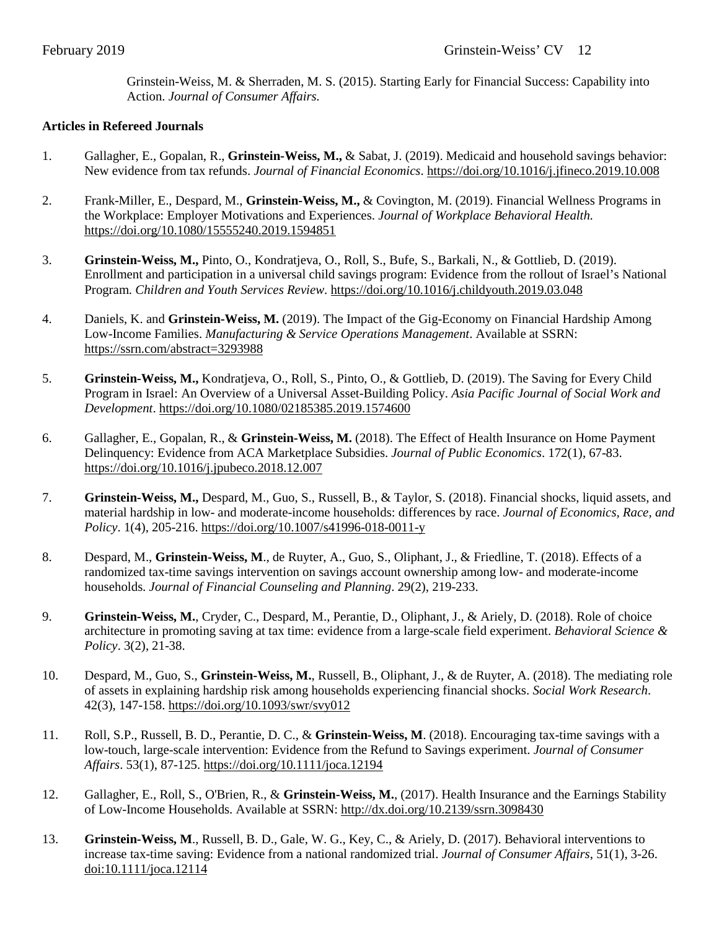Grinstein-Weiss, M. & Sherraden, M. S. (2015). Starting Early for Financial Success: Capability into Action. *Journal of Consumer Affairs.*

## **Articles in Refereed Journals**

- 1. Gallagher, E., Gopalan, R., **Grinstein-Weiss, M.,** & Sabat, J. (2019). Medicaid and household savings behavior: New evidence from tax refunds. *Journal of Financial Economics*[. https://doi.org/10.1016/j.jfineco.2019.10.008](https://doi.org/10.1016/j.jfineco.2019.10.008)
- 2. Frank-Miller, E., Despard, M., **Grinstein-Weiss, M.,** & Covington, M. (2019). Financial Wellness Programs in the Workplace: Employer Motivations and Experiences. *Journal of Workplace Behavioral Health.* <https://doi.org/10.1080/15555240.2019.1594851>
- 3. **Grinstein-Weiss, M.,** Pinto, O., Kondratjeva, O., Roll, S., Bufe, S., Barkali, N., & Gottlieb, D. (2019). Enrollment and participation in a universal child savings program: Evidence from the rollout of Israel's National Program. *Children and Youth Services Review*[. https://doi.org/10.1016/j.childyouth.2019.03.048](https://doi.org/10.1016/j.childyouth.2019.03.048)
- 4. Daniels, K. and **Grinstein-Weiss, M.** (2019). The Impact of the Gig-Economy on Financial Hardship Among Low-Income Families. *Manufacturing & Service Operations Management*. Available at SSRN: <https://ssrn.com/abstract=3293988>
- 5. **Grinstein-Weiss, M.,** Kondratjeva, O., Roll, S., Pinto, O., & Gottlieb, D. (2019). The Saving for Every Child Program in Israel: An Overview of a Universal Asset-Building Policy. *Asia Pacific Journal of Social Work and Development*.<https://doi.org/10.1080/02185385.2019.1574600>
- 6. Gallagher, E., Gopalan, R., & **Grinstein-Weiss, M.** (2018). The Effect of Health Insurance on Home Payment Delinquency: Evidence from ACA Marketplace Subsidies. *Journal of Public Economics*. 172(1), 67-83. <https://doi.org/10.1016/j.jpubeco.2018.12.007>
- 7. **Grinstein-Weiss, M.,** Despard, M., Guo, S., Russell, B., & Taylor, S. (2018). Financial shocks, liquid assets, and material hardship in low- and moderate-income households: differences by race. *Journal of Economics, Race, and Policy*. 1(4), 205-216. https://doi.org/10.1007/s41996-018-0011-y
- 8. Despard, M., **Grinstein-Weiss, M**., de Ruyter, A., Guo, S., Oliphant, J., & Friedline, T. (2018). Effects of a randomized tax-time savings intervention on savings account ownership among low- and moderate-income households. *Journal of Financial Counseling and Planning*. 29(2), 219-233.
- 9. **Grinstein-Weiss, M.**, Cryder, C., Despard, M., Perantie, D., Oliphant, J., & Ariely, D. (2018). Role of choice architecture in promoting saving at tax time: evidence from a large-scale field experiment. *Behavioral Science & Policy*. 3(2), 21-38.
- 10. Despard, M., Guo, S., **Grinstein-Weiss, M.**, Russell, B., Oliphant, J., & de Ruyter, A. (2018). The mediating role of assets in explaining hardship risk among households experiencing financial shocks. *Social Work Research*. 42(3), 147-158. https://doi.org/10.1093/swr/svy012
- 11. Roll, S.P., Russell, B. D., Perantie, D. C., & **Grinstein-Weiss, M**. (2018). Encouraging tax-time savings with a low-touch, large-scale intervention: Evidence from the Refund to Savings experiment. *Journal of Consumer Affairs*. 53(1), 87-125.<https://doi.org/10.1111/joca.12194>
- 12. Gallagher, E., Roll, S., O'Brien, R., & **Grinstein-Weiss, M.**, (2017). Health Insurance and the Earnings Stability of Low-Income Households. Available at SSRN: [http://dx.doi.org/10.2139/ssrn.3098430](https://dx.doi.org/10.2139/ssrn.3098430)
- 13. **Grinstein-Weiss, M**., Russell, B. D., Gale, W. G., Key, C., & Ariely, D. (2017). Behavioral interventions to increase tax-time saving: Evidence from a national randomized trial. *Journal of Consumer Affairs*, 51(1), 3-26. [doi:10.1111/joca.12114](http://onlinelibrary.wiley.com/doi/10.1111/joca.12114/abstract;jsessionid=5EAB74F5519C00264199956CB161CEE3.f04t01)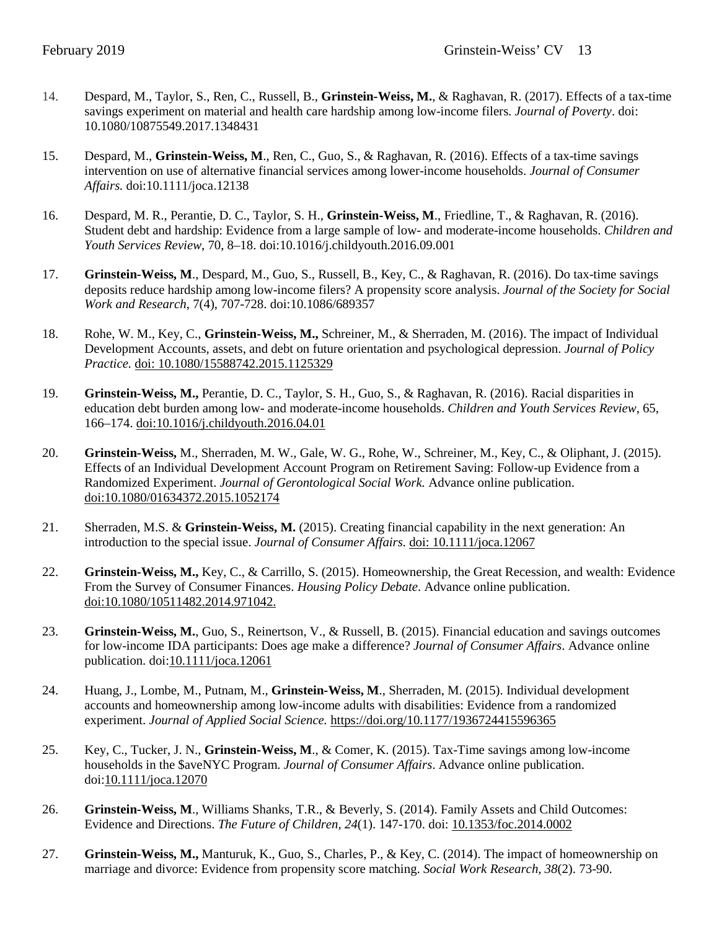- 14. Despard, M., Taylor, S., Ren, C., Russell, B., **Grinstein-Weiss, M.**, & Raghavan, R. (2017). Effects of a tax-time savings experiment on material and health care hardship among low-income filers. *Journal of Poverty*. doi: [10.1080/10875549.2017.1348431](http://dx.doi.org/10.1080/10875549.2017.1348431)
- 15. Despard, M., **Grinstein-Weiss, M**., Ren, C., Guo, S., & Raghavan, R. (2016). Effects of a tax-time savings intervention on use of alternative financial services among lower-income households. *Journal of Consumer Affairs.* doi:10.1111/joca.12138
- 16. Despard, M. R., Perantie, D. C., Taylor, S. H., **Grinstein-Weiss, M**., Friedline, T., & Raghavan, R. (2016). [Student debt and hardship: Evidence from](http://www.sciencedirect.com/science/article/pii/S0190740916302705) a large sample of low- and moderate-income households. *Children and Youth Services Review*, 70, 8–18. doi:10.1016/j.childyouth.2016.09.001
- 17. **Grinstein-Weiss, M**., Despard, M., Guo, S., Russell, B., Key, C., & Raghavan, R. (2016). [Do tax-time savings](http://www.journals.uchicago.edu/doi/abs/10.1086/689357)  [deposits reduce hardship among low-income filers? A propensity score analysis.](http://www.journals.uchicago.edu/doi/abs/10.1086/689357) *Journal of the Society for Social Work and Research*, 7(4), 707-728. doi:10.1086/689357
- 18. Rohe, W. M., Key, C., **Grinstein-Weiss, M.,** Schreiner, M., & Sherraden, M. (2016). The impact of Individual Development Accounts, assets, and debt on future orientation and psychological depression. *Journal of Policy Practice.* [doi: 10.1080/15588742.2015.1125329](http://www.tandfonline.com/doi/full/10.1080/15588742.2015.1125329)
- 19. **Grinstein-Weiss, M.,** Perantie, D. C., Taylor, S. H., Guo, S., & Raghavan, R. (2016). Racial disparities in education debt burden among low- and moderate-income households. *Children and Youth Services Review*, 65, 166–174. [doi:10.1016/j.childyouth.2016.04.01](http://dx.doi.org/10.1016/j.childyouth.2016.04.010)
- 20. **Grinstein-Weiss,** M., Sherraden, M. W., Gale, W. G., Rohe, W., Schreiner, M., Key, C., & Oliphant, J. (2015). Effects of an Individual Development Account Program on Retirement Saving: Follow-up Evidence from a Randomized Experiment. *Journal of Gerontological Social Work.* Advance online publication. [doi:10.1080/01634372.2015.1052174](http://www.tandfonline.com/doi/full/10.1080/01634372.2015.1052174#.VgMDnstVhBc)
- 21. Sherraden, M.S. & **Grinstein-Weiss, M.** (2015). Creating financial capability in the next generation: An introduction to the special issue. *Journal of Consumer Affairs.* [doi: 10.1111/joca.12067](http://onlinelibrary.wiley.com/doi/10.1111/joca.12067/abstract)
- 22. **Grinstein-Weiss, M.,** Key, C., & Carrillo, S. (2015). Homeownership, the Great Recession, and wealth: Evidence From the Survey of Consumer Finances. *Housing Policy Debate*. Advance online publication. [doi:10.1080/10511482.2014.971042.](http://www.tandfonline.com/doi/full/10.1080/10511482.2014.971042?scroll=top&needAccess=true)
- 23. **Grinstein-Weiss, M.**, Guo, S., Reinertson, V., & Russell, B. (2015). Financial education and savings outcomes for low-income IDA participants: Does age make a difference? *Journal of Consumer Affairs*. Advance online publication. doi[:10.1111/joca.12061](http://dx.doi.org/10.1111/joca.12061)
- 24. Huang, J., Lombe, M., Putnam, M., **Grinstein-Weiss, M**., Sherraden, M. (2015). Individual development accounts and homeownership among low-income adults with disabilities: Evidence from a randomized experiment. *Journal of Applied Social Science.* <https://doi.org/10.1177/1936724415596365>
- 25. Key, C., Tucker, J. N., **Grinstein-Weiss, M**., & Comer, K. (2015). Tax-Time savings among low-income households in the \$aveNYC Program. *Journal of Consumer Affairs*. Advance online publication. doi[:10.1111/joca.12070](http://dx.doi.org/10.1111/joca.12070)
- 26. **Grinstein-Weiss, M**., Williams Shanks, T.R., & Beverly, S. (2014). Family Assets and Child Outcomes: Evidence and Directions. *The Future of Children, 24*(1). 147-170. doi: [10.1353/foc.2014.0002](https://doi.org/10.1353/foc.2014.0002)
- 27. **Grinstein-Weiss, M.,** Manturuk, K., Guo, S., Charles, P., & Key, C. (2014). The impact of homeownership on marriage and divorce: Evidence from propensity score matching. *Social Work Research, 38*(2). 73-90.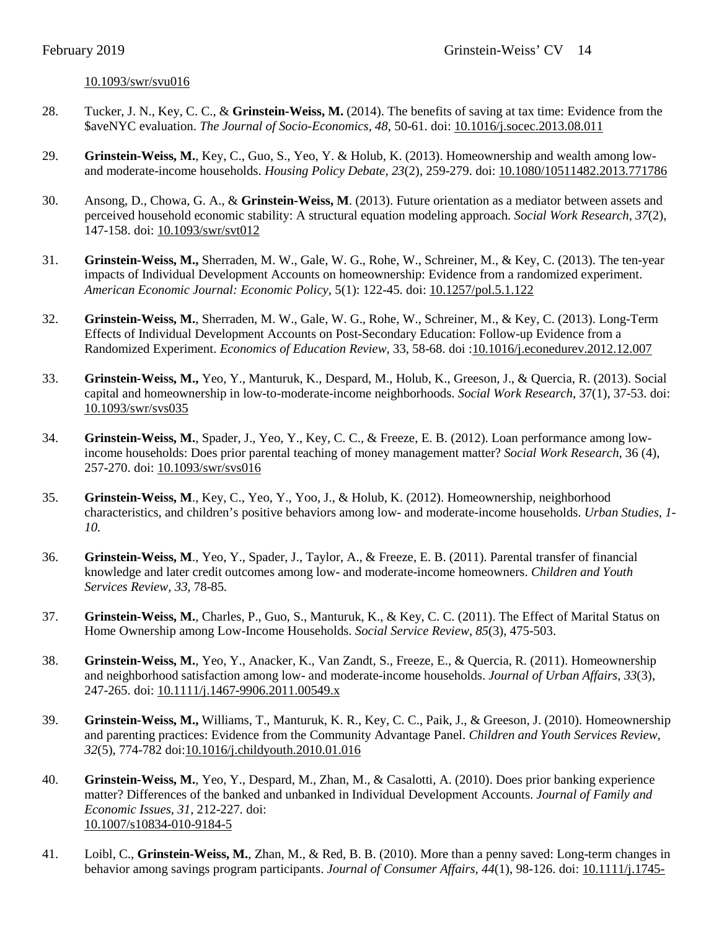#### [10.1093/swr/svu016](http://swr.oxfordjournals.org/content/38/2/73.abstract)

- 28. Tucker, J. N., Key, C. C., & **Grinstein-Weiss, M.** (2014). The benefits of saving at tax time: Evidence from the \$aveNYC evaluation. *The Journal of Socio-Economics, 48*, 50-61. doi: [10.1016/j.socec.2013.08.011](http://www.sciencedirect.com/science/article/pii/S1053535713001388)
- 29. **Grinstein-Weiss, M.**, Key, C., Guo, S., Yeo, Y. & Holub, K. (2013). Homeownership and wealth among lowand moderate-income households. *Housing Policy Debate, 23*(2), 259-279. doi: [10.1080/10511482.2013.771786](http://www.tandfonline.com/doi/full/10.1080/10511482.2013.771786)
- 30. Ansong, D., Chowa, G. A., & **Grinstein-Weiss, M**. (2013). Future orientation as a mediator between assets and perceived household economic stability: A structural equation modeling approach. *Social Work Research, 37*(2), 147-158. doi: [10.1093/swr/svt012](http://swr.oxfordjournals.org/content/37/2/147)
- 31. **Grinstein-Weiss, M.,** Sherraden, M. W., Gale, W. G., Rohe, W., Schreiner, M., & Key, C. (2013). The ten-year impacts of Individual Development Accounts on homeownership: Evidence from a randomized experiment. *American Economic Journal: Economic Policy,* 5(1): 122-45. doi: [10.1257/pol.5.1.122](https://www.maxwell.syr.edu/uploadedFiles/econ/seminars/Gale%20-%20Homeownership_paper_2011-03-07.pdf)
- 32. **Grinstein-Weiss, M.**, Sherraden, M. W., Gale, W. G., Rohe, W., Schreiner, M., & Key, C. (2013). Long-Term Effects of Individual Development Accounts on Post-Secondary Education: Follow-up Evidence from a Randomized Experiment. *Economics of Education Review,* 33, 58-68. doi [:10.1016/j.econedurev.2012.12.007](http://www.sciencedirect.com/science/article/pii/S0272775712001525)
- 33. **Grinstein-Weiss, M.,** Yeo, Y., Manturuk, K., Despard, M., Holub, K., Greeson, J., & Quercia, R. (2013). Social capital and homeownership in low-to-moderate-income neighborhoods. *Social Work Research*, 37(1), 37-53. doi: [10.1093/swr/svs035](http://swr.oxfordjournals.org/content/37/1/37)
- 34. **Grinstein-Weiss, M.**, Spader, J., Yeo, Y., Key, C. C., & Freeze, E. B. (2012). Loan performance among lowincome households: Does prior parental teaching of money management matter? *Social Work Research,* 36 (4), 257-270. doi: [10.1093/swr/svs016](http://swr.oxfordjournals.org/content/36/4/257.short)
- 35. **Grinstein-Weiss, M**., Key, C., Yeo, Y., Yoo, J., & Holub, K. (2012). Homeownership, neighborhood characteristics, and children's positive behaviors among low- and moderate-income households. *Urban Studies, 1- 10.*
- 36. **Grinstein-Weiss, M**., Yeo, Y., Spader, J., Taylor, A., & Freeze, E. B. (2011). Parental transfer of financial knowledge and later credit outcomes among low- and moderate-income homeowners. *Children and Youth Services Review, 33,* 78-85*.*
- 37. **Grinstein-Weiss, M.**, Charles, P., Guo, S., Manturuk, K., & Key, C. C. (2011). The Effect of Marital Status on Home Ownership among Low-Income Households. *Social Service Review*, *85*(3), 475-503.
- 38. **Grinstein-Weiss, M.**, Yeo, Y., Anacker, K., Van Zandt, S., Freeze, E., & Quercia, R. (2011). Homeownership and neighborhood satisfaction among low- and moderate-income households. *Journal of Urban Affairs*, *33*(3), 247-265. doi: [10.1111/j.1467-9906.2011.00549.x](http://onlinelibrary.wiley.com/doi/10.1111/j.1467-9906.2011.00549.x/abstract)
- 39. **Grinstein-Weiss, M.,** Williams, T., Manturuk, K. R., Key, C. C., Paik, J., & Greeson, J. (2010). Homeownership and parenting practices: Evidence from the Community Advantage Panel. *Children and Youth Services Review, 32*(5), 774-782 doi[:10.1016/j.childyouth.2010.01.016](http://www.sciencedirect.com/science/article/pii/S0190740910000381)
- 40. **Grinstein-Weiss, M.**, Yeo, Y., Despard, M., Zhan, M., & Casalotti, A. (2010). Does prior banking experience matter? Differences of the banked and unbanked in Individual Development Accounts. *Journal of Family and Economic Issues, 31,* 212-227*.* doi: [10.1007/s10834-010-9184-5](http://link.springer.com/article/10.1007%2Fs10834-010-9184-5)
- 41. Loibl, C., **Grinstein-Weiss, M.**, Zhan, M., & Red, B. B. (2010). More than a penny saved: Long-term changes in behavior among savings program participants. *Journal of Consumer Affairs, 44*(1), 98-126. doi: [10.1111/j.1745-](http://onlinelibrary.wiley.com/doi/10.1111/j.1745-6606.2010.01159.x/abstract)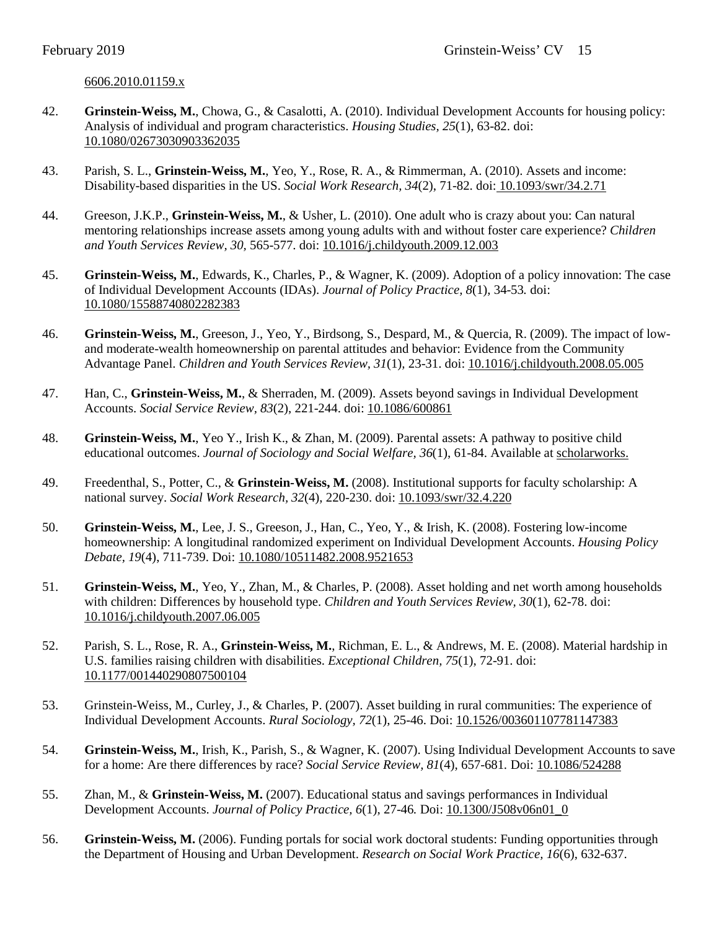## [6606.2010.01159.x](http://onlinelibrary.wiley.com/doi/10.1111/j.1745-6606.2010.01159.x/abstract)

- 42. **Grinstein-Weiss, M.**, Chowa, G., & Casalotti, A. (2010). Individual Development Accounts for housing policy: Analysis of individual and program characteristics. *Housing Studies, 25*(1), 63-82. doi: [10.1080/02673030903362035](http://dx.doi.org/10.1080/02673030903362035)
- 43. Parish, S. L., **Grinstein-Weiss, M.**, Yeo, Y., Rose, R. A., & Rimmerman, A. (2010). Assets and income: Disability-based disparities in the US. *Social Work Research, 34*(2), 71-82. doi: [10.1093/swr/34.2.71](http://swr.oxfordjournals.org/content/34/2/71.abstract)
- 44. Greeson, J.K.P., **Grinstein-Weiss, M.**, & Usher, L. (2010). One adult who is crazy about you: Can natural mentoring relationships increase assets among young adults with and without foster care experience? *Children and Youth Services Review, 30,* 565-577. doi: [10.1016/j.childyouth.2009.12.003](http://dx.doi.org/10.1016/j.childyouth.2009.12.003)
- 45. **Grinstein-Weiss, M.**, Edwards, K., Charles, P., & Wagner, K. (2009). Adoption of a policy innovation: The case of Individual Development Accounts (IDAs). *Journal of Policy Practice, 8*(1), 34-53*.* doi: [10.1080/15588740802282383](http://dx.doi.org/10.1080/15588740802282383)
- 46. **Grinstein-Weiss, M.**, Greeson, J., Yeo, Y., Birdsong, S., Despard, M., & Quercia, R. (2009). The impact of lowand moderate-wealth homeownership on parental attitudes and behavior: Evidence from the Community Advantage Panel. *Children and Youth Services Review, 31*(1)*,* 23-31. doi: [10.1016/j.childyouth.2008.05.005](http://dx.doi.org/10.1016/j.childyouth.2008.05.005)
- 47. Han, C., **Grinstein-Weiss, M.**, & Sherraden, M. (2009). Assets beyond savings in Individual Development Accounts. *Social Service Review, 83*(2), 221-244. doi: [10.1086/600861](http://www.jstor.org/stable/10.1086/600861?seq=1#page_scan_tab_contents)
- 48. **Grinstein-Weiss, M.**, Yeo Y., Irish K., & Zhan, M. (2009). Parental assets: A pathway to positive child educational outcomes. *Journal of Sociology and Social Welfare, 36*(1), 61-84. Available at [scholarworks.](http://scholarworks.wmich.edu/jssw/vol36/iss1/4)
- 49. Freedenthal, S., Potter, C., & **Grinstein-Weiss, M.** (2008). Institutional supports for faculty scholarship: A national survey. *Social Work Research, 32*(4), 220-230. doi: [10.1093/swr/32.4.220](http://swr.oxfordjournals.org/content/32/4/220.abstract)
- 50. **Grinstein-Weiss, M.**, Lee, J. S., Greeson, J., Han, C., Yeo, Y., & Irish, K. (2008). Fostering low-income homeownership: A longitudinal randomized experiment on Individual Development Accounts. *Housing Policy Debate, 19*(4), 711-739. Doi: [10.1080/10511482.2008.9521653](http://dx.doi.org/10.1080/10511482.2008.9521653)
- 51. **Grinstein-Weiss, M.**, Yeo, Y., Zhan, M., & Charles, P. (2008). Asset holding and net worth among households with children: Differences by household type. *Children and Youth Services Review, 30*(1), 62-78. doi: [10.1016/j.childyouth.2007.06.005](http://dx.doi.org/10.1016/j.childyouth.2007.06.005)
- 52. Parish, S. L., Rose, R. A., **Grinstein-Weiss, M.**, Richman, E. L., & Andrews, M. E. (2008). Material hardship in U.S. families raising children with disabilities. *Exceptional Children, 75*(1), 72-91. doi: [10.1177/001440290807500104](http://ssw.unc.edu/files/web/pdf/ExceptChildrenMaterial_Hardship.pdf)
- 53. Grinstein-Weiss, M., Curley, J., & Charles, P. (2007). Asset building in rural communities: The experience of Individual Development Accounts. *Rural Sociology, 72*(1), 25-46. Doi: [10.1526/003601107781147383](http://onlinelibrary.wiley.com/doi/10.1526/003601107781147383/abstract)
- 54. **Grinstein-Weiss, M.**, Irish, K., Parish, S., & Wagner, K. (2007). Using Individual Development Accounts to save for a home: Are there differences by race? *Social Service Review, 81*(4), 657-681*.* Doi: [10.1086/524288](http://www.jstor.org/stable/10.1086/524288?seq=1#page_scan_tab_contents)
- 55. Zhan, M., & **Grinstein-Weiss, M.** (2007). Educational status and savings performances in Individual Development Accounts. *Journal of Policy Practice, 6*(1), 27-46*.* Doi: [10.1300/J508v06n01\\_0](http://www.tandfonline.com/doi/abs/10.1300/J508v06n01_03)
- 56. **Grinstein-Weiss, M.** (2006). Funding portals for social work doctoral students: Funding opportunities through the Department of Housing and Urban Development. *Research on Social Work Practice, 16*(6), 632-637.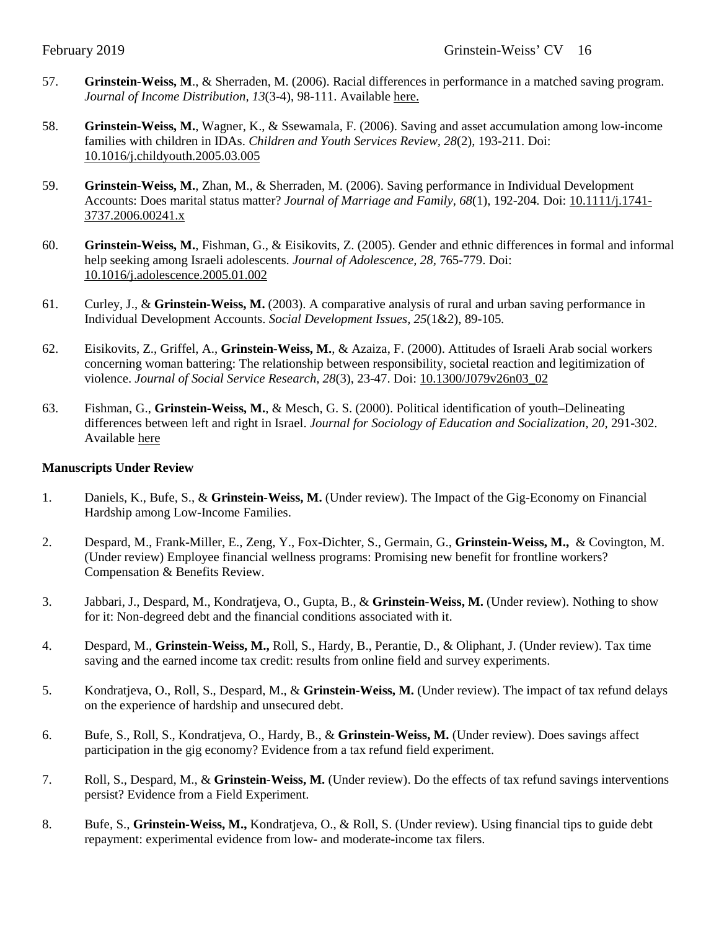- 57. **Grinstein-Weiss, M**., & Sherraden, M. (2006). Racial differences in performance in a matched saving program. *Journal of Income Distribution, 13*(3-4), 98-111. Available [here.](https://csd.wustl.edu/Publications/Documents/WP04-04.pdf)
- 58. **Grinstein-Weiss, M.**, Wagner, K., & Ssewamala, F. (2006). Saving and asset accumulation among low-income families with children in IDAs. *Children and Youth Services Review, 28*(2), 193-211. Doi: [10.1016/j.childyouth.2005.03.005](http://dx.doi.org/10.1016/j.childyouth.2005.03.005)
- 59. **Grinstein-Weiss, M.**, Zhan, M., & Sherraden, M. (2006). Saving performance in Individual Development Accounts: Does marital status matter? *Journal of Marriage and Family, 68*(1), 192-204*.* Doi: [10.1111/j.1741-](http://onlinelibrary.wiley.com/doi/10.1111/j.1741-3737.2006.00241.x/abstract) [3737.2006.00241.x](http://onlinelibrary.wiley.com/doi/10.1111/j.1741-3737.2006.00241.x/abstract)
- 60. **Grinstein-Weiss, M.**, Fishman, G., & Eisikovits, Z. (2005). Gender and ethnic differences in formal and informal help seeking among Israeli adolescents. *Journal of Adolescence, 28,* 765-779. Doi: [10.1016/j.adolescence.2005.01.002](http://dx.doi.org/10.1016/j.adolescence.2005.01.002)
- 61. Curley, J., & **Grinstein-Weiss, M.** (2003). A comparative analysis of rural and urban saving performance in Individual Development Accounts. *Social Development Issues, 25*(1&2), 89-105*.*
- 62. Eisikovits, Z., Griffel, A., **Grinstein-Weiss, M.**, & Azaiza, F. (2000). Attitudes of Israeli Arab social workers concerning woman battering: The relationship between responsibility, societal reaction and legitimization of violence. *Journal of Social Service Research, 28*(3), 23-47. Doi: [10.1300/J079v26n03\\_02](http://dx.doi.org/10.1300/J079v26n03_02)
- 63. Fishman, G., **Grinstein-Weiss, M.**, & Mesch, G. S. (2000). Political identification of youth–Delineating differences between left and right in Israel. *Journal for Sociology of Education and Socialization, 20*, 291-302. Available [here](http://www.pedocs.de/volltexte/2015/10970/pdf/ZSE_2000_3_Fishman_ua_Political_Idetification.pdf)

#### **Manuscripts Under Review**

- 1. Daniels, K., Bufe, S., & **Grinstein-Weiss, M.** (Under review). The Impact of the Gig-Economy on Financial Hardship among Low-Income Families.
- 2. Despard, M., Frank-Miller, E., Zeng, Y., Fox-Dichter, S., Germain, G., **Grinstein-Weiss, M.,** & Covington, M. (Under review) Employee financial wellness programs: Promising new benefit for frontline workers? Compensation & Benefits Review.
- 3. Jabbari, J., Despard, M., Kondratjeva, O., Gupta, B., & **Grinstein-Weiss, M.** (Under review). Nothing to show for it: Non-degreed debt and the financial conditions associated with it.
- 4. Despard, M., **Grinstein-Weiss, M.,** Roll, S., Hardy, B., Perantie, D., & Oliphant, J. (Under review). Tax time saving and the earned income tax credit: results from online field and survey experiments.
- 5. Kondratjeva, O., Roll, S., Despard, M., & **Grinstein-Weiss, M.** (Under review). The impact of tax refund delays on the experience of hardship and unsecured debt.
- 6. Bufe, S., Roll, S., Kondratjeva, O., Hardy, B., & **Grinstein-Weiss, M.** (Under review). Does savings affect participation in the gig economy? Evidence from a tax refund field experiment.
- 7. Roll, S., Despard, M., & **Grinstein-Weiss, M.** (Under review). Do the effects of tax refund savings interventions persist? Evidence from a Field Experiment.
- 8. Bufe, S., **Grinstein-Weiss, M.,** Kondratjeva, O., & Roll, S. (Under review). Using financial tips to guide debt repayment: experimental evidence from low- and moderate-income tax filers.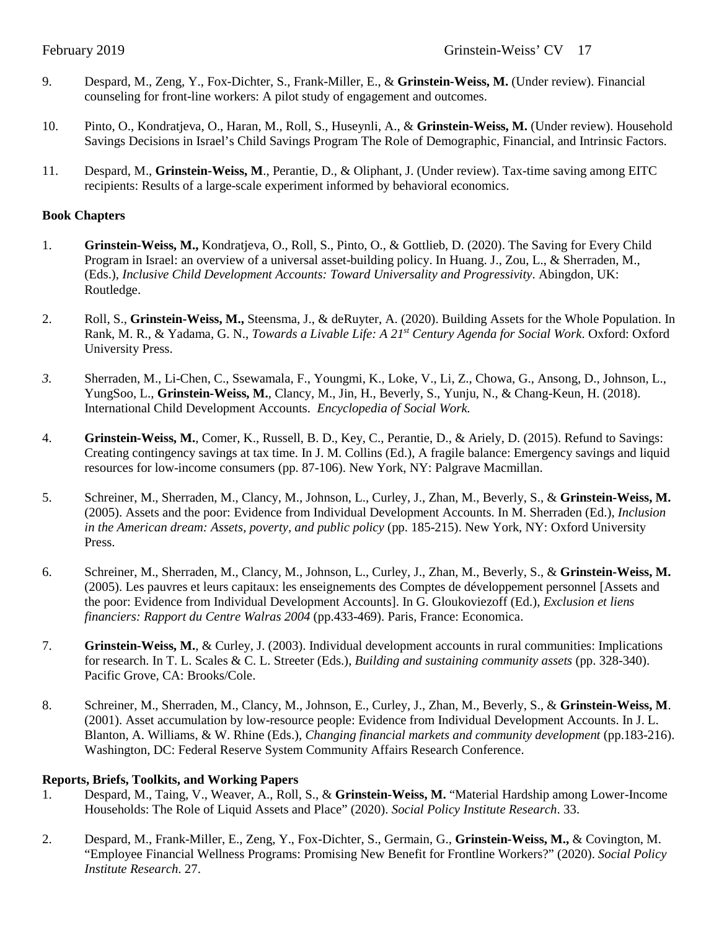- 9. Despard, M., Zeng, Y., Fox-Dichter, S., Frank-Miller, E., & **Grinstein-Weiss, M.** (Under review). Financial counseling for front-line workers: A pilot study of engagement and outcomes.
- 10. Pinto, O., Kondratjeva, O., Haran, M., Roll, S., Huseynli, A., & **Grinstein-Weiss, M.** (Under review). Household Savings Decisions in Israel's Child Savings Program The Role of Demographic, Financial, and Intrinsic Factors.
- 11. Despard, M., **Grinstein-Weiss, M**., Perantie, D., & Oliphant, J. (Under review). Tax-time saving among EITC recipients: Results of a large-scale experiment informed by behavioral economics.

#### **Book Chapters**

- 1. **Grinstein-Weiss, M.,** Kondratjeva, O., Roll, S., Pinto, O., & Gottlieb, D. (2020). The Saving for Every Child Program in Israel: an overview of a universal asset-building policy. In Huang. J., Zou, L., & Sherraden, M., (Eds.), *Inclusive Child Development Accounts: Toward Universality and Progressivity*. Abingdon, UK: Routledge.
- 2. Roll, S., **Grinstein-Weiss, M.,** Steensma, J., & deRuyter, A. (2020). Building Assets for the Whole Population. In Rank, M. R., & Yadama, G. N., *Towards a Livable Life: A 21st Century Agenda for Social Work*. Oxford: Oxford University Press.
- *3.* Sherraden, M., Li-Chen, C., Ssewamala, F., Youngmi, K., Loke, V., Li, Z., Chowa, G., Ansong, D., Johnson, L., YungSoo, L., **Grinstein-Weiss, M.**, Clancy, M., Jin, H., Beverly, S., Yunju, N., & Chang-Keun, H. (2018). International Child Development Accounts. *Encyclopedia of Social Work.*
- 4. **Grinstein-Weiss, M.**, Comer, K., Russell, B. D., Key, C., Perantie, D., & Ariely, D. (2015). Refund to Savings: Creating contingency savings at tax time. In J. M. Collins (Ed.), A fragile balance: Emergency savings and liquid resources for low-income consumers (pp. 87-106). New York, NY: Palgrave Macmillan.
- 5. Schreiner, M., Sherraden, M., Clancy, M., Johnson, L., Curley, J., Zhan, M., Beverly, S., & **Grinstein-Weiss, M.** (2005). Assets and the poor: Evidence from Individual Development Accounts. In M. Sherraden (Ed.), *Inclusion in the American dream: Assets, poverty, and public policy* (pp. 185-215). New York, NY: Oxford University Press.
- 6. Schreiner, M., Sherraden, M., Clancy, M., Johnson, L., Curley, J., Zhan, M., Beverly, S., & **Grinstein-Weiss, M.** (2005). Les pauvres et leurs capitaux: les enseignements des Comptes de développement personnel [Assets and the poor: Evidence from Individual Development Accounts]. In G. Gloukoviezoff (Ed.), *Exclusion et liens financiers: Rapport du Centre Walras 2004* (pp.433-469). Paris, France: Economica.
- 7. **Grinstein-Weiss, M.**, & Curley, J. (2003). Individual development accounts in rural communities: Implications for research. In T. L. Scales & C. L. Streeter (Eds.), *Building and sustaining community assets* (pp. 328-340). Pacific Grove, CA: Brooks/Cole.
- 8. Schreiner, M., Sherraden, M., Clancy, M., Johnson, E., Curley, J., Zhan, M., Beverly, S., & **Grinstein-Weiss, M**. (2001). Asset accumulation by low-resource people: Evidence from Individual Development Accounts. In J. L. Blanton, A. Williams, & W. Rhine (Eds.), *Changing financial markets and community development* (pp.183-216). Washington, DC: Federal Reserve System Community Affairs Research Conference.

#### **Reports, Briefs, Toolkits, and Working Papers**

- 1. Despard, M., Taing, V., Weaver, A., Roll, S., & **Grinstein-Weiss, M.** "Material Hardship among Lower-Income Households: The Role of Liquid Assets and Place" (2020). *Social Policy Institute Research*. 33.
- 2. Despard, M., Frank-Miller, E., Zeng, Y., Fox-Dichter, S., Germain, G., **Grinstein-Weiss, M.,** & Covington, M. "Employee Financial Wellness Programs: Promising New Benefit for Frontline Workers?" (2020). *Social Policy Institute Research*. 27.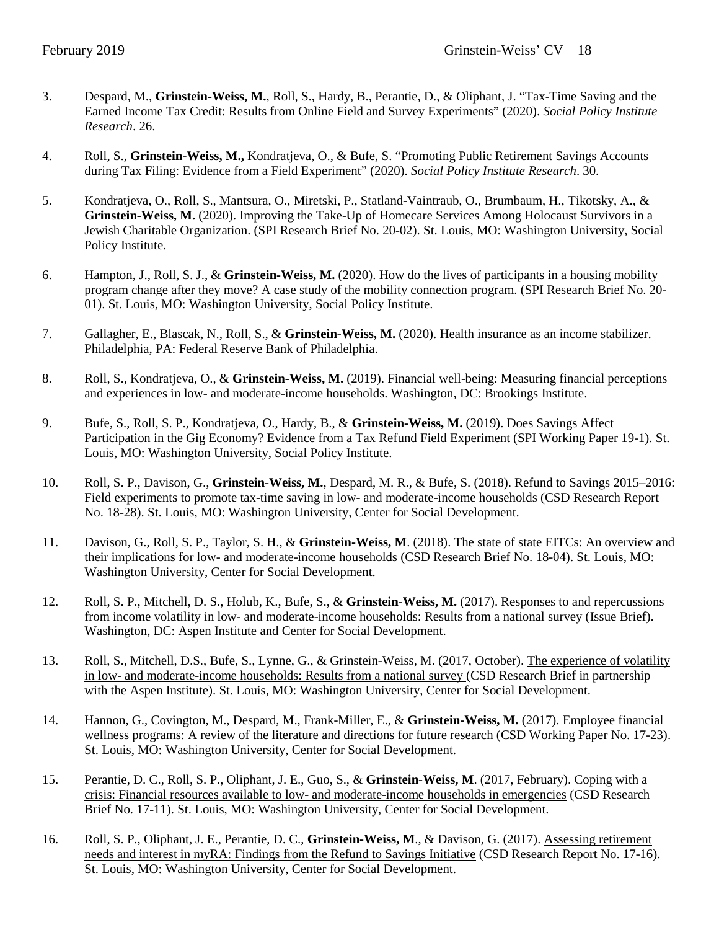- 3. Despard, M., **Grinstein-Weiss, M.**, Roll, S., Hardy, B., Perantie, D., & Oliphant, J. "Tax-Time Saving and the Earned Income Tax Credit: Results from Online Field and Survey Experiments" (2020). *Social Policy Institute Research*. 26.
- 4. Roll, S., **Grinstein-Weiss, M.,** Kondratjeva, O., & Bufe, S. "Promoting Public Retirement Savings Accounts during Tax Filing: Evidence from a Field Experiment" (2020). *Social Policy Institute Research*. 30.
- 5. Kondratjeva, O., Roll, S., Mantsura, O., Miretski, P., Statland-Vaintraub, O., Brumbaum, H., Tikotsky, A., & **Grinstein-Weiss, M.** (2020). Improving the Take-Up of Homecare Services Among Holocaust Survivors in a Jewish Charitable Organization. (SPI Research Brief No. 20-02). St. Louis, MO: Washington University, Social Policy Institute.
- 6. Hampton, J., Roll, S. J., & **Grinstein-Weiss, M.** (2020). How do the lives of participants in a housing mobility program change after they move? A case study of the mobility connection program. (SPI Research Brief No. 20- 01). St. Louis, MO: Washington University, Social Policy Institute.
- 7. Gallagher, E., Blascak, N., Roll, S., & **Grinstein-Weiss, M.** (2020). [Health insurance as an income stabilizer.](https://www.philadelphiafed.org/-/media/research-and-data/publications/working-papers/2020/wp20-05.pdf) Philadelphia, PA: Federal Reserve Bank of Philadelphia.
- 8. Roll, S., Kondratjeva, O., & **Grinstein-Weiss, M.** (2019). Financial well-being: Measuring financial perceptions and experiences in low- and moderate-income households. Washington, DC: Brookings Institute.
- 9. Bufe, S., Roll, S. P., Kondratjeva, O., Hardy, B., & **Grinstein-Weiss, M.** (2019). Does Savings Affect Participation in the Gig Economy? Evidence from a Tax Refund Field Experiment (SPI Working Paper 19-1). St. Louis, MO: Washington University, Social Policy Institute.
- 10. Roll, S. P., Davison, G., **Grinstein-Weiss, M.**, Despard, M. R., & Bufe, S. (2018). [Refund to Savings 2015–2016:](https://csd.wustl.edu/Publications/Documents/RR18-28.pdf)  [Field experiments to promote tax-time saving in low-](https://csd.wustl.edu/Publications/Documents/RR18-28.pdf) and moderate-income households (CSD Research Report No. 18-28). St. Louis, MO: Washington University, Center for Social Development.
- 11. Davison, G., Roll, S. P., Taylor, S. H., & **Grinstein-Weiss, M**. (2018). [The state of state EITCs: An overview and](https://csd.wustl.edu/Publications/Documents/RB18-04.pdf)  their implications for low- [and moderate-income households](https://csd.wustl.edu/Publications/Documents/RB18-04.pdf) (CSD Research Brief No. 18-04). St. Louis, MO: Washington University, Center for Social Development.
- 12. Roll, S. P., Mitchell, D. S., Holub, K., Bufe, S., & **Grinstein-Weiss, M.** (2017). Responses to and repercussions from income volatility in low- and moderate-income households: Results from a national survey (Issue Brief). Washington, DC: Aspen Institute and Center for Social Development.
- 13. Roll, S., Mitchell, D.S., Bufe, S., Lynne, G., & Grinstein-Weiss, M. (2017, October). [The experience of volatility](https://www.aspeninstitute.org/publications/experience-volatility-low-moderate-income-households-results-national-survey/)  in low- [and moderate-income households: Results from a national survey \(](https://www.aspeninstitute.org/publications/experience-volatility-low-moderate-income-households-results-national-survey/)CSD Research Brief in partnership with the Aspen Institute). St. Louis, MO: Washington University, Center for Social Development.
- 14. Hannon, G., Covington, M., Despard, M., Frank-Miller, E., & **Grinstein-Weiss, M.** (2017). Employee financial wellness programs: A review of the literature and directions for future research (CSD Working Paper No. 17-23). St. Louis, MO: Washington University, Center for Social Development.
- 15. Perantie, D. C., Roll, S. P., Oliphant, J. E., Guo, S., & **Grinstein-Weiss, M**. (2017, February). [Coping with a](https://csd.wustl.edu/Publications/Pages/DisplayResultItem.aspx?ID1=1390)  crisis: Financial resources available to low- [and moderate-income households in emergencies](https://csd.wustl.edu/Publications/Pages/DisplayResultItem.aspx?ID1=1390) (CSD Research Brief No. 17-11). St. Louis, MO: Washington University, Center for Social Development.
- 16. Roll, S. P., Oliphant, J. E., Perantie, D. C., **Grinstein-Weiss, M**., & Davison, G. (2017). [Assessing retirement](https://csd.wustl.edu/Publications/Pages/DisplayResultItem.aspx?ID1=1396)  [needs and interest in myRA: Findings from the Refund to Savings Initiative](https://csd.wustl.edu/Publications/Pages/DisplayResultItem.aspx?ID1=1396) (CSD Research Report No. 17-16). St. Louis, MO: Washington University, Center for Social Development.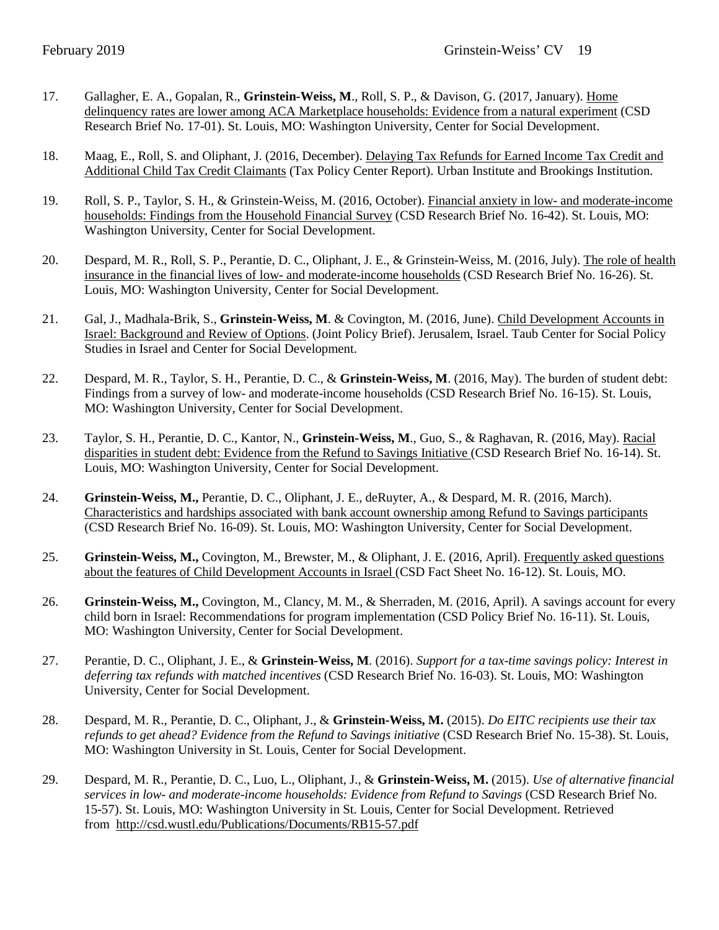- 17. Gallagher, E. A., Gopalan, R., **Grinstein-Weiss, M**., Roll, S. P., & Davison, G. (2017, January). [Home](https://csd.wustl.edu/Publications/Documents/RB17-01.pdf)  [delinquency rates are lower among ACA Marketplace households: Evidence from a natural experiment](https://csd.wustl.edu/Publications/Documents/RB17-01.pdf) (CSD Research Brief No. 17-01). St. Louis, MO: Washington University, Center for Social Development.
- 18. Maag, E., Roll, S. and Oliphant, J. (2016, December). [Delaying Tax Refunds for Earned Income Tax Credit and](http://www.urban.org/sites/default/files/publication/86336/2001018-delaying-tax-refunds-for-earned-income-tax-credit-and-additional-child-tax-credit-claimants_0.pdf)  [Additional Child Tax Credit Claimants](http://www.urban.org/sites/default/files/publication/86336/2001018-delaying-tax-refunds-for-earned-income-tax-credit-and-additional-child-tax-credit-claimants_0.pdf) (Tax Policy Center Report). Urban Institute and Brookings Institution.
- 19. Roll, S. P., Taylor, S. H., & Grinstein-Weiss, M. (2016, October). [Financial anxiety in low-](https://csd.wustl.edu/Publications/Documents/RB16-42.pdf) and moderate-income [households: Findings from the Household Financial Survey](https://csd.wustl.edu/Publications/Documents/RB16-42.pdf) (CSD Research Brief No. 16-42). St. Louis, MO: Washington University, Center for Social Development.
- 20. Despard, M. R., Roll, S. P., Perantie, D. C., Oliphant, J. E., & Grinstein-Weiss, M. (2016, July). [The role of health](https://csd.wustl.edu/Publications/Documents/RB16-26.pdf)  [insurance in the financial lives of low-](https://csd.wustl.edu/Publications/Documents/RB16-26.pdf) and moderate-income households (CSD Research Brief No. 16-26). St. Louis, MO: Washington University, Center for Social Development.
- 21. Gal, J., Madhala-Brik, S., **Grinstein-Weiss, M**. & Covington, M. (2016, June)[. Child Development Accounts in](http://taubcenter.org.il/long-term-savings-accounts-for-children/)  [Israel: Background and Review of Options.](http://taubcenter.org.il/long-term-savings-accounts-for-children/) (Joint Policy Brief). Jerusalem, Israel. Taub Center for Social Policy Studies in Israel and Center for Social Development.
- 22. Despard, M. R., Taylor, S. H., Perantie, D. C., & **Grinstein-Weiss, M**. (2016, May). The burden of student debt: Findings from a survey of low- and moderate-income households (CSD Research Brief No. 16-15). St. Louis, MO: Washington University, Center for Social Development.
- 23. Taylor, S. H., Perantie, D. C., Kantor, N., **Grinstein-Weiss, M**., Guo, S., & Raghavan, R. (2016, May). Racial disparities in student debt: Evidence from the Refund to Savings Initiative (CSD Research Brief No. 16-14). St. Louis, MO: Washington University, Center for Social Development.
- 24. **Grinstein-Weiss, M.,** Perantie, D. C., Oliphant, J. E., deRuyter, A., & Despard, M. R. (2016, March). [Characteristics and hardships associated with bank account ownership among Refund to Savings participants](https://csd.wustl.edu/Publications/Documents/RB16-09.pdf) (CSD Research Brief No. 16-09). St. Louis, MO: Washington University, Center for Social Development.
- 25. **Grinstein-Weiss, M.,** Covington, M., Brewster, M., & Oliphant, J. E. (2016, April). Frequently asked questions about the features of Child Development Accounts in Israel (CSD Fact Sheet No. 16-12). St. Louis, MO.
- 26. **Grinstein-Weiss, M.,** Covington, M., Clancy, M. M., & Sherraden, M. (2016, April). A savings account for every child born in Israel: Recommendations for program implementation (CSD Policy Brief No. 16-11). St. Louis, MO: Washington University, Center for Social Development.
- 27. Perantie, D. C., Oliphant, J. E., & **Grinstein-Weiss, M**. (2016). *[Support for a tax-time savings policy: Interest in](http://csd.wustl.edu/Publications/Documents/RB16-03.pdf)  [deferring tax refunds with matched incentives](http://csd.wustl.edu/Publications/Documents/RB16-03.pdf)* (CSD Research Brief No. 16-03). St. Louis, MO: Washington University, Center for Social Development.
- 28. Despard, M. R., Perantie, D. C., Oliphant, J., & **Grinstein-Weiss, M.** (2015). *Do EITC recipients use their tax refunds to get ahead? Evidence from the Refund to Savings initiative* (CSD Research Brief No. 15-38). St. Louis, MO: Washington University in St. Louis, Center for Social Development.
- 29. Despard, M. R., Perantie, D. C., Luo, L., Oliphant, J., & **Grinstein-Weiss, M.** (2015). *Use of alternative financial services in low- and moderate-income households: Evidence from Refund to Savings* (CSD Research Brief No. 15-57). St. Louis, MO: Washington University in St. Louis, Center for Social Development. Retrieved from <http://csd.wustl.edu/Publications/Documents/RB15-57.pdf>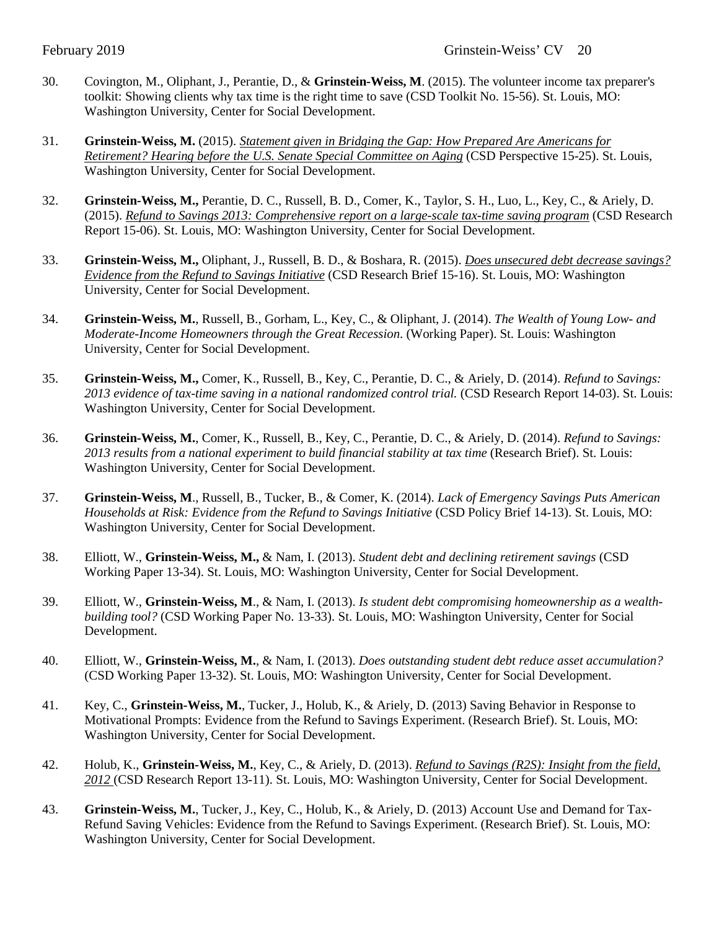- 30. Covington, M., Oliphant, J., Perantie, D., & **Grinstein-Weiss, M**. (2015). The volunteer income tax preparer's toolkit: Showing clients why tax time is the right time to save (CSD Toolkit No. 15-56). St. Louis, MO: Washington University, Center for Social Development.
- 31. **Grinstein-Weiss, M.** (2015). *[Statement given in Bridging the Gap: How Prepared Are Americans for](http://csd.wustl.edu/Publications/Documents/P15-25.pdf)  [Retirement? Hearing before the U.S. Senate Special Committee on Aging](http://csd.wustl.edu/Publications/Documents/P15-25.pdf)* (CSD Perspective 15-25). St. Louis, Washington University, Center for Social Development.
- 32. **Grinstein-Weiss, M.,** Perantie, D. C., Russell, B. D., Comer, K., Taylor, S. H., Luo, L., Key, C., & Ariely, D. (2015). *[Refund to Savings 2013: Comprehensive report on a large-scale tax-time saving program](http://csd.wustl.edu/Publications/Documents/RR15-06.pdf)* (CSD Research Report 15-06). St. Louis, MO: Washington University, Center for Social Development.
- 33. **Grinstein-Weiss, M.,** Oliphant, J., Russell, B. D., & Boshara, R. (2015). *[Does unsecured debt decrease savings?](http://csd.wustl.edu/Publications/Documents/RB15-16.pdf)  [Evidence from the Refund to Savings Initiative](http://csd.wustl.edu/Publications/Documents/RB15-16.pdf)* (CSD Research Brief 15-16). St. Louis, MO: Washington University, Center for Social Development.
- 34. **Grinstein-Weiss, M.**, Russell, B., Gorham, L., Key, C., & Oliphant, J. (2014). *The Wealth of Young Low- and Moderate-Income Homeowners through the Great Recession*. (Working Paper). St. Louis: Washington University, Center for Social Development.
- 35. **Grinstein-Weiss, M.,** Comer, K., Russell, B., Key, C., Perantie, D. C., & Ariely, D. (2014). *Refund to Savings: 2013 evidence of tax-time saving in a national randomized control trial.* (CSD Research Report 14-03). St. Louis: Washington University, Center for Social Development.
- 36. **Grinstein-Weiss, M.**, Comer, K., Russell, B., Key, C., Perantie, D. C., & Ariely, D. (2014). *Refund to Savings: 2013 results from a national experiment to build financial stability at tax time* (Research Brief). St. Louis: Washington University, Center for Social Development.
- 37. **Grinstein-Weiss, M**., Russell, B., Tucker, B., & Comer, K. (2014). *Lack of Emergency Savings Puts American Households at Risk: Evidence from the Refund to Savings Initiative* (CSD Policy Brief 14-13). St. Louis, MO: Washington University, Center for Social Development.
- 38. Elliott, W., **Grinstein-Weiss, M.,** & Nam, I. (2013). *[Student debt and declining retirement savings](http://csd.wustl.edu/Publications/Documents/WP13-34.pdf)* (CSD Working Paper 13-34). St. Louis, MO: Washington University, Center for Social Development.
- 39. Elliott, W., **Grinstein-Weiss, M**., & Nam, I. (2013). *[Is student debt compromising homeownership as a wealth](http://csd.wustl.edu/Publications/Documents/Do%20Child%20Development%20Accounts%20Promote%20Account%20Holding,%20Saving,%20and%20Asset%20Accumulation%20for%20Children%E2%80%99s%20Future.pdf)[building tool?](http://csd.wustl.edu/Publications/Documents/Do%20Child%20Development%20Accounts%20Promote%20Account%20Holding,%20Saving,%20and%20Asset%20Accumulation%20for%20Children%E2%80%99s%20Future.pdf)* (CSD Working Paper No. 13-33). St. Louis, MO: Washington University, Center for Social Development.
- 40. Elliott, W., **Grinstein-Weiss, M.**, & Nam, I. (2013). *Does outstanding student debt reduce asset accumulation?*  (CSD Working Paper 13-32). St. Louis, MO: Washington University, Center for Social Development.
- 41. Key, C., **Grinstein-Weiss, M.**, Tucker, J., Holub, K., & Ariely, D. (2013) Saving Behavior in Response to Motivational Prompts: Evidence from the Refund to Savings Experiment. (Research Brief). St. Louis, MO: Washington University, Center for Social Development.
- 42. Holub, K., **Grinstein-Weiss, M.**, Key, C., & Ariely, D. (2013). *[Refund to Savings \(R2S\): Insight from the field,](http://csd.wustl.edu/Publications/Documents/RR13-11.pdf)  [2012](http://csd.wustl.edu/Publications/Documents/RR13-11.pdf)* (CSD Research Report 13-11). St. Louis, MO: Washington University, Center for Social Development.
- 43. **Grinstein-Weiss, M.**, Tucker, J., Key, C., Holub, K., & Ariely, D. (2013) Account Use and Demand for Tax-Refund Saving Vehicles: Evidence from the Refund to Savings Experiment. (Research Brief). St. Louis, MO: Washington University, Center for Social Development.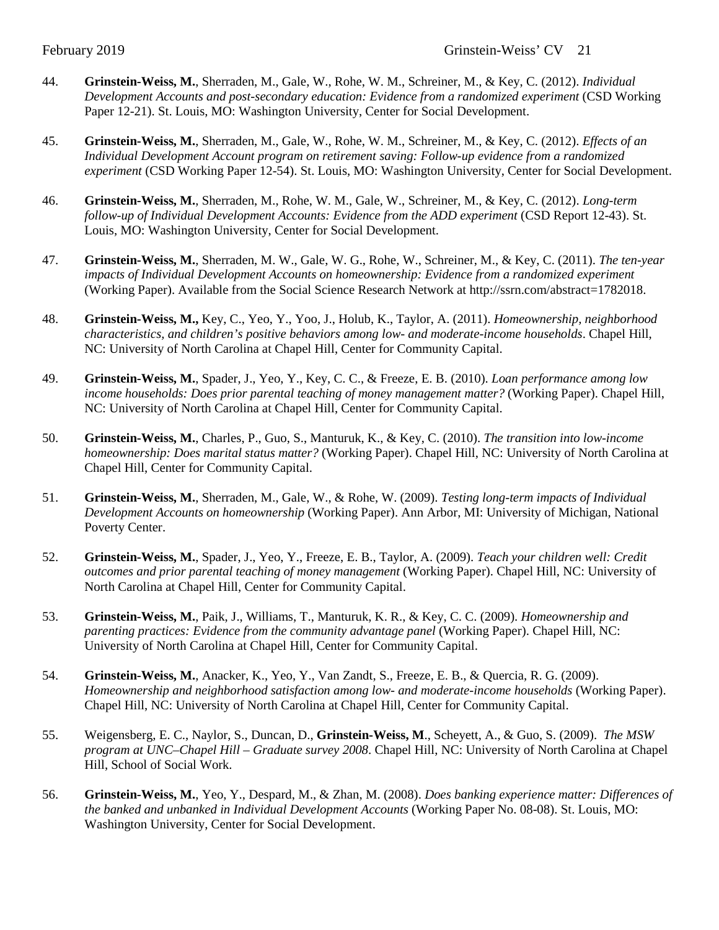- 44. **Grinstein-Weiss, M.**, Sherraden, M., Gale, W., Rohe, W. M., Schreiner, M., & Key, C. (2012). *Individual Development Accounts and post-secondary education: Evidence from a randomized experiment* (CSD Working Paper 12-21). St. Louis, MO: Washington University, Center for Social Development.
- 45. **Grinstein-Weiss, M.**, Sherraden, M., Gale, W., Rohe, W. M., Schreiner, M., & Key, C. (2012). *[Effects of an](http://csd.wustl.edu/Publications/Documents/WP%2012-54.pdf)  [Individual Development Account program on retirement saving: Follow-up evidence from a randomized](http://csd.wustl.edu/Publications/Documents/WP%2012-54.pdf)  [experiment](http://csd.wustl.edu/Publications/Documents/WP%2012-54.pdf)* (CSD Working Paper 12-54). St. Louis, MO: Washington University, Center for Social Development.
- 46. **Grinstein-Weiss, M.**, Sherraden, M., Rohe, W. M., Gale, W., Schreiner, M., & Key, C. (2012). *[Long-term](http://csd.wustl.edu/Publications/Documents/ADD4%20Final%20Report%20June%202012_final_proof.pdf)  [follow-up of Individual Development Accounts: Evidence from the ADD experiment](http://csd.wustl.edu/Publications/Documents/ADD4%20Final%20Report%20June%202012_final_proof.pdf)* (CSD Report 12-43). St. Louis, MO: Washington University, Center for Social Development.
- 47. **Grinstein-Weiss, M.**, Sherraden, M. W., Gale, W. G., Rohe, W., Schreiner, M., & Key, C. (2011). *The ten-year impacts of Individual Development Accounts on homeownership: Evidence from a randomized experiment* (Working Paper). Available from the Social Science Research Network at http://ssrn.com/abstract=1782018.
- 48. **Grinstein-Weiss, M.,** Key, C., Yeo, Y., Yoo, J., Holub, K., Taylor, A. (2011). *Homeownership, neighborhood characteristics, and children's positive behaviors among low- and moderate-income households*. Chapel Hill, NC: University of North Carolina at Chapel Hill, Center for Community Capital.
- 49. **Grinstein-Weiss, M.**, Spader, J., Yeo, Y., Key, C. C., & Freeze, E. B. (2010). *Loan performance among low income households: Does prior parental teaching of money management matter?* (Working Paper). Chapel Hill, NC: University of North Carolina at Chapel Hill, Center for Community Capital.
- 50. **Grinstein-Weiss, M.**, Charles, P., Guo, S., Manturuk, K., & Key, C. (2010). *The transition into low-income homeownership: Does marital status matter?* (Working Paper). Chapel Hill, NC: University of North Carolina at Chapel Hill, Center for Community Capital.
- 51. **Grinstein-Weiss, M.**, Sherraden, M., Gale, W., & Rohe, W. (2009). *Testing long-term impacts of Individual Development Accounts on homeownership* (Working Paper). Ann Arbor, MI: University of Michigan, National Poverty Center.
- 52. **Grinstein-Weiss, M.**, Spader, J., Yeo, Y., Freeze, E. B., Taylor, A. (2009). *Teach your children well: Credit outcomes and prior parental teaching of money management* (Working Paper). Chapel Hill, NC: University of North Carolina at Chapel Hill, Center for Community Capital.
- 53. **Grinstein-Weiss, M.**, Paik, J., Williams, T., Manturuk, K. R., & Key, C. C. (2009). *Homeownership and parenting practices: Evidence from the community advantage panel* (Working Paper). Chapel Hill, NC: University of North Carolina at Chapel Hill, Center for Community Capital.
- 54. **Grinstein-Weiss, M.**, Anacker, K., Yeo, Y., Van Zandt, S., Freeze, E. B., & Quercia, R. G. (2009). *Homeownership and neighborhood satisfaction among low- and moderate-income households* (Working Paper). Chapel Hill, NC: University of North Carolina at Chapel Hill, Center for Community Capital.
- 55. Weigensberg, E. C., Naylor, S., Duncan, D., **Grinstein-Weiss, M**., Scheyett, A., & Guo, S. (2009). *The MSW program at UNC–Chapel Hill – Graduate survey 2008*. Chapel Hill, NC: University of North Carolina at Chapel Hill, School of Social Work.
- 56. **Grinstein-Weiss, M.**, Yeo, Y., Despard, M., & Zhan, M. (2008). *Does banking experience matter: Differences of the banked and unbanked in Individual Development Accounts* (Working Paper No. 08-08). St. Louis, MO: Washington University, Center for Social Development.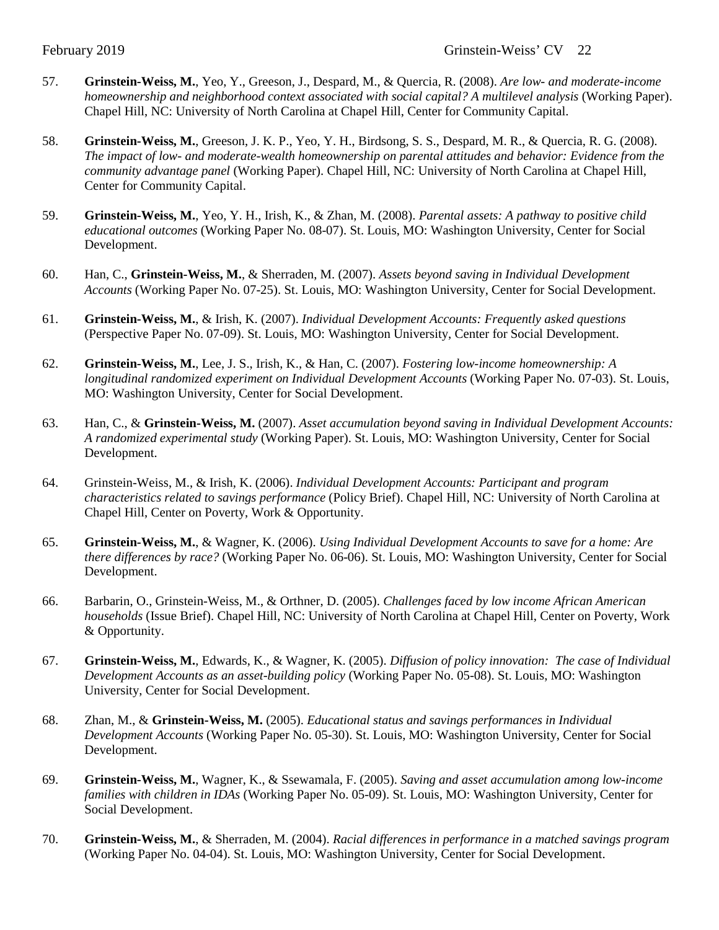- 57. **Grinstein-Weiss, M.**, Yeo, Y., Greeson, J., Despard, M., & Quercia, R. (2008). *Are low- and moderate-income homeownership and neighborhood context associated with social capital? A multilevel analysis* (Working Paper). Chapel Hill, NC: University of North Carolina at Chapel Hill, Center for Community Capital.
- 58. **Grinstein-Weiss, M.**, Greeson, J. K. P., Yeo, Y. H., Birdsong, S. S., Despard, M. R., & Quercia, R. G. (2008). *The impact of low- and moderate-wealth homeownership on parental attitudes and behavior: Evidence from the community advantage panel* (Working Paper). Chapel Hill, NC: University of North Carolina at Chapel Hill, Center for Community Capital.
- 59. **Grinstein-Weiss, M.**, Yeo, Y. H., Irish, K., & Zhan, M. (2008). *Parental assets: A pathway to positive child educational outcomes* (Working Paper No. 08-07). St. Louis, MO: Washington University, Center for Social Development.
- 60. Han, C., **Grinstein-Weiss, M.**, & Sherraden, M. (2007). *Assets beyond saving in Individual Development Accounts* (Working Paper No. 07-25). St. Louis, MO: Washington University, Center for Social Development.
- 61. **Grinstein-Weiss, M.**, & Irish, K. (2007). *Individual Development Accounts: Frequently asked questions* (Perspective Paper No. 07-09). St. Louis, MO: Washington University, Center for Social Development.
- 62. **Grinstein-Weiss, M.**, Lee, J. S., Irish, K., & Han, C. (2007). *Fostering low-income homeownership: A longitudinal randomized experiment on Individual Development Accounts* (Working Paper No. 07-03). St. Louis, MO: Washington University, Center for Social Development.
- 63. Han, C., & **Grinstein-Weiss, M.** (2007). *Asset accumulation beyond saving in Individual Development Accounts: A randomized experimental study* (Working Paper). St. Louis, MO: Washington University, Center for Social Development.
- 64. Grinstein-Weiss, M., & Irish, K. (2006). *Individual Development Accounts: Participant and program characteristics related to savings performance* (Policy Brief). Chapel Hill, NC: University of North Carolina at Chapel Hill, Center on Poverty, Work & Opportunity.
- 65. **Grinstein-Weiss, M.**, & Wagner, K. (2006). *Using Individual Development Accounts to save for a home: Are there differences by race?* (Working Paper No. 06-06). St. Louis, MO: Washington University, Center for Social Development.
- 66. Barbarin, O., Grinstein-Weiss, M., & Orthner, D. (2005). *Challenges faced by low income African American households* (Issue Brief). Chapel Hill, NC: University of North Carolina at Chapel Hill, Center on Poverty, Work & Opportunity.
- 67. **Grinstein-Weiss, M.**, Edwards, K., & Wagner, K. (2005). *Diffusion of policy innovation: The case of Individual Development Accounts as an asset-building policy* (Working Paper No. 05-08). St. Louis, MO: Washington University, Center for Social Development.
- 68. Zhan, M., & **Grinstein-Weiss, M.** (2005). *Educational status and savings performances in Individual Development Accounts* (Working Paper No. 05-30). St. Louis, MO: Washington University, Center for Social Development.
- 69. **Grinstein-Weiss, M.**, Wagner, K., & Ssewamala, F. (2005). *Saving and asset accumulation among low-income families with children in IDAs* (Working Paper No. 05-09). St. Louis, MO: Washington University, Center for Social Development.
- 70. **Grinstein-Weiss, M.**, & Sherraden, M. (2004). *Racial differences in performance in a matched savings program*  (Working Paper No. 04-04). St. Louis, MO: Washington University, Center for Social Development.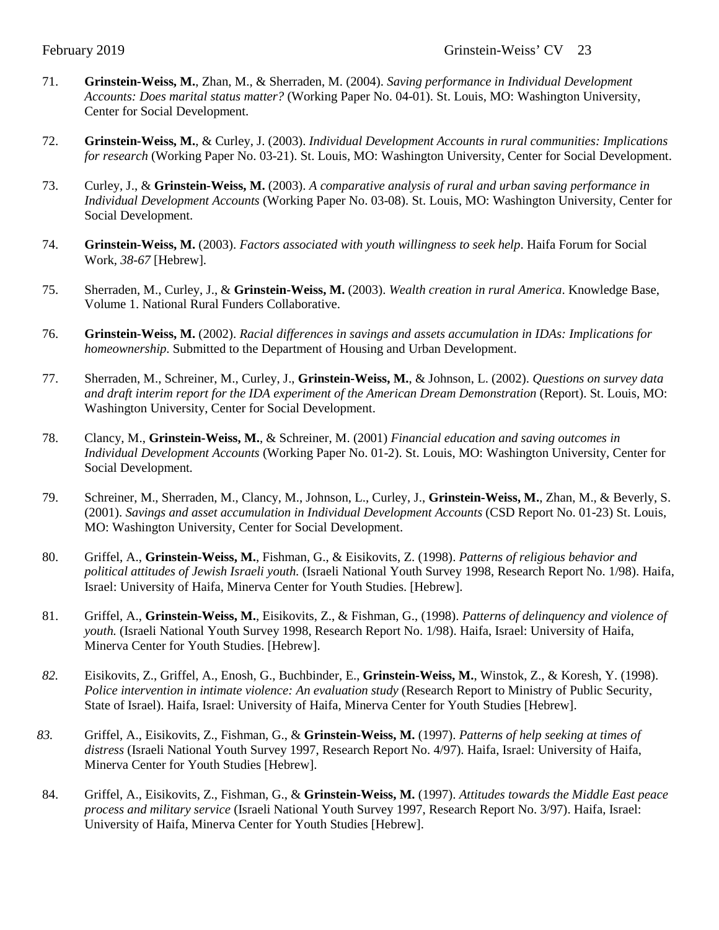- 71. **Grinstein-Weiss, M.**, Zhan, M., & Sherraden, M. (2004). *Saving performance in Individual Development Accounts: Does marital status matter?* (Working Paper No. 04-01). St. Louis, MO: Washington University, Center for Social Development.
- 72. **Grinstein-Weiss, M.**, & Curley, J. (2003). *Individual Development Accounts in rural communities: Implications for research* (Working Paper No. 03-21). St. Louis, MO: Washington University, Center for Social Development.
- 73. Curley, J., & **Grinstein-Weiss, M.** (2003). *A comparative analysis of rural and urban saving performance in Individual Development Accounts* (Working Paper No. 03-08). St. Louis, MO: Washington University, Center for Social Development.
- 74. **Grinstein-Weiss, M.** (2003). *Factors associated with youth willingness to seek help*. Haifa Forum for Social Work*, 38-67* [Hebrew].
- 75. Sherraden, M., Curley, J., & **Grinstein-Weiss, M.** (2003). *Wealth creation in rural America*. Knowledge Base, Volume 1. National Rural Funders Collaborative.
- 76. **Grinstein-Weiss, M.** (2002). *Racial differences in savings and assets accumulation in IDAs: Implications for homeownership*. Submitted to the Department of Housing and Urban Development.
- 77. Sherraden, M., Schreiner, M., Curley, J., **Grinstein-Weiss, M.**, & Johnson, L. (2002). *Questions on survey data and draft interim report for the IDA experiment of the American Dream Demonstration* (Report). St. Louis, MO: Washington University, Center for Social Development.
- 78. Clancy, M., **Grinstein-Weiss, M.**, & Schreiner, M. (2001) *Financial education and saving outcomes in Individual Development Accounts* (Working Paper No. 01-2). St. Louis, MO: Washington University, Center for Social Development*.*
- 79. Schreiner, M., Sherraden, M., Clancy, M., Johnson, L., Curley, J., **Grinstein-Weiss, M.**, Zhan, M., & Beverly, S. (2001). *Savings and asset accumulation in Individual Development Accounts* (CSD Report No. 01-23) St. Louis, MO: Washington University, Center for Social Development.
- 80. Griffel, A., **Grinstein-Weiss, M.**, Fishman, G., & Eisikovits, Z. (1998). *Patterns of religious behavior and political attitudes of Jewish Israeli youth.* (Israeli National Youth Survey 1998, Research Report No. 1/98). Haifa, Israel: University of Haifa, Minerva Center for Youth Studies. [Hebrew].
- 81. Griffel, A., **Grinstein-Weiss, M.**, Eisikovits, Z., & Fishman, G., (1998). *Patterns of delinquency and violence of youth.* (Israeli National Youth Survey 1998, Research Report No. 1/98). Haifa, Israel: University of Haifa, Minerva Center for Youth Studies. [Hebrew].
- *82.* Eisikovits, Z., Griffel, A., Enosh, G., Buchbinder, E., **Grinstein-Weiss, M.**, Winstok, Z., & Koresh, Y. (1998). *Police intervention in intimate violence: An evaluation study* (Research Report to Ministry of Public Security, State of Israel). Haifa, Israel: University of Haifa, Minerva Center for Youth Studies [Hebrew].
- *83.* Griffel, A., Eisikovits, Z., Fishman, G., & **Grinstein-Weiss, M.** (1997). *Patterns of help seeking at times of distress* (Israeli National Youth Survey 1997, Research Report No. 4/97). Haifa, Israel: University of Haifa, Minerva Center for Youth Studies [Hebrew].
- 84. Griffel, A., Eisikovits, Z., Fishman, G., & **Grinstein-Weiss, M.** (1997). *Attitudes towards the Middle East peace process and military service* (Israeli National Youth Survey 1997, Research Report No. 3/97). Haifa, Israel: University of Haifa, Minerva Center for Youth Studies [Hebrew].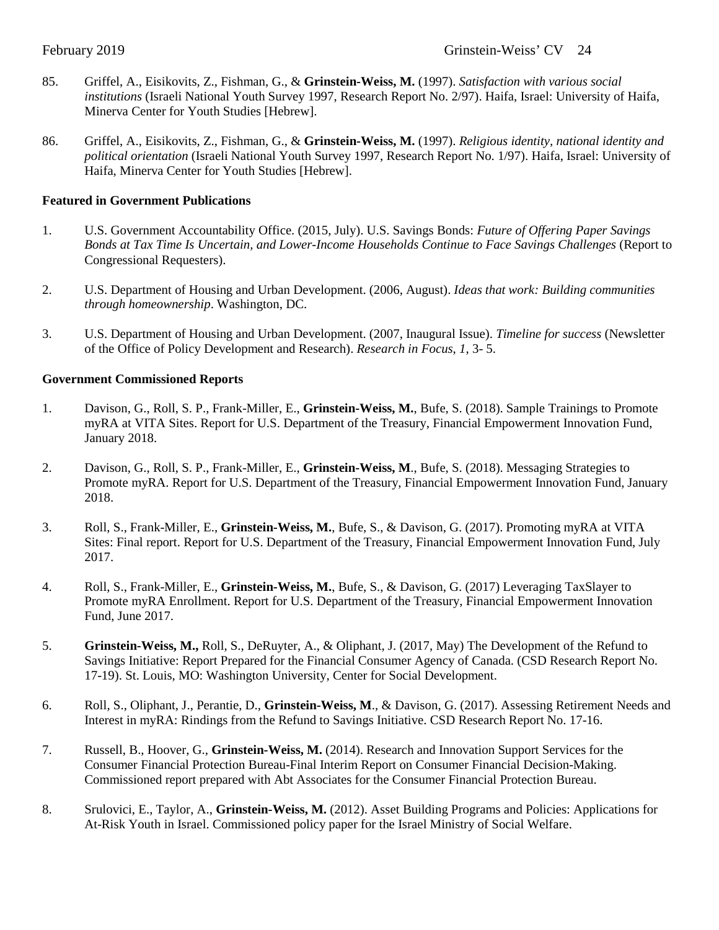- 85. Griffel, A., Eisikovits, Z., Fishman, G., & **Grinstein-Weiss, M.** (1997). *Satisfaction with various social institutions* (Israeli National Youth Survey 1997, Research Report No. 2/97). Haifa, Israel: University of Haifa, Minerva Center for Youth Studies [Hebrew].
- 86. Griffel, A., Eisikovits, Z., Fishman, G., & **Grinstein-Weiss, M.** (1997). *Religious identity, national identity and political orientation* (Israeli National Youth Survey 1997, Research Report No. 1/97). Haifa, Israel: University of Haifa, Minerva Center for Youth Studies [Hebrew].

## **Featured in Government Publications**

- 1. U.S. Government Accountability Office. (2015, July). U.S. Savings Bonds: *Future of Offering Paper Savings Bonds at Tax Time Is Uncertain, and Lower-Income Households Continue to Face Savings Challenges* (Report to Congressional Requesters).
- 2. U.S. Department of Housing and Urban Development. (2006, August). *Ideas that work: Building communities through homeownership*. Washington, DC.
- 3. U.S. Department of Housing and Urban Development. (2007, Inaugural Issue). *Timeline for success* (Newsletter of the Office of Policy Development and Research). *Research in Focus*, *1*, 3- 5.

## **Government Commissioned Reports**

- 1. Davison, G., Roll, S. P., Frank-Miller, E., **Grinstein-Weiss, M.**, Bufe, S. (2018). Sample Trainings to Promote myRA at VITA Sites. Report for U.S. Department of the Treasury, Financial Empowerment Innovation Fund, January 2018.
- 2. Davison, G., Roll, S. P., Frank-Miller, E., **Grinstein-Weiss, M**., Bufe, S. (2018). Messaging Strategies to Promote myRA. Report for U.S. Department of the Treasury, Financial Empowerment Innovation Fund, January 2018.
- 3. Roll, S., Frank-Miller, E., **Grinstein-Weiss, M.**, Bufe, S., & Davison, G. (2017). Promoting myRA at VITA Sites: Final report. Report for U.S. Department of the Treasury, Financial Empowerment Innovation Fund, July 2017.
- 4. Roll, S., Frank-Miller, E., **Grinstein-Weiss, M.**, Bufe, S., & Davison, G. (2017) Leveraging TaxSlayer to Promote myRA Enrollment. Report for U.S. Department of the Treasury, Financial Empowerment Innovation Fund, June 2017.
- 5. **Grinstein-Weiss, M.,** Roll, S., DeRuyter, A., & Oliphant, J. (2017, May) The Development of the Refund to Savings Initiative: Report Prepared for the Financial Consumer Agency of Canada. (CSD Research Report No. 17-19). St. Louis, MO: Washington University, Center for Social Development.
- 6. Roll, S., Oliphant, J., Perantie, D., **Grinstein-Weiss, M**., & Davison, G. (2017). Assessing Retirement Needs and Interest in myRA: Rindings from the Refund to Savings Initiative. CSD Research Report No. 17-16.
- 7. Russell, B., Hoover, G., **Grinstein-Weiss, M.** (2014). Research and Innovation Support Services for the Consumer Financial Protection Bureau-Final Interim Report on Consumer Financial Decision-Making. Commissioned report prepared with Abt Associates for the Consumer Financial Protection Bureau.
- 8. Srulovici, E., Taylor, A., **Grinstein-Weiss, M.** (2012). Asset Building Programs and Policies: Applications for At-Risk Youth in Israel. Commissioned policy paper for the Israel Ministry of Social Welfare.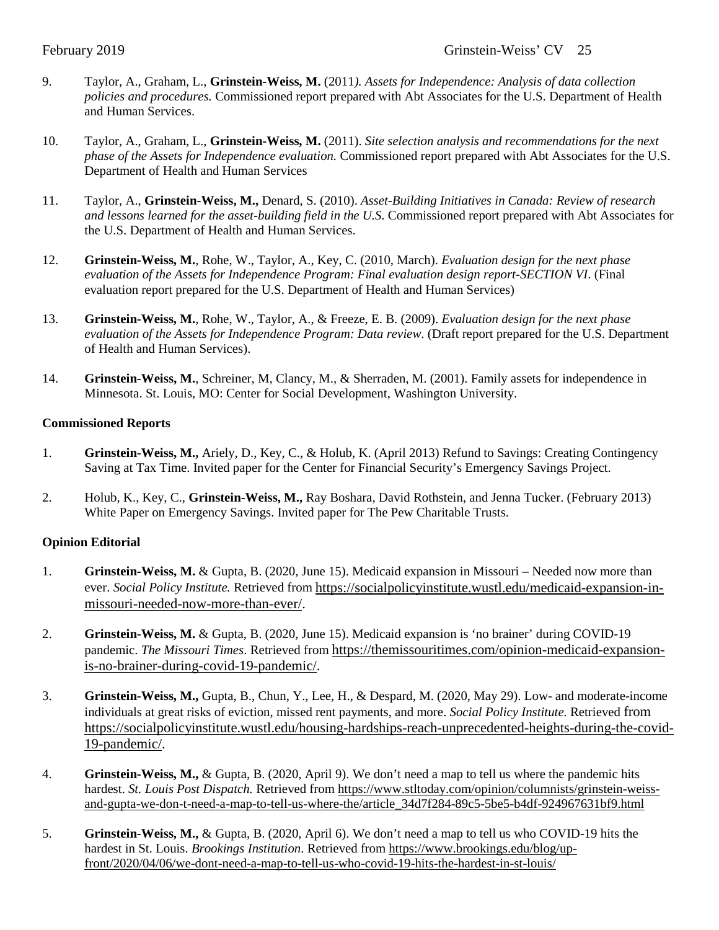- 9. Taylor, A., Graham, L., **Grinstein-Weiss, M.** (2011*). Assets for Independence: Analysis of data collection policies and procedures.* Commissioned report prepared with Abt Associates for the U.S. Department of Health and Human Services.
- 10. Taylor, A., Graham, L., **Grinstein-Weiss, M.** (2011). *Site selection analysis and recommendations for the next phase of the Assets for Independence evaluation.* Commissioned report prepared with Abt Associates for the U.S. Department of Health and Human Services
- 11. Taylor, A., **Grinstein-Weiss, M.,** Denard, S. (2010). *Asset-Building Initiatives in Canada: Review of research and lessons learned for the asset-building field in the U.S*. Commissioned report prepared with Abt Associates for the U.S. Department of Health and Human Services.
- 12. **Grinstein-Weiss, M.**, Rohe, W., Taylor, A., Key, C. (2010, March). *Evaluation design for the next phase evaluation of the Assets for Independence Program: Final evaluation design report-SECTION VI*. (Final evaluation report prepared for the U.S. Department of Health and Human Services)
- 13. **Grinstein-Weiss, M.**, Rohe, W., Taylor, A., & Freeze, E. B. (2009). *Evaluation design for the next phase evaluation of the Assets for Independence Program: Data review*. (Draft report prepared for the U.S. Department of Health and Human Services).
- 14. **Grinstein-Weiss, M.**, Schreiner, M, Clancy, M., & Sherraden, M. (2001). Family assets for independence in Minnesota. St. Louis, MO: Center for Social Development, Washington University.

## **Commissioned Reports**

- 1. **Grinstein-Weiss, M.,** Ariely, D., Key, C., & Holub, K. (April 2013) Refund to Savings: Creating Contingency Saving at Tax Time. Invited paper for the Center for Financial Security's Emergency Savings Project.
- 2. Holub, K., Key, C., **Grinstein-Weiss, M.,** Ray Boshara, David Rothstein, and Jenna Tucker. (February 2013) White Paper on Emergency Savings. Invited paper for The Pew Charitable Trusts.

## **Opinion Editorial**

- 1. **Grinstein-Weiss, M.** & Gupta, B. (2020, June 15). Medicaid expansion in Missouri Needed now more than ever. *Social Policy Institute.* Retrieved fro[m https://socialpolicyinstitute.wustl.edu/medicaid-expansion-in](https://socialpolicyinstitute.wustl.edu/medicaid-expansion-in-missouri-needed-now-more-than-ever/)[missouri-needed-now-more-than-ever/.](https://socialpolicyinstitute.wustl.edu/medicaid-expansion-in-missouri-needed-now-more-than-ever/)
- 2. **Grinstein-Weiss, M.** & Gupta, B. (2020, June 15). Medicaid expansion is 'no brainer' during COVID-19 pandemic. *The Missouri Times*. Retrieved from [https://themissouritimes.com/opinion-medicaid-expansion](https://themissouritimes.com/opinion-medicaid-expansion-is-no-brainer-during-covid-19-pandemic/)[is-no-brainer-during-covid-19-pandemic/.](https://themissouritimes.com/opinion-medicaid-expansion-is-no-brainer-during-covid-19-pandemic/)
- 3. **Grinstein-Weiss, M.,** Gupta, B., Chun, Y., Lee, H., & Despard, M. (2020, May 29). Low- and moderate-income individuals at great risks of eviction, missed rent payments, and more. *Social Policy Institute.* Retrieved from [https://socialpolicyinstitute.wustl.edu/housing-hardships-reach-unprecedented-heights-during-the-covid-](https://socialpolicyinstitute.wustl.edu/housing-hardships-reach-unprecedented-heights-during-the-covid-19-pandemic/)[19-pandemic/.](https://socialpolicyinstitute.wustl.edu/housing-hardships-reach-unprecedented-heights-during-the-covid-19-pandemic/)
- 4. **Grinstein-Weiss, M.,** & Gupta, B. (2020, April 9). We don't need a map to tell us where the pandemic hits hardest. *St. Louis Post Dispatch.* Retrieved fro[m https://www.stltoday.com/opinion/columnists/grinstein-weiss](https://www.stltoday.com/opinion/columnists/grinstein-weiss-and-gupta-we-don-t-need-a-map-to-tell-us-where-the/article_34d7f284-89c5-5be5-b4df-924967631bf9.html)[and-gupta-we-don-t-need-a-map-to-tell-us-where-the/article\\_34d7f284-89c5-5be5-b4df-924967631bf9.html](https://www.stltoday.com/opinion/columnists/grinstein-weiss-and-gupta-we-don-t-need-a-map-to-tell-us-where-the/article_34d7f284-89c5-5be5-b4df-924967631bf9.html)
- 5. **Grinstein-Weiss, M.,** & Gupta, B. (2020, April 6). We don't need a map to tell us who COVID-19 hits the hardest in St. Louis. *Brookings Institution*. Retrieved from [https://www.brookings.edu/blog/up](https://www.brookings.edu/blog/up-front/2020/04/06/we-dont-need-a-map-to-tell-us-who-covid-19-hits-the-hardest-in-st-louis/)[front/2020/04/06/we-dont-need-a-map-to-tell-us-who-covid-19-hits-the-hardest-in-st-louis/](https://www.brookings.edu/blog/up-front/2020/04/06/we-dont-need-a-map-to-tell-us-who-covid-19-hits-the-hardest-in-st-louis/)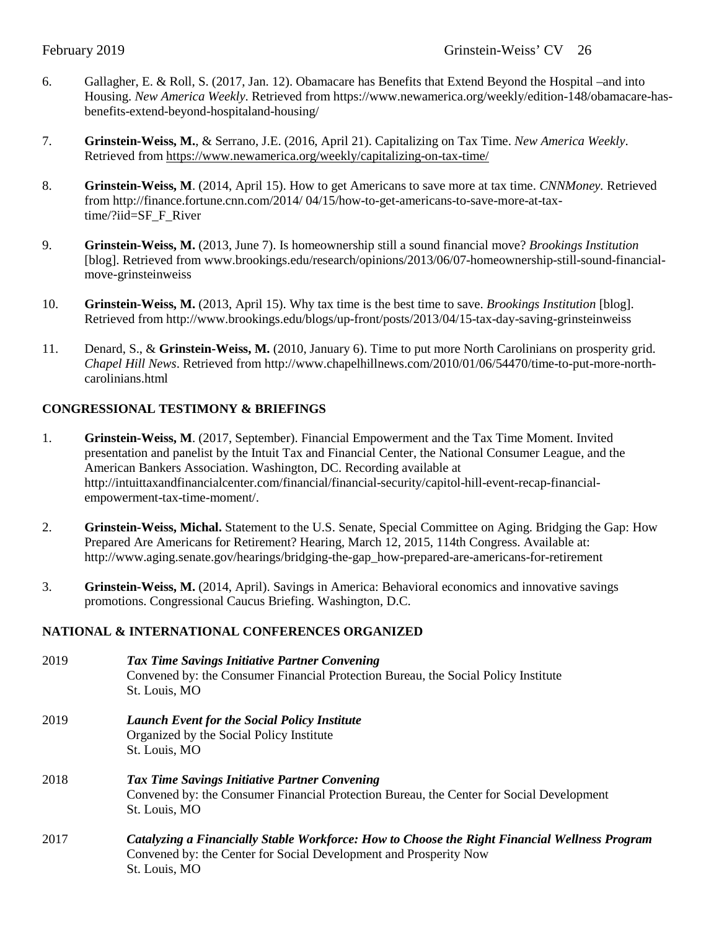- 6. Gallagher, E. & Roll, S. (2017, Jan. 12). Obamacare has Benefits that Extend Beyond the Hospital –and into Housing. *New America Weekly*. Retrieved from [https://www.newamerica.org/weekly/edition-148/obamacare-has](https://www.newamerica.org/weekly/edition-148/obamacare-has-benefits-extend-beyond-hospitaland-housing/)[benefits-extend-beyond-hospitaland-housing/](https://www.newamerica.org/weekly/edition-148/obamacare-has-benefits-extend-beyond-hospitaland-housing/)
- 7. **Grinstein-Weiss, M.**, & Serrano, J.E. (2016, April 21). Capitalizing on Tax Time. *New America Weekly*. Retrieved fro[m https://www.newamerica.org/weekly/capitalizing-on-tax-time/](https://www.newamerica.org/weekly/capitalizing-on-tax-time/)
- 8. **Grinstein-Weiss, M**. (2014, April 15). How to get Americans to save more at tax time. *CNNMoney.* Retrieved from http://finance.fortune.cnn.com/2014/ 04/15/how-to-get-americans-to-save-more-at-taxtime/?iid=SF\_F\_River
- 9. **Grinstein-Weiss, M.** (2013, June 7). Is homeownership still a sound financial move? *Brookings Institution* [blog]. Retrieved from www.brookings.edu/research/opinions/2013/06/07-homeownership-still-sound-financialmove-grinsteinweiss
- 10. **Grinstein-Weiss, M.** (2013, April 15). Why tax time is the best time to save. *Brookings Institution* [blog]. Retrieved from http://www.brookings.edu/blogs/up-front/posts/2013/04/15-tax-day-saving-grinsteinweiss
- 11. Denard, S., & **Grinstein-Weiss, M.** (2010, January 6). Time to put more North Carolinians on prosperity grid. *Chapel Hill News*. Retrieved from http://www.chapelhillnews.com/2010/01/06/54470/time-to-put-more-northcarolinians.html

## **CONGRESSIONAL TESTIMONY & BRIEFINGS**

- 1. **Grinstein-Weiss, M**. (2017, September). Financial Empowerment and the Tax Time Moment. Invited presentation and panelist by the Intuit Tax and Financial Center, the National Consumer League, and the American Bankers Association. Washington, DC. Recording available at http://intuittaxandfinancialcenter.com/financial/financial-security/capitol-hill-event-recap-financialempowerment-tax-time-moment/.
- 2. **Grinstein-Weiss, Michal.** Statement to the U.S. Senate, Special Committee on Aging. Bridging the Gap: How Prepared Are Americans for Retirement? Hearing, March 12, 2015, 114th Congress. Available at: http://www.aging.senate.gov/hearings/bridging-the-gap\_how-prepared-are-americans-for-retirement
- 3. **Grinstein-Weiss, M.** (2014, April). Savings in America: Behavioral economics and innovative savings promotions. Congressional Caucus Briefing. Washington, D.C.

## **NATIONAL & INTERNATIONAL CONFERENCES ORGANIZED**

| 2019 | Tax Time Savings Initiative Partner Convening<br>Convened by: the Consumer Financial Protection Bureau, the Social Policy Institute<br>St. Louis, MO               |
|------|--------------------------------------------------------------------------------------------------------------------------------------------------------------------|
| 2019 | <b>Launch Event for the Social Policy Institute</b><br>Organized by the Social Policy Institute<br>St. Louis, MO                                                   |
| 2018 | Tax Time Savings Initiative Partner Convening<br>Convened by: the Consumer Financial Protection Bureau, the Center for Social Development<br>St. Louis, MO         |
| 2017 | Catalyzing a Financially Stable Workforce: How to Choose the Right Financial Wellness Program<br>Convened by: the Center for Social Development and Prosperity Now |

St. Louis, MO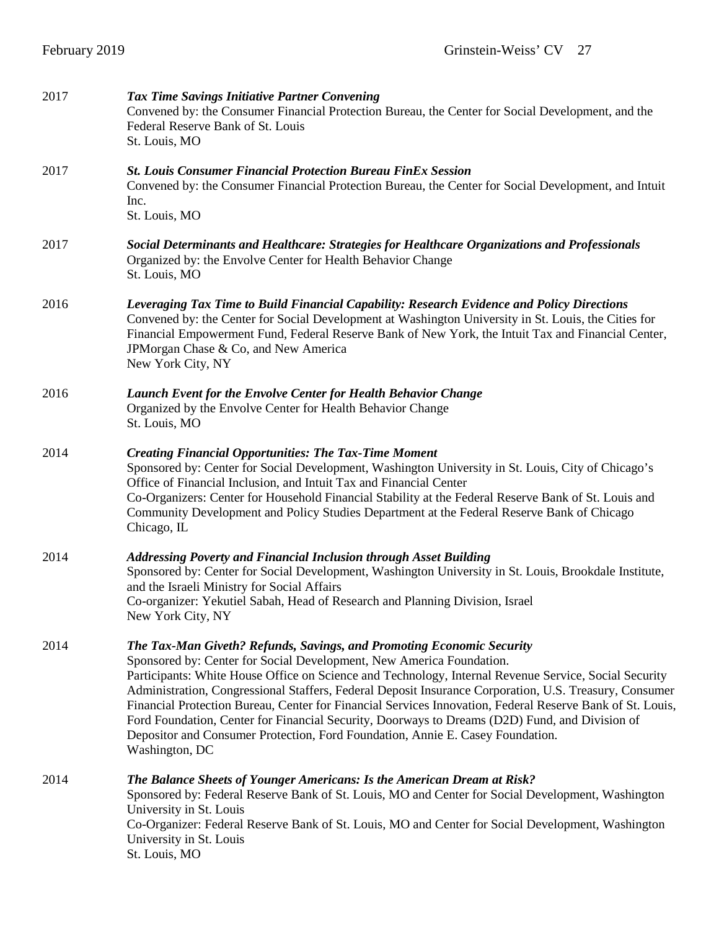| 2017 | <b>Tax Time Savings Initiative Partner Convening</b><br>Convened by: the Consumer Financial Protection Bureau, the Center for Social Development, and the<br>Federal Reserve Bank of St. Louis<br>St. Louis, MO                                                                                                                                                                                                                                                                                                                                                                                                                                                                     |  |  |
|------|-------------------------------------------------------------------------------------------------------------------------------------------------------------------------------------------------------------------------------------------------------------------------------------------------------------------------------------------------------------------------------------------------------------------------------------------------------------------------------------------------------------------------------------------------------------------------------------------------------------------------------------------------------------------------------------|--|--|
| 2017 | <b>St. Louis Consumer Financial Protection Bureau FinEx Session</b><br>Convened by: the Consumer Financial Protection Bureau, the Center for Social Development, and Intuit<br>Inc.<br>St. Louis, MO                                                                                                                                                                                                                                                                                                                                                                                                                                                                                |  |  |
| 2017 | Social Determinants and Healthcare: Strategies for Healthcare Organizations and Professionals<br>Organized by: the Envolve Center for Health Behavior Change<br>St. Louis, MO                                                                                                                                                                                                                                                                                                                                                                                                                                                                                                       |  |  |
| 2016 | Leveraging Tax Time to Build Financial Capability: Research Evidence and Policy Directions<br>Convened by: the Center for Social Development at Washington University in St. Louis, the Cities for<br>Financial Empowerment Fund, Federal Reserve Bank of New York, the Intuit Tax and Financial Center,<br>JPMorgan Chase & Co, and New America<br>New York City, NY                                                                                                                                                                                                                                                                                                               |  |  |
| 2016 | Launch Event for the Envolve Center for Health Behavior Change<br>Organized by the Envolve Center for Health Behavior Change<br>St. Louis, MO                                                                                                                                                                                                                                                                                                                                                                                                                                                                                                                                       |  |  |
| 2014 | <b>Creating Financial Opportunities: The Tax-Time Moment</b><br>Sponsored by: Center for Social Development, Washington University in St. Louis, City of Chicago's<br>Office of Financial Inclusion, and Intuit Tax and Financial Center<br>Co-Organizers: Center for Household Financial Stability at the Federal Reserve Bank of St. Louis and<br>Community Development and Policy Studies Department at the Federal Reserve Bank of Chicago<br>Chicago, IL                                                                                                                                                                                                                       |  |  |
| 2014 | Addressing Poverty and Financial Inclusion through Asset Building<br>Sponsored by: Center for Social Development, Washington University in St. Louis, Brookdale Institute,<br>and the Israeli Ministry for Social Affairs<br>Co-organizer: Yekutiel Sabah, Head of Research and Planning Division, Israel<br>New York City, NY                                                                                                                                                                                                                                                                                                                                                      |  |  |
| 2014 | The Tax-Man Giveth? Refunds, Savings, and Promoting Economic Security<br>Sponsored by: Center for Social Development, New America Foundation.<br>Participants: White House Office on Science and Technology, Internal Revenue Service, Social Security<br>Administration, Congressional Staffers, Federal Deposit Insurance Corporation, U.S. Treasury, Consumer<br>Financial Protection Bureau, Center for Financial Services Innovation, Federal Reserve Bank of St. Louis,<br>Ford Foundation, Center for Financial Security, Doorways to Dreams (D2D) Fund, and Division of<br>Depositor and Consumer Protection, Ford Foundation, Annie E. Casey Foundation.<br>Washington, DC |  |  |
| 2014 | <b>The Balance Sheets of Younger Americans: Is the American Dream at Risk?</b><br>Sponsored by: Federal Reserve Bank of St. Louis, MO and Center for Social Development, Washington<br>University in St. Louis<br>Co-Organizer: Federal Reserve Bank of St. Louis, MO and Center for Social Development, Washington<br>University in St. Louis<br>St. Louis, MO                                                                                                                                                                                                                                                                                                                     |  |  |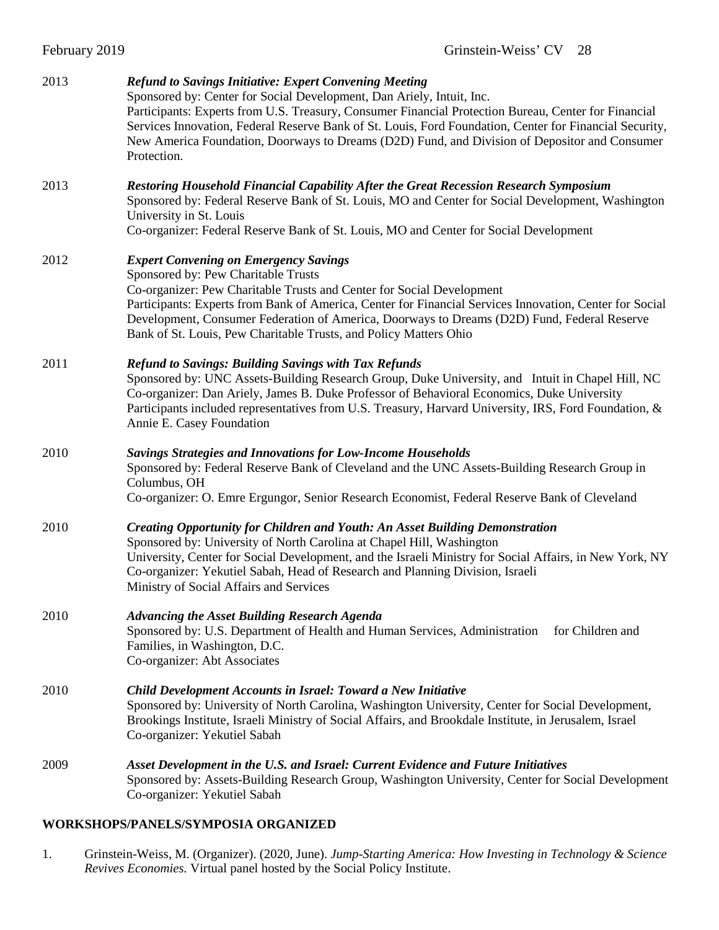| February 2019 | Grinstein-Weiss' CV 28                                                                                                                                                                                                                                                                                                                                                                                                                                                    |
|---------------|---------------------------------------------------------------------------------------------------------------------------------------------------------------------------------------------------------------------------------------------------------------------------------------------------------------------------------------------------------------------------------------------------------------------------------------------------------------------------|
| 2013          | <b>Refund to Savings Initiative: Expert Convening Meeting</b><br>Sponsored by: Center for Social Development, Dan Ariely, Intuit, Inc.<br>Participants: Experts from U.S. Treasury, Consumer Financial Protection Bureau, Center for Financial<br>Services Innovation, Federal Reserve Bank of St. Louis, Ford Foundation, Center for Financial Security,<br>New America Foundation, Doorways to Dreams (D2D) Fund, and Division of Depositor and Consumer<br>Protection. |
| 2013          | Restoring Household Financial Capability After the Great Recession Research Symposium<br>Sponsored by: Federal Reserve Bank of St. Louis, MO and Center for Social Development, Washington<br>University in St. Louis<br>Co-organizer: Federal Reserve Bank of St. Louis, MO and Center for Social Development                                                                                                                                                            |
| 2012          | <b>Expert Convening on Emergency Savings</b><br>Sponsored by: Pew Charitable Trusts<br>Co-organizer: Pew Charitable Trusts and Center for Social Development<br>Participants: Experts from Bank of America, Center for Financial Services Innovation, Center for Social<br>Development, Consumer Federation of America, Doorways to Dreams (D2D) Fund, Federal Reserve<br>Bank of St. Louis, Pew Charitable Trusts, and Policy Matters Ohio                               |
| 2011          | <b>Refund to Savings: Building Savings with Tax Refunds</b><br>Sponsored by: UNC Assets-Building Research Group, Duke University, and Intuit in Chapel Hill, NC<br>Co-organizer: Dan Ariely, James B. Duke Professor of Behavioral Economics, Duke University<br>Participants included representatives from U.S. Treasury, Harvard University, IRS, Ford Foundation, &<br>Annie E. Casey Foundation                                                                       |
| 2010          | <b>Savings Strategies and Innovations for Low-Income Households</b><br>Sponsored by: Federal Reserve Bank of Cleveland and the UNC Assets-Building Research Group in<br>Columbus, OH<br>Co-organizer: O. Emre Ergungor, Senior Research Economist, Federal Reserve Bank of Cleveland                                                                                                                                                                                      |
| 2010          | Creating Opportunity for Children and Youth: An Asset Building Demonstration<br>Sponsored by: University of North Carolina at Chapel Hill, Washington<br>University, Center for Social Development, and the Israeli Ministry for Social Affairs, in New York, NY<br>Co-organizer: Yekutiel Sabah, Head of Research and Planning Division, Israeli<br>Ministry of Social Affairs and Services                                                                              |
| 2010          | <b>Advancing the Asset Building Research Agenda</b><br>Sponsored by: U.S. Department of Health and Human Services, Administration for Children and<br>Families, in Washington, D.C.<br>Co-organizer: Abt Associates                                                                                                                                                                                                                                                       |
| 2010          | Child Development Accounts in Israel: Toward a New Initiative<br>Sponsored by: University of North Carolina, Washington University, Center for Social Development,<br>Brookings Institute, Israeli Ministry of Social Affairs, and Brookdale Institute, in Jerusalem, Israel<br>Co-organizer: Yekutiel Sabah                                                                                                                                                              |
| 2009          | Asset Development in the U.S. and Israel: Current Evidence and Future Initiatives<br>Sponsored by: Assets-Building Research Group, Washington University, Center for Social Development<br>Co-organizer: Yekutiel Sabah                                                                                                                                                                                                                                                   |

## **WORKSHOPS/PANELS/SYMPOSIA ORGANIZED**

1. Grinstein-Weiss, M. (Organizer). (2020, June). *Jump-Starting America: How Investing in Technology & Science Revives Economies.* Virtual panel hosted by the Social Policy Institute.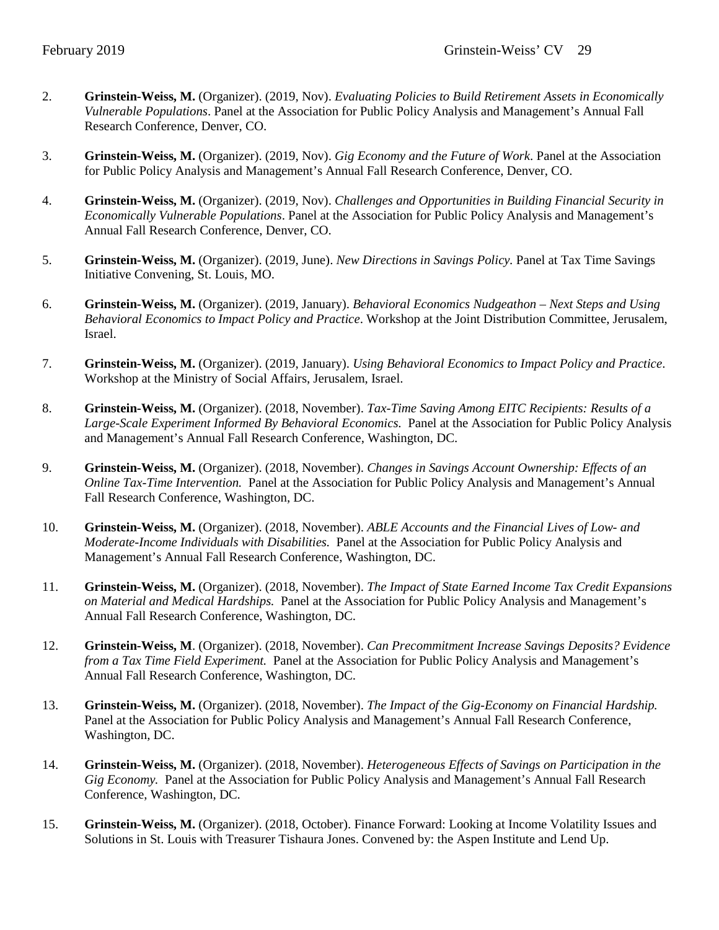- 2. **Grinstein-Weiss, M.** (Organizer). (2019, Nov). *Evaluating Policies to Build Retirement Assets in Economically Vulnerable Populations*. Panel at the Association for Public Policy Analysis and Management's Annual Fall Research Conference, Denver, CO.
- 3. **Grinstein-Weiss, M.** (Organizer). (2019, Nov). *Gig Economy and the Future of Work*. Panel at the Association for Public Policy Analysis and Management's Annual Fall Research Conference, Denver, CO.
- 4. **Grinstein-Weiss, M.** (Organizer). (2019, Nov). *Challenges and Opportunities in Building Financial Security in Economically Vulnerable Populations*. Panel at the Association for Public Policy Analysis and Management's Annual Fall Research Conference, Denver, CO.
- 5. **Grinstein-Weiss, M.** (Organizer). (2019, June). *New Directions in Savings Policy.* Panel at Tax Time Savings Initiative Convening, St. Louis, MO.
- 6. **Grinstein-Weiss, M.** (Organizer). (2019, January). *Behavioral Economics Nudgeathon – Next Steps and Using Behavioral Economics to Impact Policy and Practice*. Workshop at the Joint Distribution Committee, Jerusalem, Israel.
- 7. **Grinstein-Weiss, M.** (Organizer). (2019, January). *Using Behavioral Economics to Impact Policy and Practice*. Workshop at the Ministry of Social Affairs, Jerusalem, Israel.
- 8. **Grinstein-Weiss, M.** (Organizer). (2018, November). *Tax-Time Saving Among EITC Recipients: Results of a Large-Scale Experiment Informed By Behavioral Economics.* Panel at the Association for Public Policy Analysis and Management's Annual Fall Research Conference, Washington, DC.
- 9. **Grinstein-Weiss, M.** (Organizer). (2018, November). *Changes in Savings Account Ownership: Effects of an Online Tax-Time Intervention.* Panel at the Association for Public Policy Analysis and Management's Annual Fall Research Conference, Washington, DC.
- 10. **Grinstein-Weiss, M.** (Organizer). (2018, November). *ABLE Accounts and the Financial Lives of Low- and Moderate-Income Individuals with Disabilities.* Panel at the Association for Public Policy Analysis and Management's Annual Fall Research Conference, Washington, DC.
- 11. **Grinstein-Weiss, M.** (Organizer). (2018, November). *The Impact of State Earned Income Tax Credit Expansions on Material and Medical Hardships.* Panel at the Association for Public Policy Analysis and Management's Annual Fall Research Conference, Washington, DC.
- 12. **Grinstein-Weiss, M**. (Organizer). (2018, November). *Can Precommitment Increase Savings Deposits? Evidence from a Tax Time Field Experiment.* Panel at the Association for Public Policy Analysis and Management's Annual Fall Research Conference, Washington, DC.
- 13. **Grinstein-Weiss, M.** (Organizer). (2018, November). *The Impact of the Gig-Economy on Financial Hardship.* Panel at the Association for Public Policy Analysis and Management's Annual Fall Research Conference, Washington, DC.
- 14. **Grinstein-Weiss, M.** (Organizer). (2018, November). *Heterogeneous Effects of Savings on Participation in the Gig Economy.* Panel at the Association for Public Policy Analysis and Management's Annual Fall Research Conference, Washington, DC.
- 15. **Grinstein-Weiss, M.** (Organizer). (2018, October). Finance Forward: Looking at Income Volatility Issues and Solutions in St. Louis with Treasurer Tishaura Jones. Convened by: the Aspen Institute and Lend Up.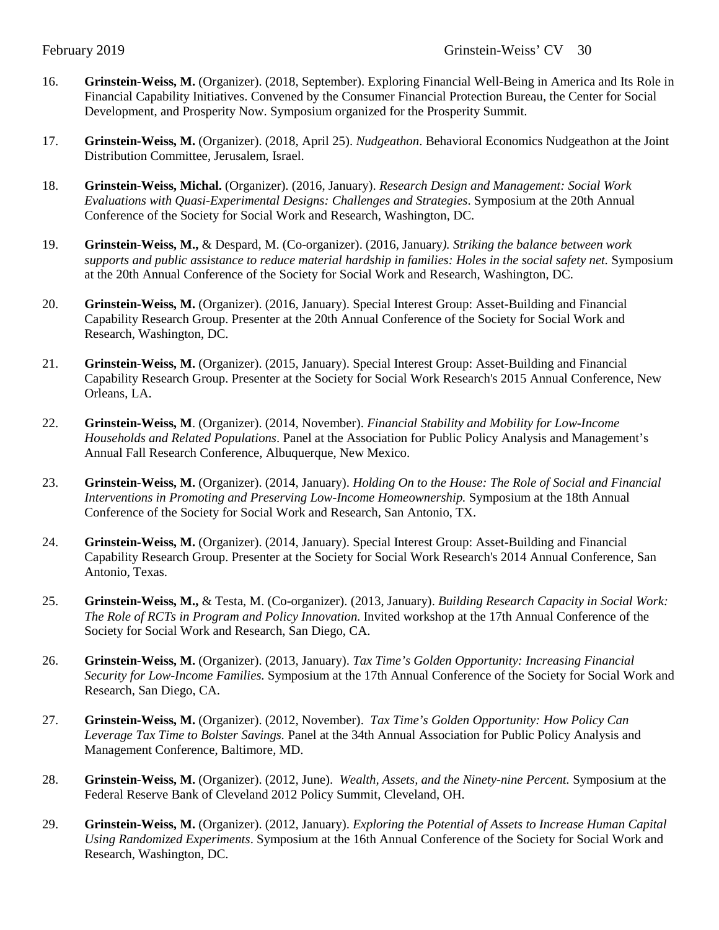- 16. **Grinstein-Weiss, M.** (Organizer). (2018, September). Exploring Financial Well-Being in America and Its Role in Financial Capability Initiatives. Convened by the Consumer Financial Protection Bureau, the Center for Social Development, and Prosperity Now. Symposium organized for the Prosperity Summit.
- 17. **Grinstein-Weiss, M.** (Organizer). (2018, April 25). *Nudgeathon*. Behavioral Economics Nudgeathon at the Joint Distribution Committee, Jerusalem, Israel.
- 18. **Grinstein-Weiss, Michal.** (Organizer). (2016, January). *Research Design and Management: Social Work Evaluations with Quasi-Experimental Designs: Challenges and Strategies*. Symposium at the 20th Annual Conference of the Society for Social Work and Research, Washington, DC.
- 19. **Grinstein-Weiss, M.,** & Despard, M. (Co-organizer). (2016, January*). Striking the balance between work supports and public assistance to reduce material hardship in families: Holes in the social safety net.* Symposium at the 20th Annual Conference of the Society for Social Work and Research, Washington, DC.
- 20. **Grinstein-Weiss, M.** (Organizer). (2016, January). Special Interest Group: Asset-Building and Financial Capability Research Group. Presenter at the 20th Annual Conference of the Society for Social Work and Research, Washington, DC.
- 21. **Grinstein-Weiss, M.** (Organizer). (2015, January). Special Interest Group: Asset-Building and Financial Capability Research Group. Presenter at the Society for Social Work Research's 2015 Annual Conference, New Orleans, LA.
- 22. **Grinstein-Weiss, M**. (Organizer). (2014, November). *Financial Stability and Mobility for Low-Income Households and Related Populations*. Panel at the Association for Public Policy Analysis and Management's Annual Fall Research Conference, Albuquerque, New Mexico.
- 23. **Grinstein-Weiss, M.** (Organizer). (2014, January). *Holding On to the House: The Role of Social and Financial Interventions in Promoting and Preserving Low-Income Homeownership.* Symposium at the 18th Annual Conference of the Society for Social Work and Research, San Antonio, TX.
- 24. **Grinstein-Weiss, M.** (Organizer). (2014, January). Special Interest Group: Asset-Building and Financial Capability Research Group. Presenter at the Society for Social Work Research's 2014 Annual Conference, San Antonio, Texas.
- 25. **Grinstein-Weiss, M.,** & Testa, M. (Co-organizer). (2013, January). *Building Research Capacity in Social Work: The Role of RCTs in Program and Policy Innovation.* Invited workshop at the 17th Annual Conference of the Society for Social Work and Research, San Diego, CA.
- 26. **Grinstein-Weiss, M.** (Organizer). (2013, January). *Tax Time's Golden Opportunity: Increasing Financial Security for Low-Income Families.* Symposium at the 17th Annual Conference of the Society for Social Work and Research, San Diego, CA.
- 27. **Grinstein-Weiss, M.** (Organizer). (2012, November). *Tax Time's Golden Opportunity: How Policy Can Leverage Tax Time to Bolster Savings.* Panel at the 34th Annual Association for Public Policy Analysis and Management Conference, Baltimore, MD.
- 28. **Grinstein-Weiss, M.** (Organizer). (2012, June). *Wealth, Assets, and the Ninety-nine Percent.* Symposium at the Federal Reserve Bank of Cleveland 2012 Policy Summit, Cleveland, OH.
- 29. **Grinstein-Weiss, M.** (Organizer). (2012, January). *Exploring the Potential of Assets to Increase Human Capital Using Randomized Experiments*. Symposium at the 16th Annual Conference of the Society for Social Work and Research, Washington, DC.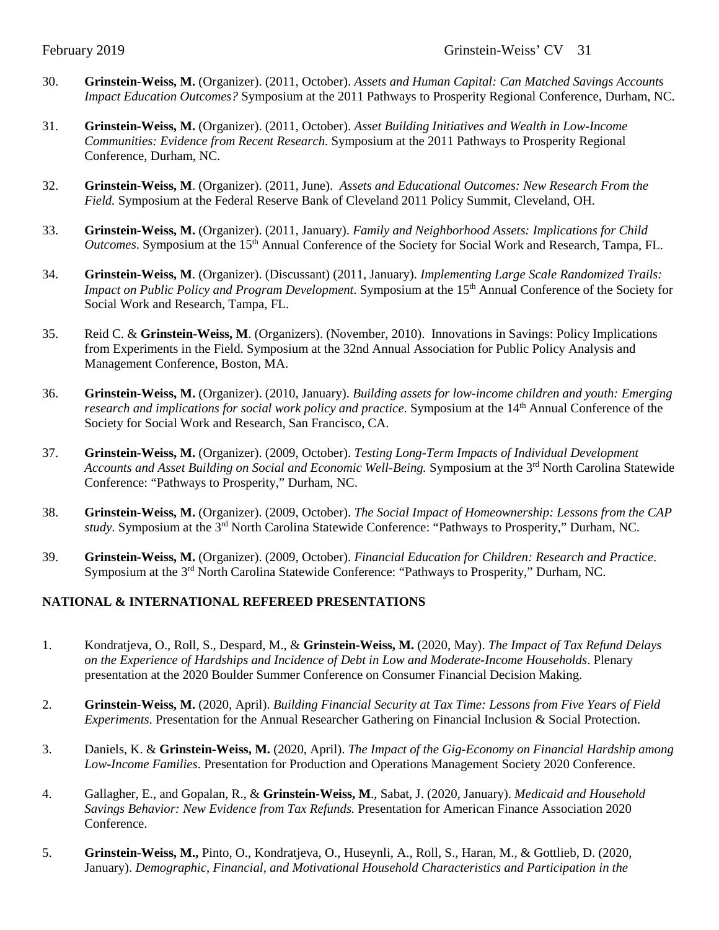- 30. **Grinstein-Weiss, M.** (Organizer). (2011, October). *Assets and Human Capital: Can Matched Savings Accounts Impact Education Outcomes?* Symposium at the 2011 Pathways to Prosperity Regional Conference, Durham, NC.
- 31. **Grinstein-Weiss, M.** (Organizer). (2011, October). *Asset Building Initiatives and Wealth in Low-Income Communities: Evidence from Recent Research*. Symposium at the 2011 Pathways to Prosperity Regional Conference, Durham, NC.
- 32. **Grinstein-Weiss, M**. (Organizer). (2011, June). *Assets and Educational Outcomes: New Research From the Field.* Symposium at the Federal Reserve Bank of Cleveland 2011 Policy Summit, Cleveland, OH.
- 33. **Grinstein-Weiss, M.** (Organizer). (2011, January). *Family and Neighborhood Assets: Implications for Child Outcomes*. Symposium at the 15<sup>th</sup> Annual Conference of the Society for Social Work and Research, Tampa, FL.
- 34. **Grinstein-Weiss, M**. (Organizer). (Discussant) (2011, January). *Implementing Large Scale Randomized Trails: Impact on Public Policy and Program Development*. Symposium at the 15<sup>th</sup> Annual Conference of the Society for Social Work and Research, Tampa, FL.
- 35. Reid C. & **Grinstein-Weiss, M**. (Organizers). (November, 2010). Innovations in Savings: Policy Implications from Experiments in the Field. Symposium at the 32nd Annual Association for Public Policy Analysis and Management Conference, Boston, MA.
- 36. **Grinstein-Weiss, M.** (Organizer). (2010, January). *Building assets for low-income children and youth: Emerging research and implications for social work policy and practice.* Symposium at the 14<sup>th</sup> Annual Conference of the Society for Social Work and Research, San Francisco, CA.
- 37. **Grinstein-Weiss, M.** (Organizer). (2009, October). *Testing Long-Term Impacts of Individual Development*  Accounts and Asset Building on Social and Economic Well-Being. Symposium at the 3<sup>rd</sup> North Carolina Statewide Conference: "Pathways to Prosperity," Durham, NC.
- 38. **Grinstein-Weiss, M.** (Organizer). (2009, October). *The Social Impact of Homeownership: Lessons from the CAP study*. Symposium at the 3rd North Carolina Statewide Conference: "Pathways to Prosperity," Durham, NC.
- 39. **Grinstein-Weiss, M.** (Organizer). (2009, October). *Financial Education for Children: Research and Practice*. Symposium at the 3rd North Carolina Statewide Conference: "Pathways to Prosperity," Durham, NC.

## **NATIONAL & INTERNATIONAL REFEREED PRESENTATIONS**

- 1. Kondratjeva, O., Roll, S., Despard, M., & **Grinstein-Weiss, M.** (2020, May). *The Impact of Tax Refund Delays on the Experience of Hardships and Incidence of Debt in Low and Moderate-Income Households*. Plenary presentation at the 2020 Boulder Summer Conference on Consumer Financial Decision Making.
- 2. **Grinstein-Weiss, M.** (2020, April). *Building Financial Security at Tax Time: Lessons from Five Years of Field Experiments*. Presentation for the Annual Researcher Gathering on Financial Inclusion & Social Protection.
- 3. Daniels, K. & **Grinstein-Weiss, M.** (2020, April). *The Impact of the Gig-Economy on Financial Hardship among Low-Income Families*. Presentation for Production and Operations Management Society 2020 Conference.
- 4. Gallagher, E., and Gopalan, R., & **Grinstein-Weiss, M**., Sabat, J. (2020, January). *Medicaid and Household Savings Behavior: New Evidence from Tax Refunds.* Presentation for American Finance Association 2020 Conference.
- 5. **Grinstein-Weiss, M.,** Pinto, O., Kondratjeva, O., Huseynli, A., Roll, S., Haran, M., & Gottlieb, D. (2020, January). *Demographic, Financial, and Motivational Household Characteristics and Participation in the*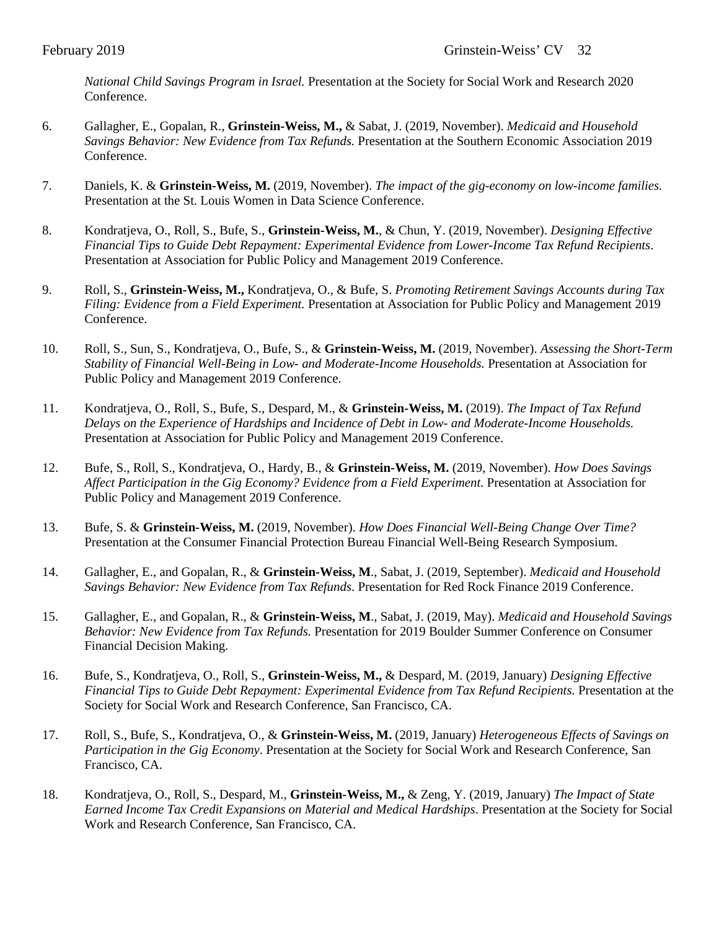*National Child Savings Program in Israel.* Presentation at the Society for Social Work and Research 2020 Conference.

- 6. Gallagher, E., Gopalan, R., **Grinstein-Weiss, M.,** & Sabat, J. (2019, November). *Medicaid and Household Savings Behavior: New Evidence from Tax Refunds.* Presentation at the Southern Economic Association 2019 Conference.
- 7. Daniels, K. & **Grinstein-Weiss, M.** (2019, November). *The impact of the gig-economy on low-income families.* Presentation at the St. Louis Women in Data Science Conference.
- 8. Kondratjeva, O., Roll, S., Bufe, S., **Grinstein-Weiss, M.**, & Chun, Y. (2019, November). *Designing Effective Financial Tips to Guide Debt Repayment: Experimental Evidence from Lower-Income Tax Refund Recipients*. Presentation at Association for Public Policy and Management 2019 Conference.
- 9. Roll, S., **Grinstein-Weiss, M.,** Kondratjeva, O., & Bufe, S. *Promoting Retirement Savings Accounts during Tax Filing: Evidence from a Field Experiment.* Presentation at Association for Public Policy and Management 2019 Conference.
- 10. Roll, S., Sun, S., Kondratjeva, O., Bufe, S., & **Grinstein-Weiss, M.** (2019, November). *Assessing the Short-Term Stability of Financial Well-Being in Low- and Moderate-Income Households.* Presentation at Association for Public Policy and Management 2019 Conference.
- 11. Kondratjeva, O., Roll, S., Bufe, S., Despard, M., & **Grinstein-Weiss, M.** (2019). *The Impact of Tax Refund Delays on the Experience of Hardships and Incidence of Debt in Low- and Moderate-Income Households.*  Presentation at Association for Public Policy and Management 2019 Conference.
- 12. Bufe, S., Roll, S., Kondratjeva, O., Hardy, B., & **Grinstein-Weiss, M.** (2019, November). *How Does Savings Affect Participation in the Gig Economy? Evidence from a Field Experiment.* Presentation at Association for Public Policy and Management 2019 Conference.
- 13. Bufe, S. & **Grinstein-Weiss, M.** (2019, November). *How Does Financial Well-Being Change Over Time?* Presentation at the Consumer Financial Protection Bureau Financial Well-Being Research Symposium.
- 14. Gallagher, E., and Gopalan, R., & **Grinstein-Weiss, M**., Sabat, J. (2019, September). *Medicaid and Household Savings Behavior: New Evidence from Tax Refunds*. Presentation for Red Rock Finance 2019 Conference.
- 15. Gallagher, E., and Gopalan, R., & **Grinstein-Weiss, M**., Sabat, J. (2019, May). *Medicaid and Household Savings Behavior: New Evidence from Tax Refunds.* Presentation for 2019 Boulder Summer Conference on Consumer Financial Decision Making.
- 16. Bufe, S., Kondratjeva, O., Roll, S., **Grinstein-Weiss, M.,** & Despard, M. (2019, January) *Designing Effective Financial Tips to Guide Debt Repayment: Experimental Evidence from Tax Refund Recipients.* Presentation at the Society for Social Work and Research Conference, San Francisco, CA.
- 17. Roll, S., Bufe, S., Kondratjeva, O., & **Grinstein-Weiss, M.** (2019, January) *Heterogeneous Effects of Savings on Participation in the Gig Economy*. Presentation at the Society for Social Work and Research Conference, San Francisco, CA.
- 18. Kondratjeva, O., Roll, S., Despard, M., **Grinstein-Weiss, M.,** & Zeng, Y. (2019, January) *The Impact of State Earned Income Tax Credit Expansions on Material and Medical Hardships*. Presentation at the Society for Social Work and Research Conference, San Francisco, CA.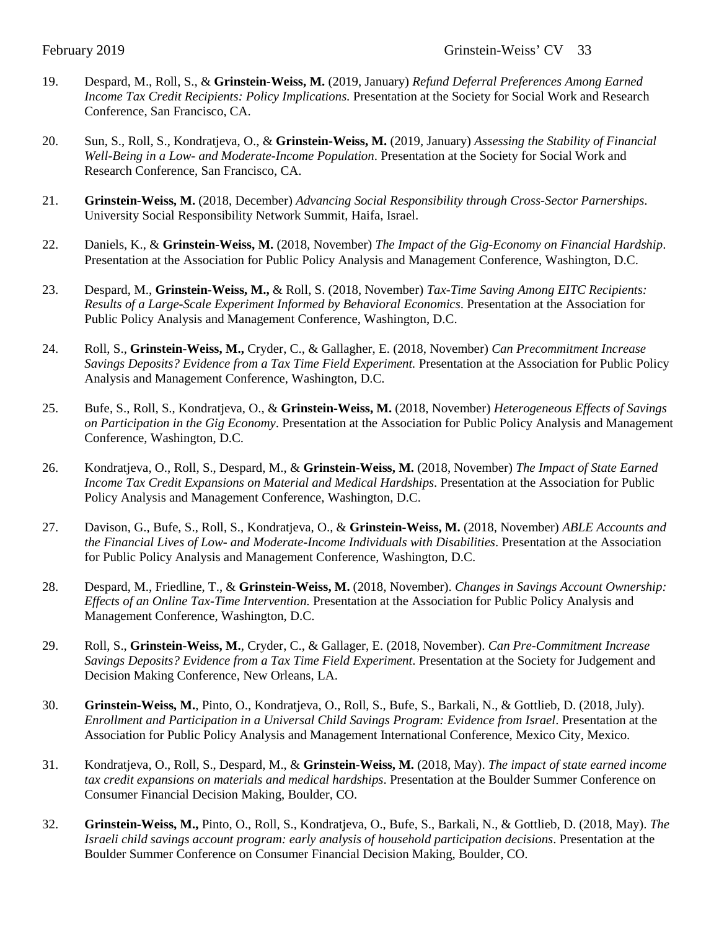- 19. Despard, M., Roll, S., & **Grinstein-Weiss, M.** (2019, January) *Refund Deferral Preferences Among Earned Income Tax Credit Recipients: Policy Implications.* Presentation at the Society for Social Work and Research Conference, San Francisco, CA.
- 20. Sun, S., Roll, S., Kondratjeva, O., & **Grinstein-Weiss, M.** (2019, January) *Assessing the Stability of Financial Well-Being in a Low- and Moderate-Income Population*. Presentation at the Society for Social Work and Research Conference, San Francisco, CA.
- 21. **Grinstein-Weiss, M.** (2018, December) *Advancing Social Responsibility through Cross-Sector Parnerships*. University Social Responsibility Network Summit, Haifa, Israel.
- 22. Daniels, K., & **Grinstein-Weiss, M.** (2018, November) *The Impact of the Gig-Economy on Financial Hardship*. Presentation at the Association for Public Policy Analysis and Management Conference, Washington, D.C.
- 23. Despard, M., **Grinstein-Weiss, M.,** & Roll, S. (2018, November) *Tax-Time Saving Among EITC Recipients: Results of a Large-Scale Experiment Informed by Behavioral Economics*. Presentation at the Association for Public Policy Analysis and Management Conference, Washington, D.C.
- 24. Roll, S., **Grinstein-Weiss, M.,** Cryder, C., & Gallagher, E. (2018, November) *Can Precommitment Increase Savings Deposits? Evidence from a Tax Time Field Experiment. Presentation at the Association for Public Policy* Analysis and Management Conference, Washington, D.C.
- 25. Bufe, S., Roll, S., Kondratjeva, O., & **Grinstein-Weiss, M.** (2018, November) *Heterogeneous Effects of Savings on Participation in the Gig Economy*. Presentation at the Association for Public Policy Analysis and Management Conference, Washington, D.C.
- 26. Kondratjeva, O., Roll, S., Despard, M., & **Grinstein-Weiss, M.** (2018, November) *The Impact of State Earned Income Tax Credit Expansions on Material and Medical Hardships*. Presentation at the Association for Public Policy Analysis and Management Conference, Washington, D.C.
- 27. Davison, G., Bufe, S., Roll, S., Kondratjeva, O., & **Grinstein-Weiss, M.** (2018, November) *ABLE Accounts and the Financial Lives of Low- and Moderate-Income Individuals with Disabilities*. Presentation at the Association for Public Policy Analysis and Management Conference, Washington, D.C.
- 28. Despard, M., Friedline, T., & **Grinstein-Weiss, M.** (2018, November). *Changes in Savings Account Ownership: Effects of an Online Tax-Time Intervention.* Presentation at the Association for Public Policy Analysis and Management Conference, Washington, D.C.
- 29. Roll, S., **Grinstein-Weiss, M.**, Cryder, C., & Gallager, E. (2018, November). *Can Pre-Commitment Increase Savings Deposits? Evidence from a Tax Time Field Experiment*. Presentation at the Society for Judgement and Decision Making Conference, New Orleans, LA.
- 30. **Grinstein-Weiss, M.**, Pinto, O., Kondratjeva, O., Roll, S., Bufe, S., Barkali, N., & Gottlieb, D. (2018, July). *Enrollment and Participation in a Universal Child Savings Program: Evidence from Israel*. Presentation at the Association for Public Policy Analysis and Management International Conference, Mexico City, Mexico.
- 31. Kondratjeva, O., Roll, S., Despard, M., & **Grinstein-Weiss, M.** (2018, May). *The impact of state earned income tax credit expansions on materials and medical hardships*. Presentation at the Boulder Summer Conference on Consumer Financial Decision Making, Boulder, CO.
- 32. **Grinstein-Weiss, M.,** Pinto, O., Roll, S., Kondratjeva, O., Bufe, S., Barkali, N., & Gottlieb, D. (2018, May). *The Israeli child savings account program: early analysis of household participation decisions*. Presentation at the Boulder Summer Conference on Consumer Financial Decision Making, Boulder, CO.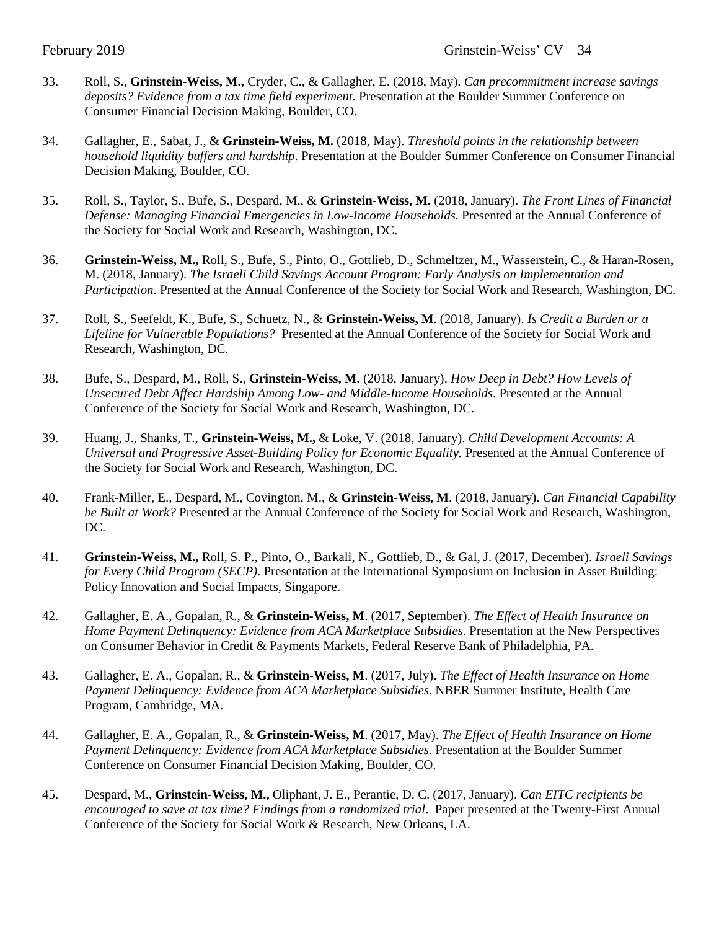- 33. Roll, S., **Grinstein-Weiss, M.,** Cryder, C., & Gallagher, E. (2018, May). *Can precommitment increase savings deposits? Evidence from a tax time field experiment*. Presentation at the Boulder Summer Conference on Consumer Financial Decision Making, Boulder, CO.
- 34. Gallagher, E., Sabat, J., & **Grinstein-Weiss, M.** (2018, May). *Threshold points in the relationship between household liquidity buffers and hardship*. Presentation at the Boulder Summer Conference on Consumer Financial Decision Making, Boulder, CO.
- 35. Roll, S., Taylor, S., Bufe, S., Despard, M., & **Grinstein-Weiss, M.** (2018, January). *The Front Lines of Financial Defense: Managing Financial Emergencies in Low-Income Households*. Presented at the Annual Conference of the Society for Social Work and Research, Washington, DC.
- 36. **Grinstein-Weiss, M.,** Roll, S., Bufe, S., Pinto, O., Gottlieb, D., Schmeltzer, M., Wasserstein, C., & Haran-Rosen, M. (2018, January). *The Israeli Child Savings Account Program: Early Analysis on Implementation and Participation*. Presented at the Annual Conference of the Society for Social Work and Research, Washington, DC.
- 37. Roll, S., Seefeldt, K., Bufe, S., Schuetz, N., & **Grinstein-Weiss, M**. (2018, January). *Is Credit a Burden or a Lifeline for Vulnerable Populations?* Presented at the Annual Conference of the Society for Social Work and Research, Washington, DC.
- 38. Bufe, S., Despard, M., Roll, S., **Grinstein-Weiss, M.** (2018, January). *How Deep in Debt? How Levels of Unsecured Debt Affect Hardship Among Low- and Middle-Income Households*. Presented at the Annual Conference of the Society for Social Work and Research, Washington, DC.
- 39. Huang, J., Shanks, T., **Grinstein-Weiss, M.,** & Loke, V. (2018, January). *Child Development Accounts: A Universal and Progressive Asset-Building Policy for Economic Equality.* Presented at the Annual Conference of the Society for Social Work and Research, Washington, DC.
- 40. Frank-Miller, E., Despard, M., Covington, M., & **Grinstein-Weiss, M**. (2018, January). *Can Financial Capability be Built at Work?* Presented at the Annual Conference of the Society for Social Work and Research, Washington, DC.
- 41. **Grinstein-Weiss, M.,** Roll, S. P., Pinto, O., Barkali, N., Gottlieb, D., & Gal, J. (2017, December). *Israeli Savings for Every Child Program (SECP)*. Presentation at the International Symposium on Inclusion in Asset Building: Policy Innovation and Social Impacts, Singapore.
- 42. Gallagher, E. A., Gopalan, R., & **Grinstein-Weiss, M**. (2017, September). *The Effect of Health Insurance on Home Payment Delinquency: Evidence from ACA Marketplace Subsidies*. Presentation at the New Perspectives on Consumer Behavior in Credit & Payments Markets, Federal Reserve Bank of Philadelphia, PA.
- 43. Gallagher, E. A., Gopalan, R., & **Grinstein-Weiss, M**. (2017, July). *The Effect of Health Insurance on Home Payment Delinquency: Evidence from ACA Marketplace Subsidies*. NBER Summer Institute, Health Care Program, Cambridge, MA.
- 44. Gallagher, E. A., Gopalan, R., & **Grinstein-Weiss, M**. (2017, May). *The Effect of Health Insurance on Home Payment Delinquency: Evidence from ACA Marketplace Subsidies*. Presentation at the Boulder Summer Conference on Consumer Financial Decision Making, Boulder, CO.
- 45. Despard, M., **Grinstein-Weiss, M.,** Oliphant, J. E., Perantie, D. C. (2017, January). *Can EITC recipients be encouraged to save at tax time? Findings from a randomized trial*. Paper presented at the Twenty-First Annual Conference of the Society for Social Work & Research, New Orleans, LA.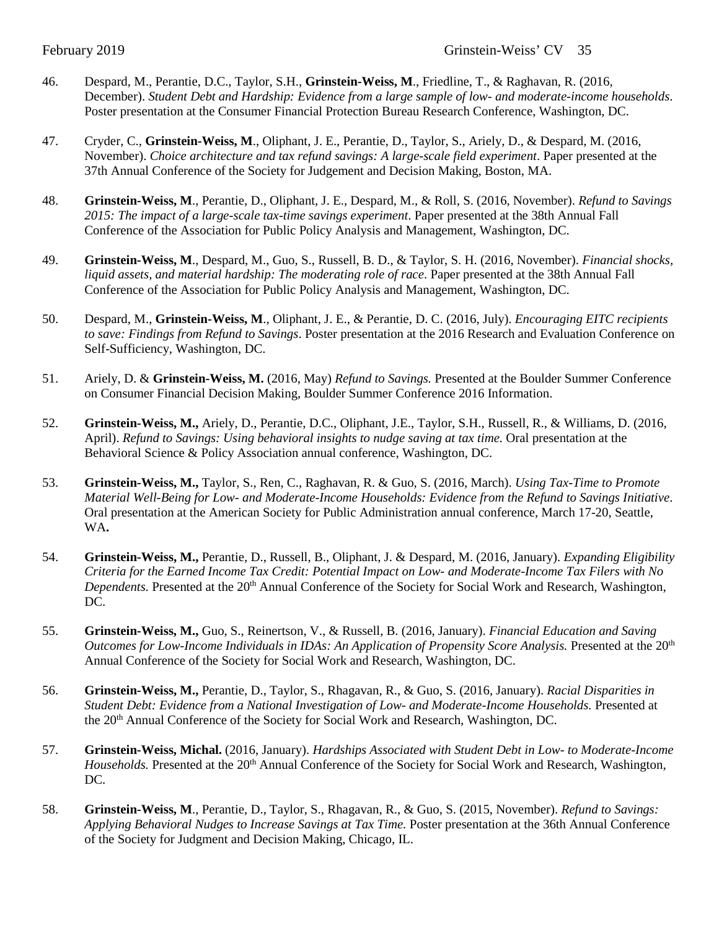- 46. Despard, M., Perantie, D.C., Taylor, S.H., **Grinstein-Weiss, M**., Friedline, T., & Raghavan, R. (2016, December). *Student Debt and Hardship: Evidence from a large sample of low- and moderate-income households*. Poster presentation at the Consumer Financial Protection Bureau Research Conference, Washington, DC.
- 47. Cryder, C., **Grinstein-Weiss, M**., Oliphant, J. E., Perantie, D., Taylor, S., Ariely, D., & Despard, M. (2016, November). *Choice architecture and tax refund savings: A large-scale field experiment*. Paper presented at the 37th Annual Conference of the Society for Judgement and Decision Making, Boston, MA.
- 48. **Grinstein-Weiss, M**., Perantie, D., Oliphant, J. E., Despard, M., & Roll, S. (2016, November). *Refund to Savings 2015: The impact of a large-scale tax-time savings experiment*. Paper presented at the 38th Annual Fall Conference of the Association for Public Policy Analysis and Management, Washington, DC.
- 49. **Grinstein-Weiss, M**., Despard, M., Guo, S., Russell, B. D., & Taylor, S. H. (2016, November). *Financial shocks, liquid assets, and material hardship: The moderating role of race*. Paper presented at the 38th Annual Fall Conference of the Association for Public Policy Analysis and Management, Washington, DC.
- 50. Despard, M., **Grinstein-Weiss, M**., Oliphant, J. E., & Perantie, D. C. (2016, July). *Encouraging EITC recipients to save: Findings from Refund to Savings*. Poster presentation at the 2016 Research and Evaluation Conference on Self-Sufficiency, Washington, DC.
- 51. Ariely, D. & **Grinstein-Weiss, M.** (2016, May) *Refund to Savings.* Presented at the Boulder Summer Conference on Consumer Financial Decision Making, Boulder Summer Conference 2016 Information.
- 52. **Grinstein-Weiss, M.,** Ariely, D., Perantie, D.C., Oliphant, J.E., Taylor, S.H., Russell, R., & Williams, D. (2016, April). *Refund to Savings: Using behavioral insights to nudge saving at tax time.* Oral presentation at the Behavioral Science & Policy Association annual conference, Washington, DC.
- 53. **Grinstein-Weiss, M.,** Taylor, S., Ren, C., Raghavan, R. & Guo, S. (2016, March). *Using Tax-Time to Promote Material Well-Being for Low- and Moderate-Income Households: Evidence from the Refund to Savings Initiative*. Oral presentation at the American Society for Public Administration annual conference, March 17-20, Seattle, WA**.**
- 54. **Grinstein-Weiss, M.,** Perantie, D., Russell, B., Oliphant, J. & Despard, M. (2016, January). *Expanding Eligibility Criteria for the Earned Income Tax Credit: Potential Impact on Low- and Moderate-Income Tax Filers with No Dependents.* Presented at the 20<sup>th</sup> Annual Conference of the Society for Social Work and Research, Washington, DC.
- 55. **Grinstein-Weiss, M.,** Guo, S., Reinertson, V., & Russell, B. (2016, January). *Financial Education and Saving Outcomes for Low-Income Individuals in IDAs: An Application of Propensity Score Analysis.* Presented at the 20th Annual Conference of the Society for Social Work and Research, Washington, DC.
- 56. **Grinstein-Weiss, M.,** Perantie, D., Taylor, S., Rhagavan, R., & Guo, S. (2016, January). *Racial Disparities in Student Debt: Evidence from a National Investigation of Low- and Moderate-Income Households.* Presented at the 20th Annual Conference of the Society for Social Work and Research, Washington, DC.
- 57. **Grinstein-Weiss, Michal.** (2016, January). *Hardships Associated with Student Debt in Low- to Moderate-Income Households*. Presented at the 20<sup>th</sup> Annual Conference of the Society for Social Work and Research, Washington, DC.
- 58. **Grinstein-Weiss, M**., Perantie, D., Taylor, S., Rhagavan, R., & Guo, S. (2015, November). *Refund to Savings: Applying Behavioral Nudges to Increase Savings at Tax Time.* Poster presentation at the 36th Annual Conference of the Society for Judgment and Decision Making, Chicago, IL.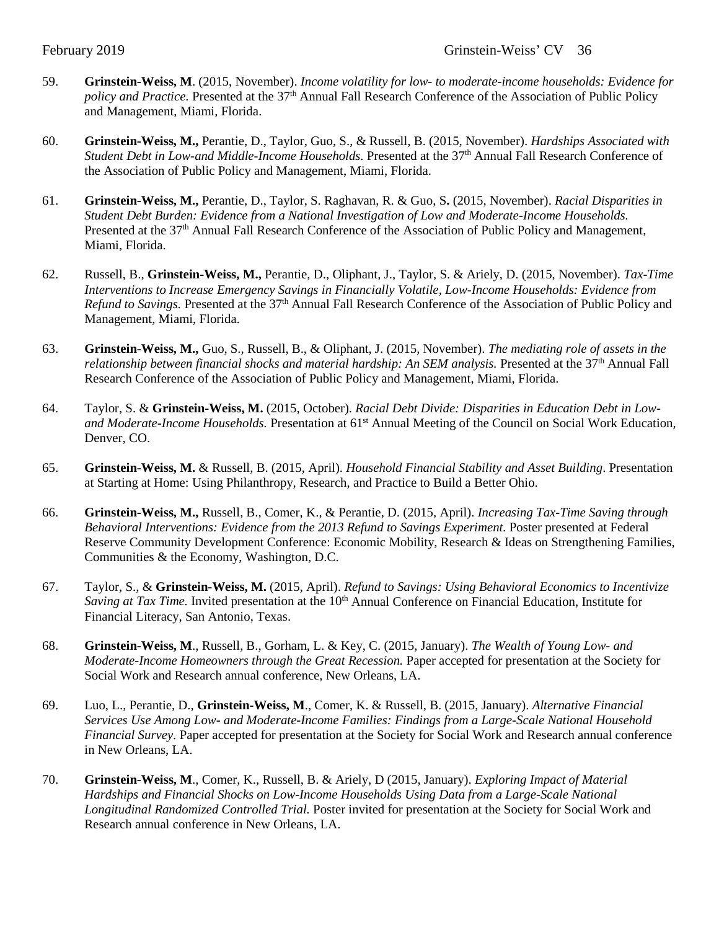- 59. **Grinstein-Weiss, M**. (2015, November). *Income volatility for low- to moderate-income households: Evidence for policy and Practice.* Presented at the 37<sup>th</sup> Annual Fall Research Conference of the Association of Public Policy and Management, Miami, Florida.
- 60. **Grinstein-Weiss, M.,** Perantie, D., Taylor, Guo, S., & Russell, B. (2015, November). *Hardships Associated with Student Debt in Low-and Middle-Income Households.* Presented at the 37<sup>th</sup> Annual Fall Research Conference of the Association of Public Policy and Management, Miami, Florida.
- 61. **Grinstein-Weiss, M.,** Perantie, D., Taylor, S. Raghavan, R. & Guo, S**.** (2015, November). *Racial Disparities in Student Debt Burden: Evidence from a National Investigation of Low and Moderate-Income Households.* Presented at the 37th Annual Fall Research Conference of the Association of Public Policy and Management, Miami, Florida.
- 62. Russell, B., **Grinstein-Weiss, M.,** Perantie, D., Oliphant, J., Taylor, S. & Ariely, D. (2015, November). *Tax-Time Interventions to Increase Emergency Savings in Financially Volatile, Low-Income Households: Evidence from Refund to Savings.* Presented at the 37th Annual Fall Research Conference of the Association of Public Policy and Management, Miami, Florida.
- 63. **Grinstein-Weiss, M.,** Guo, S., Russell, B., & Oliphant, J. (2015, November). *The mediating role of assets in the relationship between financial shocks and material hardship: An SEM analysis.* Presented at the 37<sup>th</sup> Annual Fall Research Conference of the Association of Public Policy and Management, Miami, Florida.
- 64. Taylor, S. & **Grinstein-Weiss, M.** (2015, October). *Racial Debt Divide: Disparities in Education Debt in Low*and Moderate-Income Households. Presentation at 61<sup>st</sup> Annual Meeting of the Council on Social Work Education, Denver, CO.
- 65. **Grinstein-Weiss, M.** & Russell, B. (2015, April). *Household Financial Stability and Asset Building*. Presentation at Starting at Home: Using Philanthropy, Research, and Practice to Build a Better Ohio.
- 66. **Grinstein-Weiss, M.,** Russell, B., Comer, K., & Perantie, D. (2015, April). *Increasing Tax-Time Saving through Behavioral Interventions: Evidence from the 2013 Refund to Savings Experiment.* Poster presented at Federal Reserve Community Development Conference: Economic Mobility, Research & Ideas on Strengthening Families, Communities & the Economy, Washington, D.C.
- 67. Taylor, S., & **Grinstein-Weiss, M.** (2015, April). *Refund to Savings: Using Behavioral Economics to Incentivize Saving at Tax Time.* Invited presentation at the 10<sup>th</sup> Annual Conference on Financial Education, Institute for Financial Literacy, San Antonio, Texas.
- 68. **Grinstein-Weiss, M**., Russell, B., Gorham, L. & Key, C. (2015, January). *The Wealth of Young Low- and Moderate-Income Homeowners through the Great Recession.* Paper accepted for presentation at the Society for Social Work and Research annual conference, New Orleans, LA.
- 69. Luo, L., Perantie, D., **Grinstein-Weiss, M**., Comer, K. & Russell, B. (2015, January). *Alternative Financial Services Use Among Low- and Moderate-Income Families: Findings from a Large-Scale National Household Financial Survey.* Paper accepted for presentation at the Society for Social Work and Research annual conference in New Orleans, LA.
- 70. **Grinstein-Weiss, M**., Comer, K., Russell, B. & Ariely, D (2015, January). *Exploring Impact of Material Hardships and Financial Shocks on Low-Income Households Using Data from a Large-Scale National Longitudinal Randomized Controlled Trial.* Poster invited for presentation at the Society for Social Work and Research annual conference in New Orleans, LA.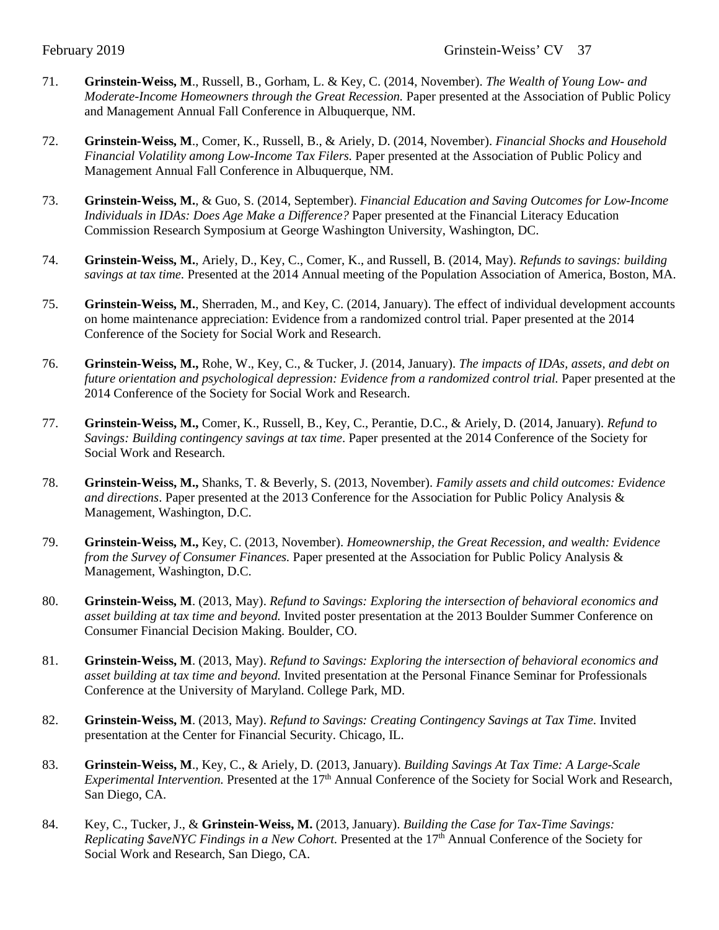- 71. **Grinstein-Weiss, M**., Russell, B., Gorham, L. & Key, C. (2014, November). *The Wealth of Young Low- and Moderate-Income Homeowners through the Great Recession.* Paper presented at the Association of Public Policy and Management Annual Fall Conference in Albuquerque, NM.
- 72. **Grinstein-Weiss, M**., Comer, K., Russell, B., & Ariely, D. (2014, November). *Financial Shocks and Household Financial Volatility among Low-Income Tax Filers.* Paper presented at the Association of Public Policy and Management Annual Fall Conference in Albuquerque, NM.
- 73. **Grinstein-Weiss, M.**, & Guo, S. (2014, September). *Financial Education and Saving Outcomes for Low-Income Individuals in IDAs: Does Age Make a Difference?* Paper presented at the Financial Literacy Education Commission Research Symposium at George Washington University, Washington, DC.
- 74. **Grinstein-Weiss, M.**, Ariely, D., Key, C., Comer, K., and Russell, B. (2014, May). *Refunds to savings: building savings at tax time.* Presented at the 2014 Annual meeting of the Population Association of America, Boston, MA.
- 75. **Grinstein-Weiss, M.**, Sherraden, M., and Key, C. (2014, January). The effect of individual development accounts on home maintenance appreciation: Evidence from a randomized control trial. Paper presented at the 2014 Conference of the Society for Social Work and Research.
- 76. **Grinstein-Weiss, M.,** Rohe, W., Key, C., & Tucker, J. (2014, January). *The impacts of IDAs, assets, and debt on future orientation and psychological depression: Evidence from a randomized control trial.* Paper presented at the 2014 Conference of the Society for Social Work and Research.
- 77. **Grinstein-Weiss, M.,** Comer, K., Russell, B., Key, C., Perantie, D.C., & Ariely, D. (2014, January). *Refund to Savings: Building contingency savings at tax time*. Paper presented at the 2014 Conference of the Society for Social Work and Research.
- 78. **Grinstein-Weiss, M.,** Shanks, T. & Beverly, S. (2013, November). *Family assets and child outcomes: Evidence and directions*. Paper presented at the 2013 Conference for the Association for Public Policy Analysis & Management, Washington, D.C.
- 79. **Grinstein-Weiss, M.,** Key, C. (2013, November). *Homeownership, the Great Recession, and wealth: Evidence from the Survey of Consumer Finances.* Paper presented at the Association for Public Policy Analysis & Management, Washington, D.C.
- 80. **Grinstein-Weiss, M**. (2013, May). *Refund to Savings: Exploring the intersection of behavioral economics and asset building at tax time and beyond.* Invited poster presentation at the 2013 Boulder Summer Conference on Consumer Financial Decision Making. Boulder, CO.
- 81. **Grinstein-Weiss, M**. (2013, May). *Refund to Savings: Exploring the intersection of behavioral economics and asset building at tax time and beyond.* Invited presentation at the Personal Finance Seminar for Professionals Conference at the University of Maryland. College Park, MD.
- 82. **Grinstein-Weiss, M**. (2013, May). *Refund to Savings: Creating Contingency Savings at Tax Time.* Invited presentation at the Center for Financial Security. Chicago, IL.
- 83. **Grinstein-Weiss, M**., Key, C., & Ariely, D. (2013, January). *Building Savings At Tax Time: A [Large-Scale](http://sswr.confex.com/sswr/2013/webprogram/Paper19227.html) [Experimental](http://sswr.confex.com/sswr/2013/webprogram/Paper19227.html) Intervention.* Presented at the 17th Annual Conference of the Society for Social Work and Research, San Diego, CA.
- 84. Key, C., Tucker, J., & **Grinstein-Weiss, M.** (2013, January). *Building the Case for [Tax-Time](http://sswr.confex.com/sswr/2013/webprogram/Paper19225.html) Savings: [Replicating](http://sswr.confex.com/sswr/2013/webprogram/Paper19225.html) \$aveNYC Findings in a New Cohort.* Presented at the 17th Annual Conference of the Society for Social Work and Research, San Diego, CA.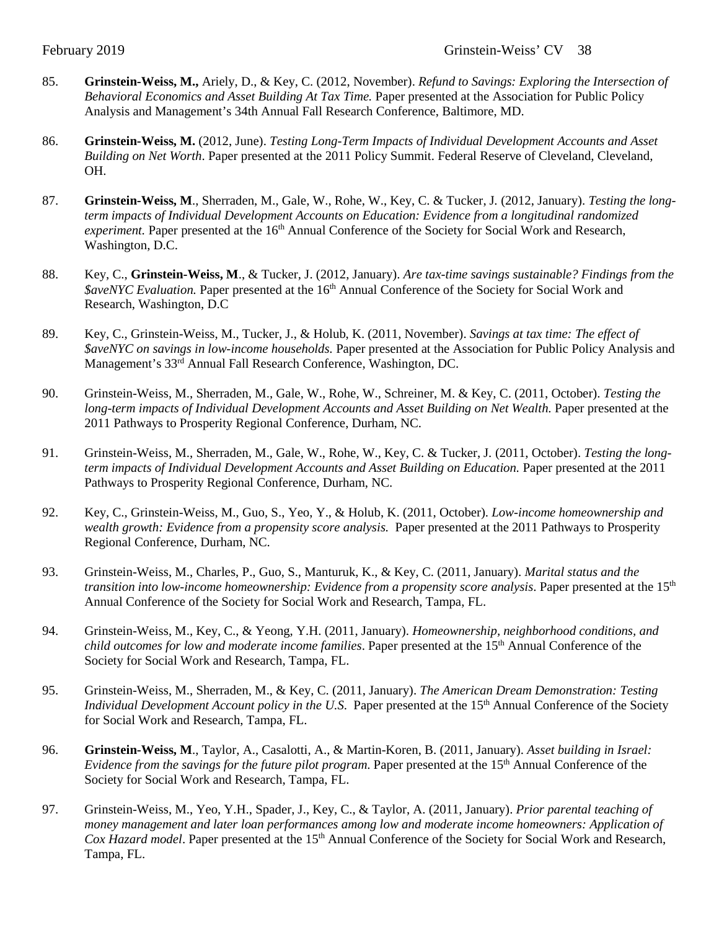- 85. **Grinstein-Weiss, M.,** Ariely, D., & Key, C. (2012, November). *Refund to Savings: Exploring the Intersection of Behavioral Economics and Asset Building At Tax Time.* Paper presented at the Association for Public Policy Analysis and Management's 34th Annual Fall Research Conference, Baltimore, MD.
- 86. **Grinstein-Weiss, M.** (2012, June). *Testing Long-Term Impacts of Individual Development Accounts and Asset Building on Net Worth*. Paper presented at the 2011 Policy Summit. Federal Reserve of Cleveland, Cleveland, OH.
- 87. **Grinstein-Weiss, M**., Sherraden, M., Gale, W., Rohe, W., Key, C. & Tucker, J*.* (2012, January). *Testing the longterm impacts of Individual Development Accounts on Education: Evidence from a longitudinal randomized experiment.* Paper presented at the 16<sup>th</sup> Annual Conference of the Society for Social Work and Research, Washington, D.C.
- 88. Key, C., **Grinstein-Weiss, M**., & Tucker, J. (2012, January). *Are tax-time savings sustainable? Findings from the \$aveNYC Evaluation.* Paper presented at the 16th Annual Conference of the Society for Social Work and Research, Washington, D.C
- 89. Key, C., Grinstein-Weiss, M., Tucker, J., & Holub, K. (2011, November). *Savings at tax time: The effect of \$aveNYC on savings in low-income households.* Paper presented at the Association for Public Policy Analysis and Management's 33rd Annual Fall Research Conference, Washington, DC.
- 90. Grinstein-Weiss, M., Sherraden, M., Gale, W., Rohe, W., Schreiner, M. & Key, C. (2011, October). *Testing the long-term impacts of Individual Development Accounts and Asset Building on Net Wealth.* Paper presented at the 2011 Pathways to Prosperity Regional Conference, Durham, NC.
- 91. Grinstein-Weiss, M., Sherraden, M., Gale, W., Rohe, W., Key, C. & Tucker, J*.* (2011, October). *Testing the longterm impacts of Individual Development Accounts and Asset Building on Education.* Paper presented at the 2011 Pathways to Prosperity Regional Conference, Durham, NC.
- 92. Key, C., Grinstein-Weiss, M., Guo, S., Yeo, Y., & Holub, K. (2011, October). *Low-income homeownership and wealth growth: Evidence from a propensity score analysis.* Paper presented at the 2011 Pathways to Prosperity Regional Conference, Durham, NC.
- 93. Grinstein-Weiss, M., Charles, P., Guo, S., Manturuk, K., & Key, C. (2011, January). *Marital status and the transition into low-income homeownership: Evidence from a propensity score analysis*. Paper presented at the 15<sup>th</sup> Annual Conference of the Society for Social Work and Research, Tampa, FL.
- 94. Grinstein-Weiss, M., Key, C., & Yeong, Y.H. (2011, January). *Homeownership, neighborhood conditions, and child outcomes for low and moderate income families*. Paper presented at the 15th Annual Conference of the Society for Social Work and Research, Tampa, FL.
- 95. Grinstein-Weiss, M., Sherraden, M., & Key, C. (2011, January). *The American Dream Demonstration: Testing Individual Development Account policy in the U.S.* Paper presented at the 15<sup>th</sup> Annual Conference of the Society for Social Work and Research, Tampa, FL.
- 96. **Grinstein-Weiss, M**., Taylor, A., Casalotti, A., & Martin-Koren, B. (2011, January). *Asset building in Israel: Evidence from the savings for the future pilot program*. Paper presented at the 15th Annual Conference of the Society for Social Work and Research, Tampa, FL.
- 97. Grinstein-Weiss, M., Yeo, Y.H., Spader, J., Key, C., & Taylor, A. (2011, January). *Prior parental teaching of money management and later loan performances among low and moderate income homeowners: Application of Cox Hazard model*. Paper presented at the 15<sup>th</sup> Annual Conference of the Society for Social Work and Research, Tampa, FL.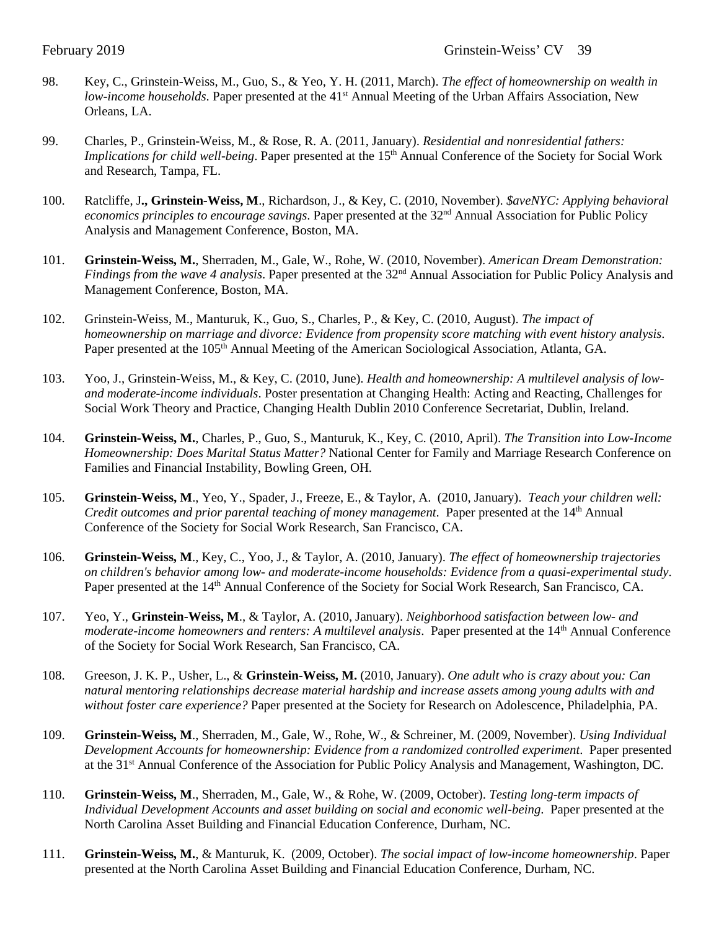- 98. Key, C., Grinstein-Weiss, M., Guo, S., & Yeo, Y. H. (2011, March). *The effect of homeownership on wealth in low-income households*. Paper presented at the 41<sup>st</sup> Annual Meeting of the Urban Affairs Association, New Orleans, LA.
- 99. Charles, P., Grinstein-Weiss, M., & Rose, R. A. (2011, January). *Residential and nonresidential fathers: Implications for child well-being*. Paper presented at the 15<sup>th</sup> Annual Conference of the Society for Social Work and Research, Tampa, FL.
- 100. Ratcliffe, J**., Grinstein-Weiss, M**., Richardson, J., & Key, C. (2010, November). *\$aveNYC: Applying behavioral economics principles to encourage savings*. Paper presented at the 32<sup>nd</sup> Annual Association for Public Policy Analysis and Management Conference, Boston, MA.
- 101. **Grinstein-Weiss, M.**, Sherraden, M., Gale, W., Rohe, W. (2010, November). *American Dream Demonstration: Findings from the wave 4 analysis*. Paper presented at the 32<sup>nd</sup> Annual Association for Public Policy Analysis and Management Conference, Boston, MA.
- 102. Grinstein-Weiss, M., Manturuk, K., Guo, S., Charles, P., & Key, C. (2010, August). *The impact of homeownership on marriage and divorce: Evidence from propensity score matching with event history analysis*. Paper presented at the 105<sup>th</sup> Annual Meeting of the American Sociological Association, Atlanta, GA.
- 103. Yoo, J., Grinstein-Weiss, M., & Key, C. (2010, June). *Health and homeownership: A multilevel analysis of lowand moderate-income individuals*. Poster presentation at Changing Health: Acting and Reacting, Challenges for Social Work Theory and Practice, Changing Health Dublin 2010 Conference Secretariat, Dublin, Ireland.
- 104. **Grinstein-Weiss, M.**, Charles, P., Guo, S., Manturuk, K., Key, C. (2010, April). *The Transition into Low-Income Homeownership: Does Marital Status Matter?* National Center for Family and Marriage Research Conference on Families and Financial Instability, Bowling Green, OH.
- 105. **Grinstein-Weiss, M**., Yeo, Y., Spader, J., Freeze, E., & Taylor, A. (2010, January). *Teach your children well: Credit outcomes and prior parental teaching of money management.* Paper presented at the 14<sup>th</sup> Annual Conference of the Society for Social Work Research, San Francisco, CA.
- 106. **Grinstein-Weiss, M**., Key, C., Yoo, J., & Taylor, A. (2010, January). *The effect of homeownership trajectories on children's behavior among low- and moderate-income households: Evidence from a quasi-experimental study*. Paper presented at the 14<sup>th</sup> Annual Conference of the Society for Social Work Research, San Francisco, CA.
- 107. Yeo, Y., **Grinstein-Weiss, M**., & Taylor, A. (2010, January). *Neighborhood satisfaction between low- and moderate-income homeowners and renters: A multilevel analysis.* Paper presented at the 14<sup>th</sup> Annual Conference of the Society for Social Work Research, San Francisco, CA.
- 108. Greeson, J. K. P., Usher, L., & **Grinstein-Weiss, M.** (2010, January). *One adult who is crazy about you: Can natural mentoring relationships decrease material hardship and increase assets among young adults with and without foster care experience?* Paper presented at the Society for Research on Adolescence, Philadelphia, PA.
- 109. **Grinstein-Weiss, M**., Sherraden, M., Gale, W., Rohe, W., & Schreiner, M. (2009, November). *Using Individual Development Accounts for homeownership: Evidence from a randomized controlled experiment*. Paper presented at the 31st Annual Conference of the Association for Public Policy Analysis and Management, Washington, DC.
- 110. **Grinstein-Weiss, M**., Sherraden, M., Gale, W., & Rohe, W. (2009, October). *Testing long-term impacts of Individual Development Accounts and asset building on social and economic well-being*. Paper presented at the North Carolina Asset Building and Financial Education Conference, Durham, NC.
- 111. **Grinstein-Weiss, M.**, & Manturuk, K. (2009, October). *The social impact of low-income homeownership*. Paper presented at the North Carolina Asset Building and Financial Education Conference, Durham, NC.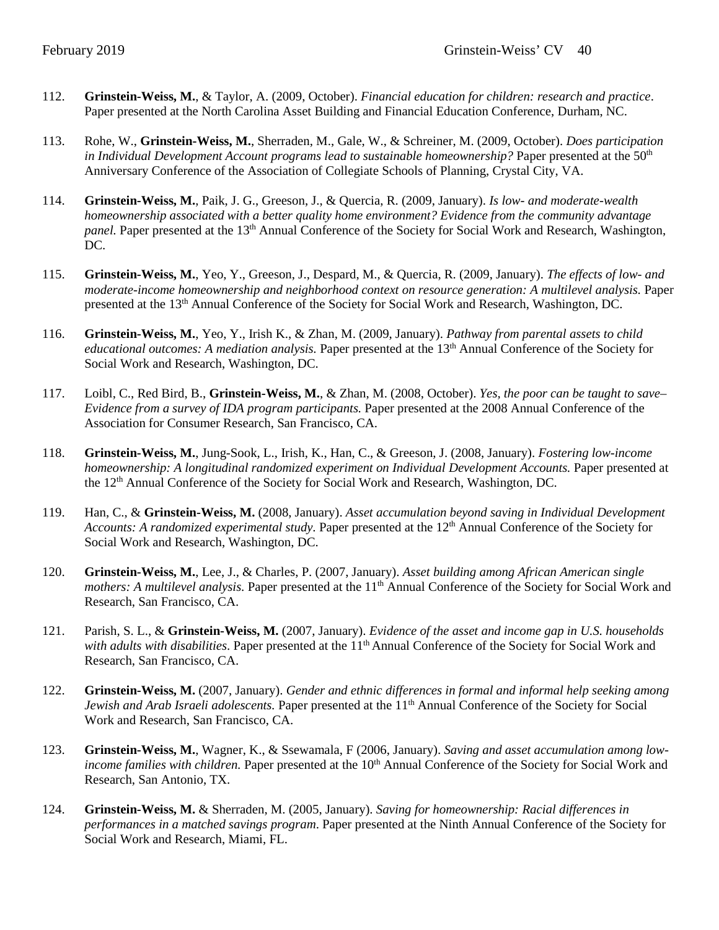- 112. **Grinstein-Weiss, M.**, & Taylor, A. (2009, October). *Financial education for children: research and practice*. Paper presented at the North Carolina Asset Building and Financial Education Conference, Durham, NC.
- 113. Rohe, W., **Grinstein-Weiss, M.**, Sherraden, M., Gale, W., & Schreiner, M. (2009, October). *Does participation in Individual Development Account programs lead to sustainable homeownership?* Paper presented at the 50<sup>th</sup> Anniversary Conference of the Association of Collegiate Schools of Planning, Crystal City, VA.
- 114. **Grinstein-Weiss, M.**, Paik, J. G., Greeson, J., & Quercia, R. (2009, January). *Is low- and moderate-wealth homeownership associated with a better quality home environment? Evidence from the community advantage panel.* Paper presented at the 13<sup>th</sup> Annual Conference of the Society for Social Work and Research, Washington, DC.
- 115. **Grinstein-Weiss, M.**, Yeo, Y., Greeson, J., Despard, M., & Quercia, R. (2009, January). *The effects of low- and moderate-income homeownership and neighborhood context on resource generation: A multilevel analysis.* Paper presented at the 13<sup>th</sup> Annual Conference of the Society for Social Work and Research, Washington, DC.
- 116. **Grinstein-Weiss, M.**, Yeo, Y., Irish K., & Zhan, M. (2009, January). *Pathway from parental assets to child educational outcomes: A mediation analysis.* Paper presented at the 13th Annual Conference of the Society for Social Work and Research, Washington, DC.
- 117. Loibl, C., Red Bird, B., **Grinstein-Weiss, M.**, & Zhan, M. (2008, October). *Yes, the poor can be taught to save– Evidence from a survey of IDA program participants.* Paper presented at the 2008 Annual Conference of the Association for Consumer Research, San Francisco, CA.
- 118. **Grinstein-Weiss, M.**, Jung-Sook, L., Irish, K., Han, C., & Greeson, J. (2008, January). *Fostering low-income homeownership: A longitudinal randomized experiment on Individual Development Accounts.* Paper presented at the 12th Annual Conference of the Society for Social Work and Research, Washington, DC.
- 119. Han, C., & **Grinstein-Weiss, M.** (2008, January). *Asset accumulation beyond saving in Individual Development*  Accounts: A randomized experimental study. Paper presented at the 12<sup>th</sup> Annual Conference of the Society for Social Work and Research, Washington, DC.
- 120. **Grinstein-Weiss, M.**, Lee, J., & Charles, P. (2007, January). *Asset building among African American single mothers: A multilevel analysis.* Paper presented at the 11<sup>th</sup> Annual Conference of the Society for Social Work and Research, San Francisco, CA.
- 121. Parish, S. L., & **Grinstein-Weiss, M.** (2007, January). *Evidence of the asset and income gap in U.S. households with adults with disabilities*. Paper presented at the 11<sup>th</sup> Annual Conference of the Society for Social Work and Research, San Francisco, CA.
- 122. **Grinstein-Weiss, M.** (2007, January). *Gender and ethnic differences in formal and informal help seeking among Jewish and Arab Israeli adolescents.* Paper presented at the 11<sup>th</sup> Annual Conference of the Society for Social Work and Research, San Francisco, CA.
- 123. **Grinstein-Weiss, M.**, Wagner, K., & Ssewamala, F (2006, January). *Saving and asset accumulation among lowincome families with children.* Paper presented at the 10<sup>th</sup> Annual Conference of the Society for Social Work and Research, San Antonio, TX.
- 124. **Grinstein-Weiss, M.** & Sherraden, M. (2005, January). *Saving for homeownership: Racial differences in performances in a matched savings program*. Paper presented at the Ninth Annual Conference of the Society for Social Work and Research, Miami, FL.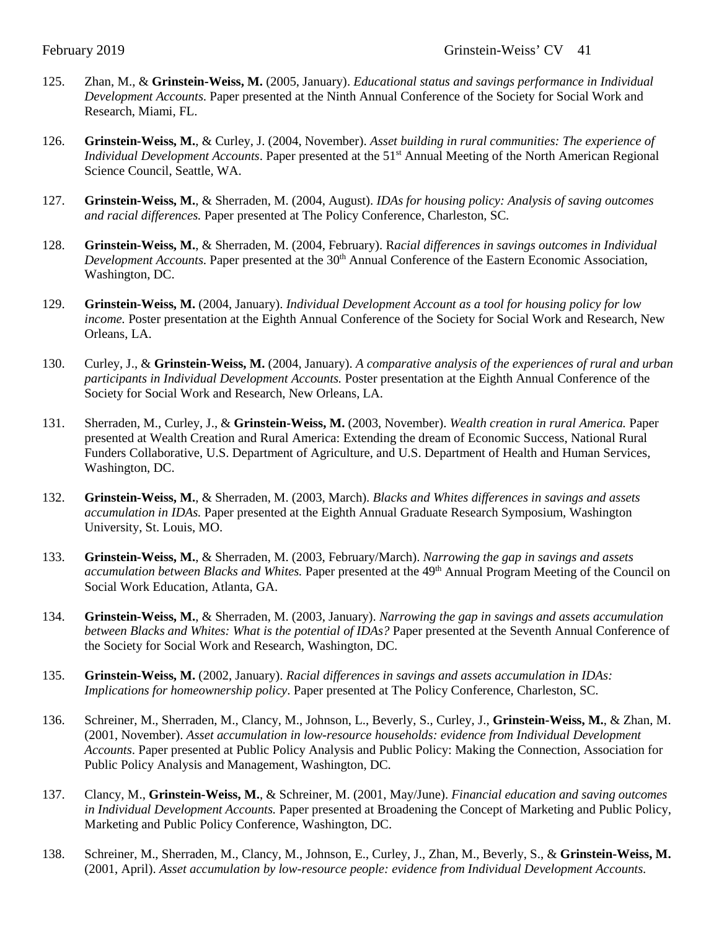- 125. Zhan, M., & **Grinstein-Weiss, M.** (2005, January). *Educational status and savings performance in Individual Development Accounts*. Paper presented at the Ninth Annual Conference of the Society for Social Work and Research, Miami, FL.
- 126. **Grinstein-Weiss, M.**, & Curley, J. (2004, November). *Asset building in rural communities: The experience of Individual Development Accounts*. Paper presented at the 51<sup>st</sup> Annual Meeting of the North American Regional Science Council, Seattle, WA.
- 127. **Grinstein-Weiss, M.**, & Sherraden, M. (2004, August). *IDAs for housing policy: Analysis of saving outcomes and racial differences.* Paper presented at The Policy Conference, Charleston, SC.
- 128. **Grinstein-Weiss, M.**, & Sherraden, M. (2004, February). R*acial differences in savings outcomes in Individual Development Accounts*. Paper presented at the 30<sup>th</sup> Annual Conference of the Eastern Economic Association, Washington, DC.
- 129. **Grinstein-Weiss, M.** (2004, January). *Individual Development Account as a tool for housing policy for low income.* Poster presentation at the Eighth Annual Conference of the Society for Social Work and Research, New Orleans, LA.
- 130. Curley, J., & **Grinstein-Weiss, M.** (2004, January). *A comparative analysis of the experiences of rural and urban participants in Individual Development Accounts.* Poster presentation at the Eighth Annual Conference of the Society for Social Work and Research, New Orleans, LA.
- 131. Sherraden, M., Curley, J., & **Grinstein-Weiss, M.** (2003, November). *Wealth creation in rural America.* Paper presented at Wealth Creation and Rural America: Extending the dream of Economic Success, National Rural Funders Collaborative, U.S. Department of Agriculture, and U.S. Department of Health and Human Services, Washington, DC.
- 132. **Grinstein-Weiss, M.**, & Sherraden, M. (2003, March). *Blacks and Whites differences in savings and assets accumulation in IDAs.* Paper presented at the Eighth Annual Graduate Research Symposium, Washington University, St. Louis, MO.
- 133. **Grinstein-Weiss, M.**, & Sherraden, M. (2003, February/March). *Narrowing the gap in savings and assets accumulation between Blacks and Whites.* Paper presented at the 49th Annual Program Meeting of the Council on Social Work Education, Atlanta, GA.
- 134. **Grinstein-Weiss, M.**, & Sherraden, M. (2003, January). *Narrowing the gap in savings and assets accumulation between Blacks and Whites: What is the potential of IDAs?* Paper presented at the Seventh Annual Conference of the Society for Social Work and Research, Washington, DC.
- 135. **Grinstein-Weiss, M.** (2002, January). *Racial differences in savings and assets accumulation in IDAs: Implications for homeownership policy*. Paper presented at The Policy Conference, Charleston, SC.
- 136. Schreiner, M., Sherraden, M., Clancy, M., Johnson, L., Beverly, S., Curley, J., **Grinstein-Weiss, M.**, & Zhan, M. (2001, November). *Asset accumulation in low-resource households: evidence from Individual Development Accounts*. Paper presented at Public Policy Analysis and Public Policy: Making the Connection, Association for Public Policy Analysis and Management, Washington, DC.
- 137. Clancy, M., **Grinstein-Weiss, M.**, & Schreiner, M. (2001, May/June). *Financial education and saving outcomes in Individual Development Accounts.* Paper presented at Broadening the Concept of Marketing and Public Policy, Marketing and Public Policy Conference, Washington, DC.
- 138. Schreiner, M., Sherraden, M., Clancy, M., Johnson, E., Curley, J., Zhan, M., Beverly, S., & **Grinstein-Weiss, M.** (2001, April). *Asset accumulation by low-resource people: evidence from Individual Development Accounts.*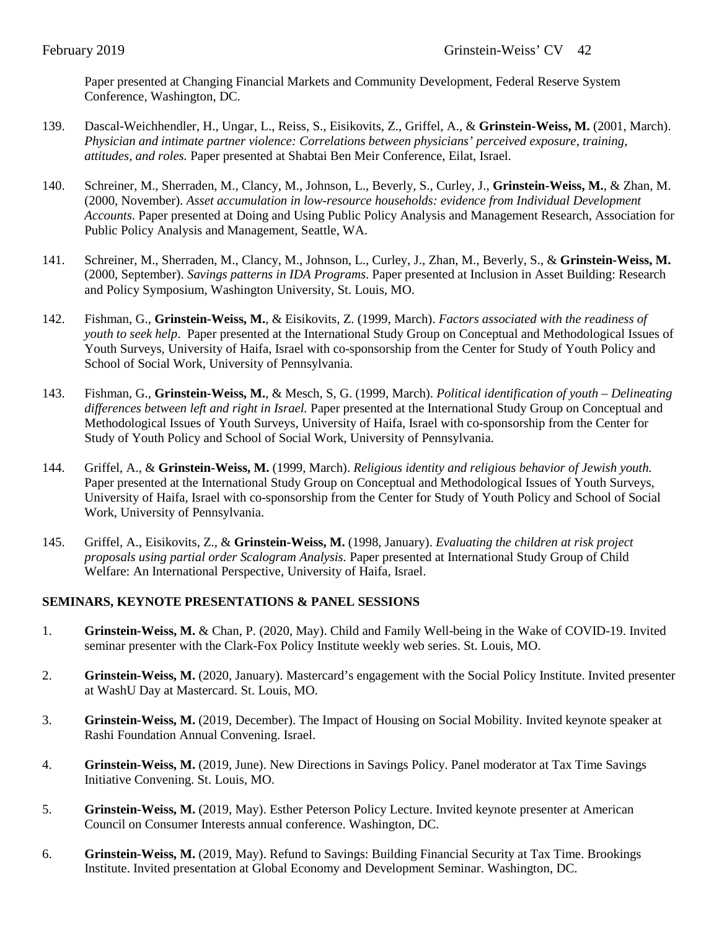Paper presented at Changing Financial Markets and Community Development, Federal Reserve System Conference, Washington, DC.

- 139. Dascal-Weichhendler, H., Ungar, L., Reiss, S., Eisikovits, Z., Griffel, A., & **Grinstein-Weiss, M.** (2001, March). *Physician and intimate partner violence: Correlations between physicians' perceived exposure, training, attitudes, and roles.* Paper presented at Shabtai Ben Meir Conference, Eilat, Israel.
- 140. Schreiner, M., Sherraden, M., Clancy, M., Johnson, L., Beverly, S., Curley, J., **Grinstein-Weiss, M.**, & Zhan, M. (2000, November). *Asset accumulation in low-resource households: evidence from Individual Development Accounts*. Paper presented at Doing and Using Public Policy Analysis and Management Research, Association for Public Policy Analysis and Management, Seattle, WA.
- 141. Schreiner, M., Sherraden, M., Clancy, M., Johnson, L., Curley, J., Zhan, M., Beverly, S., & **Grinstein-Weiss, M.** (2000, September). *Savings patterns in IDA Programs*. Paper presented at Inclusion in Asset Building: Research and Policy Symposium, Washington University, St. Louis, MO.
- 142. Fishman, G., **Grinstein-Weiss, M.**, & Eisikovits, Z. (1999, March). *Factors associated with the readiness of youth to seek help*. Paper presented at the International Study Group on Conceptual and Methodological Issues of Youth Surveys, University of Haifa, Israel with co-sponsorship from the Center for Study of Youth Policy and School of Social Work, University of Pennsylvania.
- 143. Fishman, G., **Grinstein-Weiss, M.**, & Mesch, S, G. (1999, March). *Political identification of youth – Delineating differences between left and right in Israel.* Paper presented at the International Study Group on Conceptual and Methodological Issues of Youth Surveys, University of Haifa, Israel with co-sponsorship from the Center for Study of Youth Policy and School of Social Work, University of Pennsylvania.
- 144. Griffel, A., & **Grinstein-Weiss, M.** (1999, March). *Religious identity and religious behavior of Jewish youth.*  Paper presented at the International Study Group on Conceptual and Methodological Issues of Youth Surveys, University of Haifa, Israel with co-sponsorship from the Center for Study of Youth Policy and School of Social Work, University of Pennsylvania.
- 145. Griffel, A., Eisikovits, Z., & **Grinstein-Weiss, M.** (1998, January). *Evaluating the children at risk project proposals using partial order Scalogram Analysis.* Paper presented at International Study Group of Child Welfare: An International Perspective, University of Haifa, Israel.

## **SEMINARS, KEYNOTE PRESENTATIONS & PANEL SESSIONS**

- 1. **Grinstein-Weiss, M.** & Chan, P. (2020, May). Child and Family Well-being in the Wake of COVID-19. Invited seminar presenter with the Clark-Fox Policy Institute weekly web series. St. Louis, MO.
- 2. **Grinstein-Weiss, M.** (2020, January). Mastercard's engagement with the Social Policy Institute. Invited presenter at WashU Day at Mastercard. St. Louis, MO.
- 3. **Grinstein-Weiss, M.** (2019, December). The Impact of Housing on Social Mobility. Invited keynote speaker at Rashi Foundation Annual Convening. Israel.
- 4. **Grinstein-Weiss, M.** (2019, June). New Directions in Savings Policy. Panel moderator at Tax Time Savings Initiative Convening. St. Louis, MO.
- 5. **Grinstein-Weiss, M.** (2019, May). Esther Peterson Policy Lecture. Invited keynote presenter at American Council on Consumer Interests annual conference. Washington, DC.
- 6. **Grinstein-Weiss, M.** (2019, May). Refund to Savings: Building Financial Security at Tax Time. Brookings Institute. Invited presentation at Global Economy and Development Seminar. Washington, DC.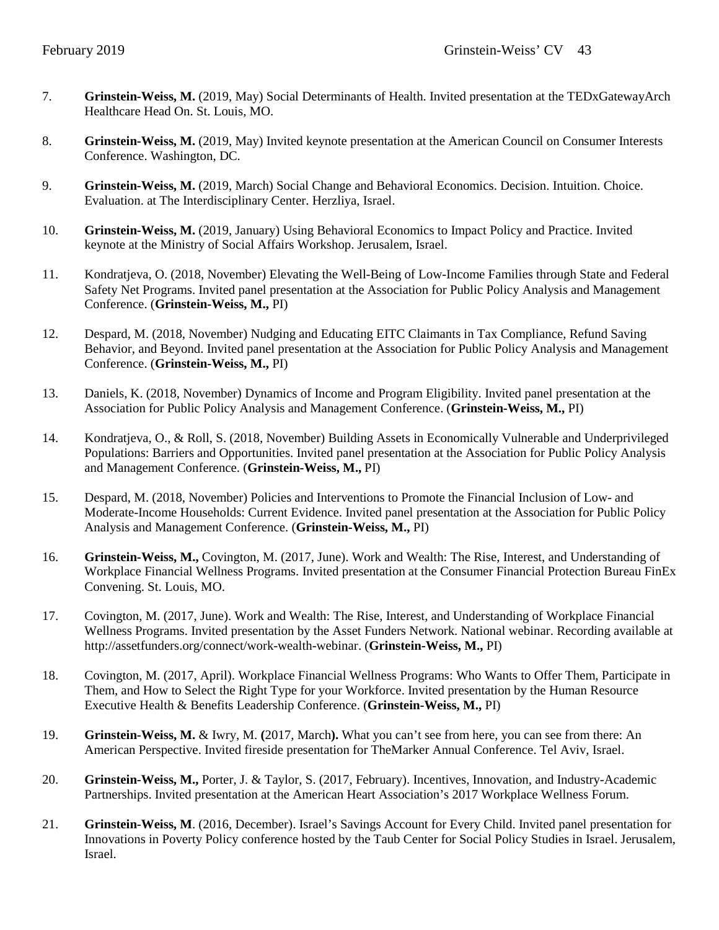- 7. **Grinstein-Weiss, M.** (2019, May) Social Determinants of Health. Invited presentation at the TEDxGatewayArch Healthcare Head On. St. Louis, MO.
- 8. **Grinstein-Weiss, M.** (2019, May) Invited keynote presentation at the American Council on Consumer Interests Conference. Washington, DC.
- 9. **Grinstein-Weiss, M.** (2019, March) Social Change and Behavioral Economics. Decision. Intuition. Choice. Evaluation. at The Interdisciplinary Center. Herzliya, Israel.
- 10. **Grinstein-Weiss, M.** (2019, January) Using Behavioral Economics to Impact Policy and Practice. Invited keynote at the Ministry of Social Affairs Workshop. Jerusalem, Israel.
- 11. Kondratjeva, O. (2018, November) Elevating the Well-Being of Low-Income Families through State and Federal Safety Net Programs. Invited panel presentation at the Association for Public Policy Analysis and Management Conference. (**Grinstein-Weiss, M.,** PI)
- 12. Despard, M. (2018, November) Nudging and Educating EITC Claimants in Tax Compliance, Refund Saving Behavior, and Beyond. Invited panel presentation at the Association for Public Policy Analysis and Management Conference. (**Grinstein-Weiss, M.,** PI)
- 13. Daniels, K. (2018, November) Dynamics of Income and Program Eligibility. Invited panel presentation at the Association for Public Policy Analysis and Management Conference. (**Grinstein-Weiss, M.,** PI)
- 14. Kondratjeva, O., & Roll, S. (2018, November) Building Assets in Economically Vulnerable and Underprivileged Populations: Barriers and Opportunities. Invited panel presentation at the Association for Public Policy Analysis and Management Conference. (**Grinstein-Weiss, M.,** PI)
- 15. Despard, M. (2018, November) Policies and Interventions to Promote the Financial Inclusion of Low- and Moderate-Income Households: Current Evidence. Invited panel presentation at the Association for Public Policy Analysis and Management Conference. (**Grinstein-Weiss, M.,** PI)
- 16. **Grinstein-Weiss, M.,** Covington, M. (2017, June). Work and Wealth: The Rise, Interest, and Understanding of Workplace Financial Wellness Programs. Invited presentation at the Consumer Financial Protection Bureau FinEx Convening. St. Louis, MO.
- 17. Covington, M. (2017, June). Work and Wealth: The Rise, Interest, and Understanding of Workplace Financial Wellness Programs. Invited presentation by the Asset Funders Network. National webinar. Recording available at http://assetfunders.org/connect/work-wealth-webinar. (**Grinstein-Weiss, M.,** PI)
- 18. Covington, M. (2017, April). Workplace Financial Wellness Programs: Who Wants to Offer Them, Participate in Them, and How to Select the Right Type for your Workforce. Invited presentation by the Human Resource Executive Health & Benefits Leadership Conference. (**Grinstein-Weiss, M.,** PI)
- 19. **Grinstein-Weiss, M.** & Iwry, M. **(**2017, March**).** What you can't see from here, you can see from there: An American Perspective. Invited fireside presentation for TheMarker Annual Conference. Tel Aviv, Israel.
- 20. **Grinstein-Weiss, M.,** Porter, J. & Taylor, S. (2017, February). Incentives, Innovation, and Industry-Academic Partnerships. Invited presentation at the American Heart Association's 2017 Workplace Wellness Forum.
- 21. **Grinstein-Weiss, M**. (2016, December). Israel's Savings Account for Every Child. Invited panel presentation for Innovations in Poverty Policy conference hosted by the Taub Center for Social Policy Studies in Israel. Jerusalem, Israel.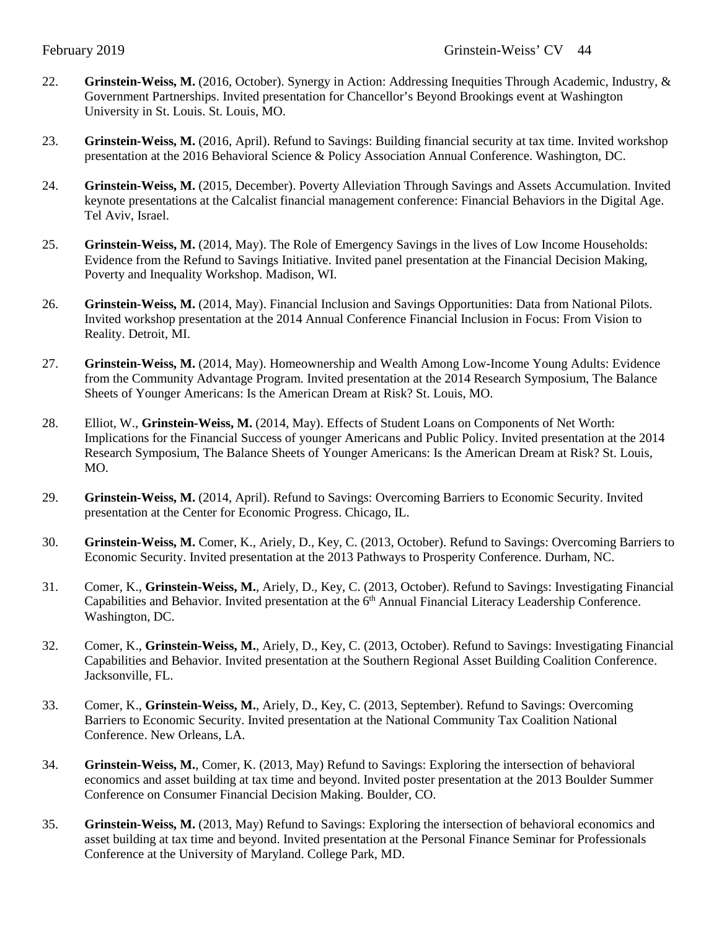- 22. **Grinstein-Weiss, M.** (2016, October). Synergy in Action: Addressing Inequities Through Academic, Industry, & Government Partnerships. Invited presentation for Chancellor's Beyond Brookings event at Washington University in St. Louis. St. Louis, MO.
- 23. **Grinstein-Weiss, M.** (2016, April). Refund to Savings: Building financial security at tax time. Invited workshop presentation at the 2016 Behavioral Science & Policy Association Annual Conference. Washington, DC.
- 24. **Grinstein-Weiss, M.** (2015, December). Poverty Alleviation Through Savings and Assets Accumulation. Invited keynote presentations at the Calcalist financial management conference: Financial Behaviors in the Digital Age. Tel Aviv, Israel.
- 25. **Grinstein-Weiss, M.** (2014, May). The Role of Emergency Savings in the lives of Low Income Households: Evidence from the Refund to Savings Initiative. Invited panel presentation at the Financial Decision Making, Poverty and Inequality Workshop. Madison, WI.
- 26. **Grinstein-Weiss, M.** (2014, May). Financial Inclusion and Savings Opportunities: Data from National Pilots. Invited workshop presentation at the 2014 Annual Conference Financial Inclusion in Focus: From Vision to Reality. Detroit, MI.
- 27. **Grinstein-Weiss, M.** (2014, May). Homeownership and Wealth Among Low-Income Young Adults: Evidence from the Community Advantage Program. Invited presentation at the 2014 Research Symposium, The Balance Sheets of Younger Americans: Is the American Dream at Risk? St. Louis, MO.
- 28. Elliot, W., **Grinstein-Weiss, M.** (2014, May). Effects of Student Loans on Components of Net Worth: Implications for the Financial Success of younger Americans and Public Policy. Invited presentation at the 2014 Research Symposium, The Balance Sheets of Younger Americans: Is the American Dream at Risk? St. Louis, MO.
- 29. **Grinstein-Weiss, M.** (2014, April). Refund to Savings: Overcoming Barriers to Economic Security. Invited presentation at the Center for Economic Progress. Chicago, IL.
- 30. **Grinstein-Weiss, M.** Comer, K., Ariely, D., Key, C. (2013, October). Refund to Savings: Overcoming Barriers to Economic Security. Invited presentation at the 2013 Pathways to Prosperity Conference. Durham, NC.
- 31. Comer, K., **Grinstein-Weiss, M.**, Ariely, D., Key, C. (2013, October). Refund to Savings: Investigating Financial Capabilities and Behavior. Invited presentation at the 6<sup>th</sup> Annual Financial Literacy Leadership Conference. Washington, DC.
- 32. Comer, K., **Grinstein-Weiss, M.**, Ariely, D., Key, C. (2013, October). Refund to Savings: Investigating Financial Capabilities and Behavior. Invited presentation at the Southern Regional Asset Building Coalition Conference. Jacksonville, FL.
- 33. Comer, K., **Grinstein-Weiss, M.**, Ariely, D., Key, C. (2013, September). Refund to Savings: Overcoming Barriers to Economic Security. Invited presentation at the National Community Tax Coalition National Conference. New Orleans, LA.
- 34. **Grinstein-Weiss, M.**, Comer, K. (2013, May) Refund to Savings: Exploring the intersection of behavioral economics and asset building at tax time and beyond. Invited poster presentation at the 2013 Boulder Summer Conference on Consumer Financial Decision Making. Boulder, CO.
- 35. **Grinstein-Weiss, M.** (2013, May) Refund to Savings: Exploring the intersection of behavioral economics and asset building at tax time and beyond. Invited presentation at the Personal Finance Seminar for Professionals Conference at the University of Maryland. College Park, MD.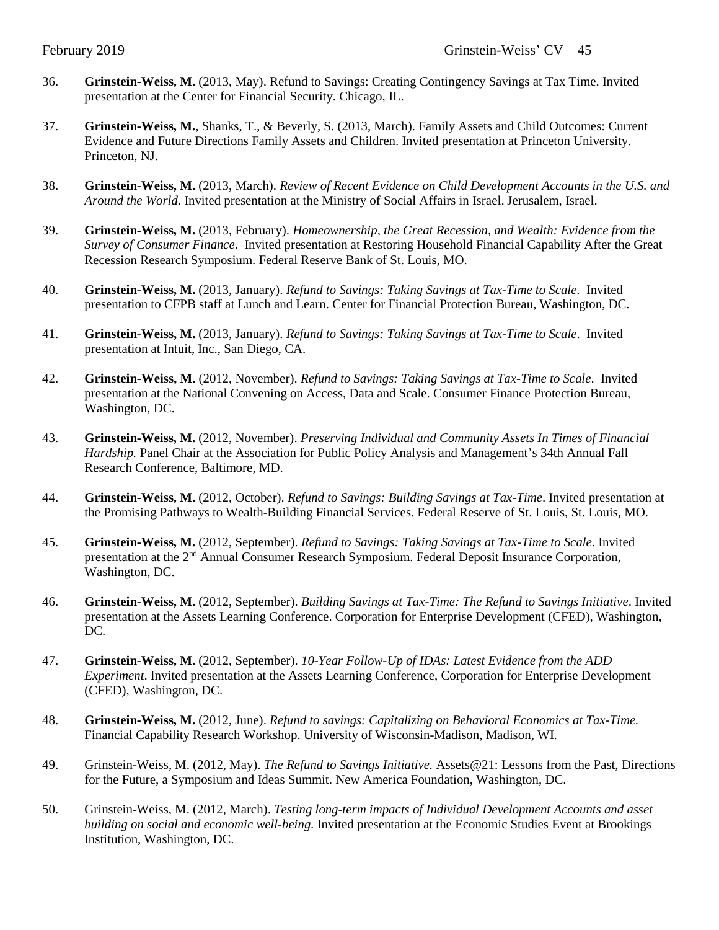- 36. **Grinstein-Weiss, M.** (2013, May). Refund to Savings: Creating Contingency Savings at Tax Time. Invited presentation at the Center for Financial Security. Chicago, IL.
- 37. **Grinstein-Weiss, M.**, Shanks, T., & Beverly, S. (2013, March). Family Assets and Child Outcomes: Current Evidence and Future Directions Family Assets and Children. Invited presentation at Princeton University. Princeton, NJ.
- 38. **Grinstein-Weiss, M.** (2013, March). *Review of Recent Evidence on Child Development Accounts in the U.S. and Around the World.* Invited presentation at the Ministry of Social Affairs in Israel. Jerusalem, Israel.
- 39. **Grinstein-Weiss, M.** (2013, February). *Homeownership, the Great Recession, and Wealth: Evidence from the Survey of Consumer Finance*. Invited presentation at Restoring Household Financial Capability After the Great Recession Research Symposium. Federal Reserve Bank of St. Louis, MO.
- 40. **Grinstein-Weiss, M.** (2013, January). *Refund to Savings: Taking Savings at Tax-Time to Scale*. Invited presentation to CFPB staff at Lunch and Learn. Center for Financial Protection Bureau, Washington, DC.
- 41. **Grinstein-Weiss, M.** (2013, January). *Refund to Savings: Taking Savings at Tax-Time to Scale*. Invited presentation at Intuit, Inc., San Diego, CA.
- 42. **Grinstein-Weiss, M.** (2012, November). *Refund to Savings: Taking Savings at Tax-Time to Scale*. Invited presentation at the National Convening on Access, Data and Scale. Consumer Finance Protection Bureau, Washington, DC.
- 43. **Grinstein-Weiss, M.** (2012, November). *Preserving Individual and Community Assets In Times of Financial Hardship.* Panel Chair at the Association for Public Policy Analysis and Management's 34th Annual Fall Research Conference, Baltimore, MD.
- 44. **Grinstein-Weiss, M.** (2012, October). *Refund to Savings: Building Savings at Tax-Time*. Invited presentation at the Promising Pathways to Wealth-Building Financial Services. Federal Reserve of St. Louis, St. Louis, MO.
- 45. **Grinstein-Weiss, M.** (2012, September). *Refund to Savings: Taking Savings at Tax-Time to Scale*. Invited presentation at the 2nd Annual Consumer Research Symposium. Federal Deposit Insurance Corporation, Washington, DC.
- 46. **Grinstein-Weiss, M.** (2012, September). *Building Savings at Tax-Time: The Refund to Savings Initiative*. Invited presentation at the Assets Learning Conference. Corporation for Enterprise Development (CFED), Washington, DC.
- 47. **Grinstein-Weiss, M.** (2012, September). *10-Year Follow-Up of IDAs: Latest Evidence from the ADD Experiment*. Invited presentation at the Assets Learning Conference, Corporation for Enterprise Development (CFED), Washington, DC.
- 48. **Grinstein-Weiss, M.** (2012, June). *Refund to savings: Capitalizing on Behavioral Economics at Tax-Time.* Financial Capability Research Workshop. University of Wisconsin-Madison, Madison, WI.
- 49. Grinstein-Weiss, M. (2012, May). *The Refund to Savings Initiative.* Assets@21: Lessons from the Past, Directions for the Future, a Symposium and Ideas Summit. New America Foundation, Washington, DC.
- 50. Grinstein-Weiss, M. (2012, March). *Testing long-term impacts of Individual Development Accounts and asset building on social and economic well-being.* Invited presentation at the Economic Studies Event at Brookings Institution, Washington, DC.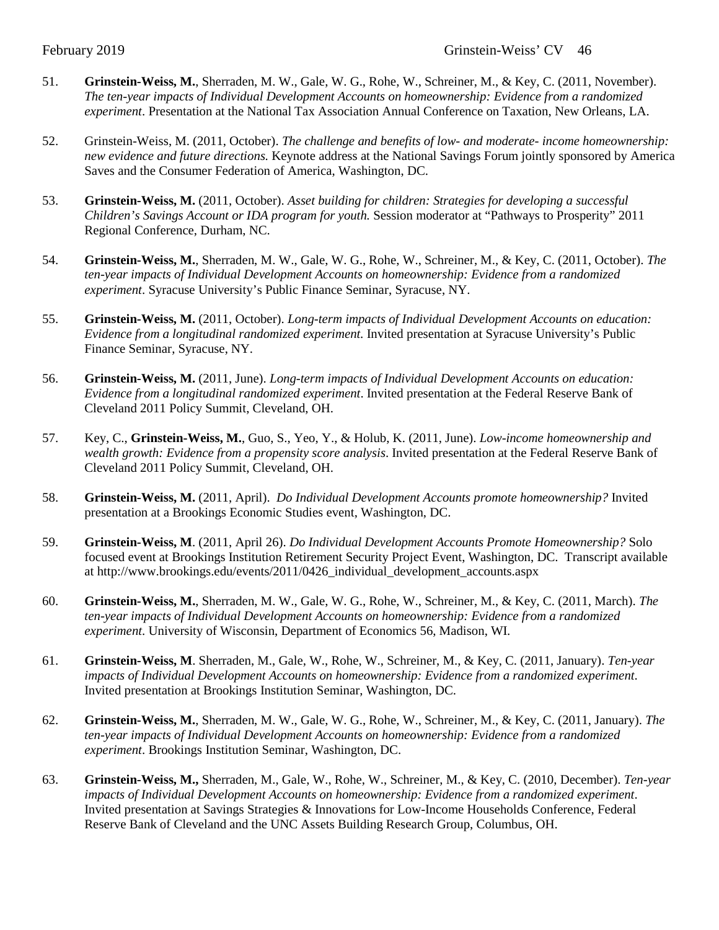- 51. **Grinstein-Weiss, M.**, Sherraden, M. W., Gale, W. G., Rohe, W., Schreiner, M., & Key, C. (2011, November). *The ten-year impacts of Individual Development Accounts on homeownership: Evidence from a randomized experiment*. Presentation at the National Tax Association Annual Conference on Taxation, New Orleans, LA.
- 52. Grinstein-Weiss, M. (2011, October). *The challenge and benefits of low- and moderate- income homeownership: new evidence and future directions.* Keynote address at the National Savings Forum jointly sponsored by America Saves and the Consumer Federation of America, Washington, DC.
- 53. **Grinstein-Weiss, M.** (2011, October). *Asset building for children: Strategies for developing a successful Children's Savings Account or IDA program for youth.* Session moderator at "Pathways to Prosperity" 2011 Regional Conference, Durham, NC.
- 54. **Grinstein-Weiss, M.**, Sherraden, M. W., Gale, W. G., Rohe, W., Schreiner, M., & Key, C. (2011, October). *The ten-year impacts of Individual Development Accounts on homeownership: Evidence from a randomized experiment*. Syracuse University's Public Finance Seminar, Syracuse, NY.
- 55. **Grinstein-Weiss, M.** (2011, October). *Long-term impacts of Individual Development Accounts on education: Evidence from a longitudinal randomized experiment.* Invited presentation at Syracuse University's Public Finance Seminar, Syracuse, NY.
- 56. **Grinstein-Weiss, M.** (2011, June). *Long-term impacts of Individual Development Accounts on education: Evidence from a longitudinal randomized experiment*. Invited presentation at the Federal Reserve Bank of Cleveland 2011 Policy Summit, Cleveland, OH.
- 57. Key, C., **Grinstein-Weiss, M.**, Guo, S., Yeo, Y., & Holub, K. (2011, June). *Low-income homeownership and wealth growth: Evidence from a propensity score analysis*. Invited presentation at the Federal Reserve Bank of Cleveland 2011 Policy Summit, Cleveland, OH.
- 58. **Grinstein-Weiss, M.** (2011, April). *Do Individual Development Accounts promote homeownership?* Invited presentation at a Brookings Economic Studies event, Washington, DC.
- 59. **Grinstein-Weiss, M**. (2011, April 26). *Do Individual Development Accounts Promote Homeownership?* Solo focused event at Brookings Institution Retirement Security Project Event, Washington, DC. Transcript available at http://www.brookings.edu/events/2011/0426\_individual\_development\_accounts.aspx
- 60. **Grinstein-Weiss, M.**, Sherraden, M. W., Gale, W. G., Rohe, W., Schreiner, M., & Key, C. (2011, March). *The ten-year impacts of Individual Development Accounts on homeownership: Evidence from a randomized experiment*. University of Wisconsin, Department of Economics 56, Madison, WI.
- 61. **Grinstein-Weiss, M**. Sherraden, M., Gale, W., Rohe, W., Schreiner, M., & Key, C. (2011, January). *Ten-year impacts of Individual Development Accounts on homeownership: Evidence from a randomized experiment*. Invited presentation at Brookings Institution Seminar, Washington, DC.
- 62. **Grinstein-Weiss, M.**, Sherraden, M. W., Gale, W. G., Rohe, W., Schreiner, M., & Key, C. (2011, January). *The ten-year impacts of Individual Development Accounts on homeownership: Evidence from a randomized experiment*. Brookings Institution Seminar, Washington, DC.
- 63. **Grinstein-Weiss, M.,** Sherraden, M., Gale, W., Rohe, W., Schreiner, M., & Key, C. (2010, December). *Ten-year impacts of Individual Development Accounts on homeownership: Evidence from a randomized experiment*. Invited presentation at Savings Strategies & Innovations for Low-Income Households Conference, Federal Reserve Bank of Cleveland and the UNC Assets Building Research Group, Columbus, OH.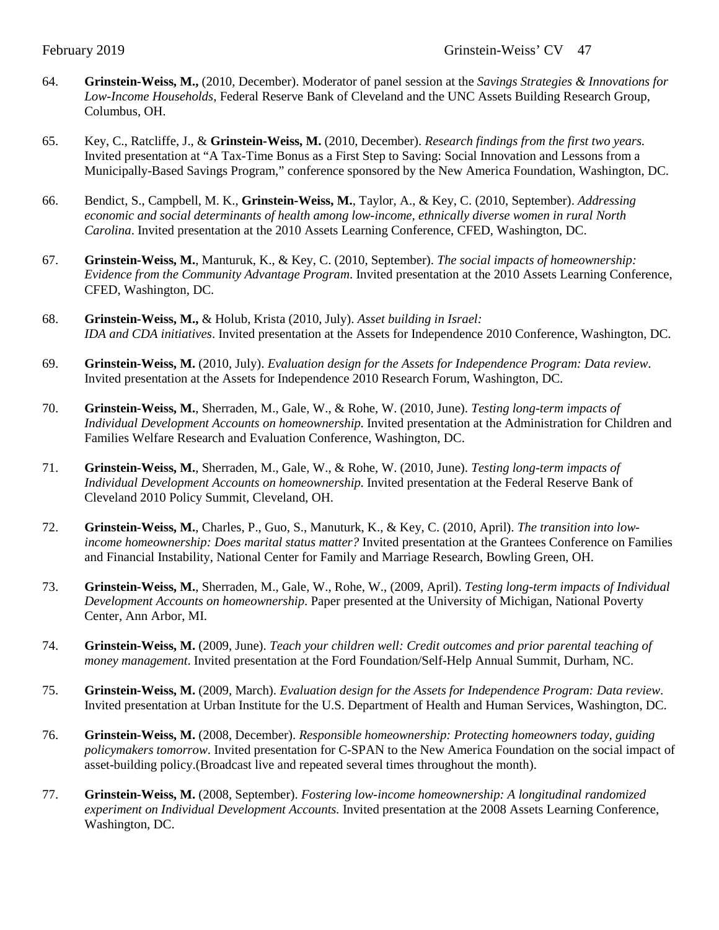- 64. **Grinstein-Weiss, M.,** (2010, December). Moderator of panel session at the *Savings Strategies & Innovations for Low-Income Households*, Federal Reserve Bank of Cleveland and the UNC Assets Building Research Group, Columbus, OH.
- 65. Key, C., Ratcliffe, J., & **Grinstein-Weiss, M.** (2010, December). *Research findings from the first two years*. Invited presentation at "A Tax-Time Bonus as a First Step to Saving: Social Innovation and Lessons from a Municipally-Based Savings Program," conference sponsored by the New America Foundation, Washington, DC.
- 66. Bendict, S., Campbell, M. K., **Grinstein-Weiss, M.**, Taylor, A., & Key, C. (2010, September). *Addressing economic and social determinants of health among low-income, ethnically diverse women in rural North Carolina*. Invited presentation at the 2010 Assets Learning Conference, CFED, Washington, DC.
- 67. **Grinstein-Weiss, M.**, Manturuk, K., & Key, C. (2010, September). *The social impacts of homeownership: Evidence from the Community Advantage Program*. Invited presentation at the 2010 Assets Learning Conference, CFED, Washington, DC.
- 68. **Grinstein-Weiss, M.,** & Holub, Krista (2010, July). *Asset building in Israel: IDA and CDA initiatives*. Invited presentation at the Assets for Independence 2010 Conference, Washington, DC.
- 69. **Grinstein-Weiss, M.** (2010, July). *Evaluation design for the Assets for Independence Program: Data review*. Invited presentation at the Assets for Independence 2010 Research Forum, Washington, DC.
- 70. **Grinstein-Weiss, M.**, Sherraden, M., Gale, W., & Rohe, W. (2010, June). *Testing long-term impacts of Individual Development Accounts on homeownership.* Invited presentation at the Administration for Children and Families Welfare Research and Evaluation Conference, Washington, DC.
- 71. **Grinstein-Weiss, M.**, Sherraden, M., Gale, W., & Rohe, W. (2010, June). *Testing long-term impacts of Individual Development Accounts on homeownership.* Invited presentation at the Federal Reserve Bank of Cleveland 2010 Policy Summit, Cleveland, OH.
- 72. **Grinstein-Weiss, M.**, Charles, P., Guo, S., Manuturk, K., & Key, C. (2010, April). *The transition into lowincome homeownership: Does marital status matter?* Invited presentation at the Grantees Conference on Families and Financial Instability, National Center for Family and Marriage Research, Bowling Green, OH.
- 73. **Grinstein-Weiss, M.**, Sherraden, M., Gale, W., Rohe, W., (2009, April). *Testing long-term impacts of Individual Development Accounts on homeownership*. Paper presented at the University of Michigan, National Poverty Center, Ann Arbor, MI.
- 74. **Grinstein-Weiss, M.** (2009, June). *Teach your children well: Credit outcomes and prior parental teaching of money management*. Invited presentation at the Ford Foundation/Self-Help Annual Summit, Durham, NC.
- 75. **Grinstein-Weiss, M.** (2009, March). *Evaluation design for the Assets for Independence Program: Data review*. Invited presentation at Urban Institute for the U.S. Department of Health and Human Services, Washington, DC.
- 76. **Grinstein-Weiss, M.** (2008, December). *Responsible homeownership: Protecting homeowners today, guiding policymakers tomorrow*. Invited presentation for C-SPAN to the New America Foundation on the social impact of asset-building policy.(Broadcast live and repeated several times throughout the month).
- 77. **Grinstein-Weiss, M.** (2008, September). *Fostering low-income homeownership: A longitudinal randomized experiment on Individual Development Accounts.* Invited presentation at the 2008 Assets Learning Conference, Washington, DC.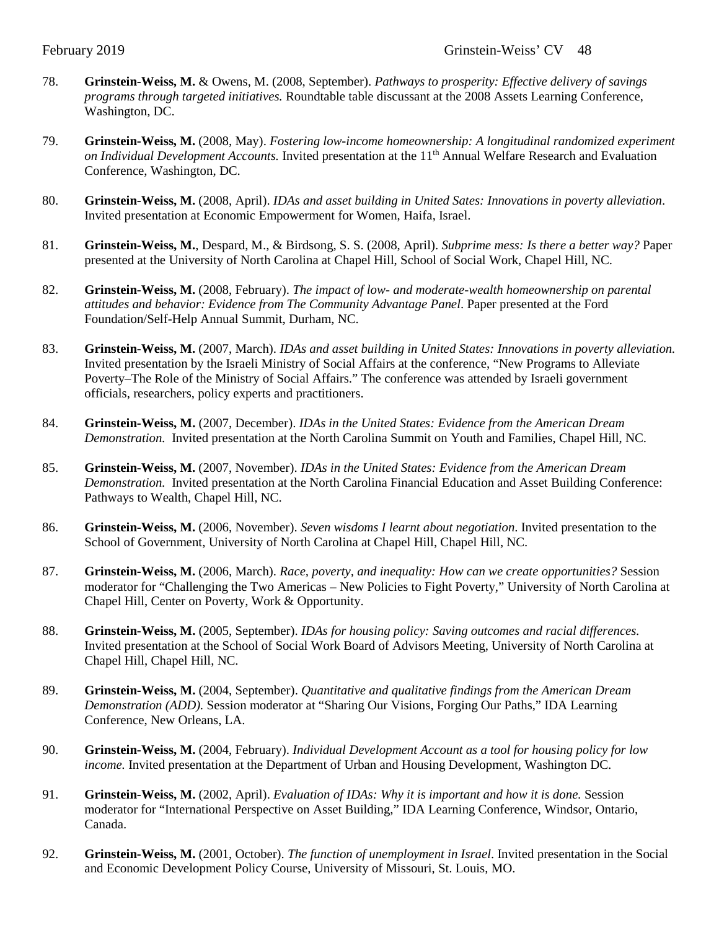- 78. **Grinstein-Weiss, M.** & Owens, M. (2008, September). *Pathways to prosperity: Effective delivery of savings programs through targeted initiatives.* Roundtable table discussant at the 2008 Assets Learning Conference, Washington, DC.
- 79. **Grinstein-Weiss, M.** (2008, May). *Fostering low-income homeownership: A longitudinal randomized experiment on Individual Development Accounts*. Invited presentation at the 11<sup>th</sup> Annual Welfare Research and Evaluation Conference, Washington, DC.
- 80. **Grinstein-Weiss, M.** (2008, April). *IDAs and asset building in United Sates: Innovations in poverty alleviation*. Invited presentation at Economic Empowerment for Women, Haifa, Israel.
- 81. **Grinstein-Weiss, M.**, Despard, M., & Birdsong, S. S. (2008, April). *Subprime mess: Is there a better way?* Paper presented at the University of North Carolina at Chapel Hill, School of Social Work, Chapel Hill, NC.
- 82. **Grinstein-Weiss, M.** (2008, February). *The impact of low- and moderate-wealth homeownership on parental attitudes and behavior: Evidence from The Community Advantage Panel*. Paper presented at the Ford Foundation/Self-Help Annual Summit, Durham, NC.
- 83. **Grinstein-Weiss, M.** (2007, March). *IDAs and asset building in United States: Innovations in poverty alleviation.* Invited presentation by the Israeli Ministry of Social Affairs at the conference, "New Programs to Alleviate Poverty–The Role of the Ministry of Social Affairs." The conference was attended by Israeli government officials, researchers, policy experts and practitioners.
- 84. **Grinstein-Weiss, M.** (2007, December). *IDAs in the United States: Evidence from the American Dream Demonstration.* Invited presentation at the North Carolina Summit on Youth and Families, Chapel Hill, NC.
- 85. **Grinstein-Weiss, M.** (2007, November). *IDAs in the United States: Evidence from the American Dream Demonstration.* Invited presentation at the North Carolina Financial Education and Asset Building Conference: Pathways to Wealth, Chapel Hill, NC.
- 86. **Grinstein-Weiss, M.** (2006, November). *Seven wisdoms I learnt about negotiation*. Invited presentation to the School of Government, University of North Carolina at Chapel Hill, Chapel Hill, NC.
- 87. **Grinstein-Weiss, M.** (2006, March). *Race, poverty, and inequality: How can we create opportunities?* Session moderator for "Challenging the Two Americas – New Policies to Fight Poverty," University of North Carolina at Chapel Hill, Center on Poverty, Work & Opportunity.
- 88. **Grinstein-Weiss, M.** (2005, September). *IDAs for housing policy: Saving outcomes and racial differences.*  Invited presentation at the School of Social Work Board of Advisors Meeting, University of North Carolina at Chapel Hill, Chapel Hill, NC.
- 89. **Grinstein-Weiss, M.** (2004, September). *Quantitative and qualitative findings from the American Dream Demonstration (ADD).* Session moderator at "Sharing Our Visions, Forging Our Paths," IDA Learning Conference, New Orleans, LA.
- 90. **Grinstein-Weiss, M.** (2004, February). *Individual Development Account as a tool for housing policy for low income.* Invited presentation at the Department of Urban and Housing Development, Washington DC.
- 91. **Grinstein-Weiss, M.** (2002, April). *Evaluation of IDAs: Why it is important and how it is done.* Session moderator for "International Perspective on Asset Building," IDA Learning Conference, Windsor, Ontario, Canada.
- 92. **Grinstein-Weiss, M.** (2001, October). *The function of unemployment in Israel*. Invited presentation in the Social and Economic Development Policy Course, University of Missouri, St. Louis, MO.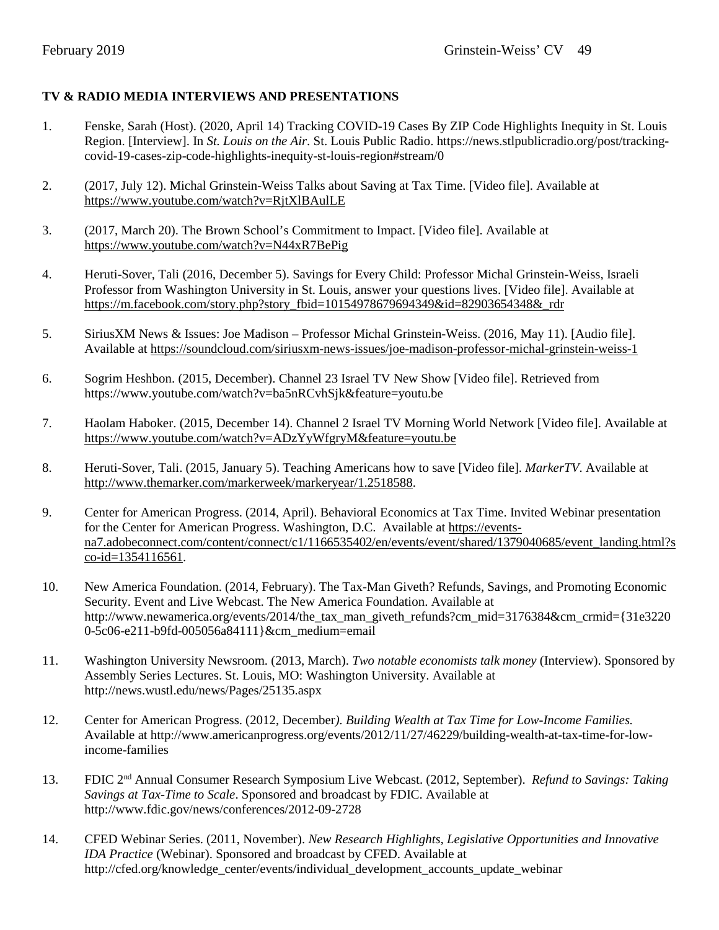## **TV & RADIO MEDIA INTERVIEWS AND PRESENTATIONS**

- 1. Fenske, Sarah (Host). (2020, April 14) Tracking COVID-19 Cases By ZIP Code Highlights Inequity in St. Louis Region. [Interview]. In *St. Louis on the Air*. St. Louis Public Radio. [https://news.stlpublicradio.org/post/tracking](https://news.stlpublicradio.org/post/tracking-covid-19-cases-zip-code-highlights-inequity-st-louis-region#stream/0)[covid-19-cases-zip-code-highlights-inequity-st-louis-region#stream/0](https://news.stlpublicradio.org/post/tracking-covid-19-cases-zip-code-highlights-inequity-st-louis-region#stream/0)
- 2. (2017, July 12). Michal Grinstein-Weiss Talks about Saving at Tax Time. [Video file]. Available at <https://www.youtube.com/watch?v=RjtXlBAulLE>
- 3. (2017, March 20). The Brown School's Commitment to Impact. [Video file]. Available at <https://www.youtube.com/watch?v=N44xR7BePig>
- 4. Heruti-Sover, Tali (2016, December 5). Savings for Every Child: Professor Michal Grinstein-Weiss, Israeli Professor from Washington University in St. Louis, answer your questions lives. [Video file]. Available at [https://m.facebook.com/story.php?story\\_fbid=10154978679694349&id=82903654348&\\_rdr](https://m.facebook.com/story.php?story_fbid=10154978679694349&id=82903654348&_rdr)
- 5. SiriusXM News & Issues: Joe Madison Professor Michal Grinstein-Weiss. (2016, May 11). [Audio file]. Available at<https://soundcloud.com/siriusxm-news-issues/joe-madison-professor-michal-grinstein-weiss-1>
- 6. Sogrim Heshbon. (2015, December). Channel 23 Israel TV New Show [Video file]. Retrieved from https://www.youtube.com/watch?v=ba5nRCvhSjk&feature=youtu.be
- 7. Haolam Haboker. (2015, December 14). Channel 2 Israel TV Morning World Network [Video file]. Available at <https://www.youtube.com/watch?v=ADzYyWfgryM&feature=youtu.be>
- 8. Heruti-Sover, Tali. (2015, January 5). Teaching Americans how to save [Video file]*. MarkerTV*. Available at [http://www.themarker.com/markerweek/markeryear/1.2518588.](http://www.themarker.com/markerweek/markeryear/1.2518588)
- 9. Center for American Progress. (2014, April). Behavioral Economics at Tax Time. Invited Webinar presentation for the Center for American Progress. Washington, D.C. Available at [https://events](https://events-na7.adobeconnect.com/content/connect/c1/1166535402/en/events/event/shared/1379040685/event_landing.html?sco-id=1354116561)[na7.adobeconnect.com/content/connect/c1/1166535402/en/events/event/shared/1379040685/event\\_landing.html?s](https://events-na7.adobeconnect.com/content/connect/c1/1166535402/en/events/event/shared/1379040685/event_landing.html?sco-id=1354116561) [co-id=1354116561.](https://events-na7.adobeconnect.com/content/connect/c1/1166535402/en/events/event/shared/1379040685/event_landing.html?sco-id=1354116561)
- 10. New America Foundation. (2014, February). The Tax-Man Giveth? Refunds, Savings, and Promoting Economic Security. Event and Live Webcast. The New America Foundation. Available at http://www.newamerica.org/events/2014/the\_tax\_man\_giveth\_refunds?cm\_mid=3176384&cm\_crmid={31e3220} 0-5c06-e211-b9fd-005056a84111}&cm\_medium=email
- 11. Washington University Newsroom. (2013, March). *Two notable economists talk money* (Interview). Sponsored by Assembly Series Lectures. St. Louis, MO: Washington University. Available at http://news.wustl.edu/news/Pages/25135.aspx
- 12. Center for American Progress. (2012, December*). Building Wealth at Tax Time for Low-Income Families.* Available at http://www.americanprogress.org/events/2012/11/27/46229/building-wealth-at-tax-time-for-lowincome-families
- 13. FDIC 2nd Annual Consumer Research Symposium Live Webcast. (2012, September). *Refund to Savings: Taking Savings at Tax-Time to Scale*. Sponsored and broadcast by FDIC. Available at http://www.fdic.gov/news/conferences/2012-09-2728
- 14. CFED Webinar Series. (2011, November). *New Research Highlights, Legislative Opportunities and Innovative IDA Practice* (Webinar). Sponsored and broadcast by CFED. Available at http://cfed.org/knowledge\_center/events/individual\_development\_accounts\_update\_webinar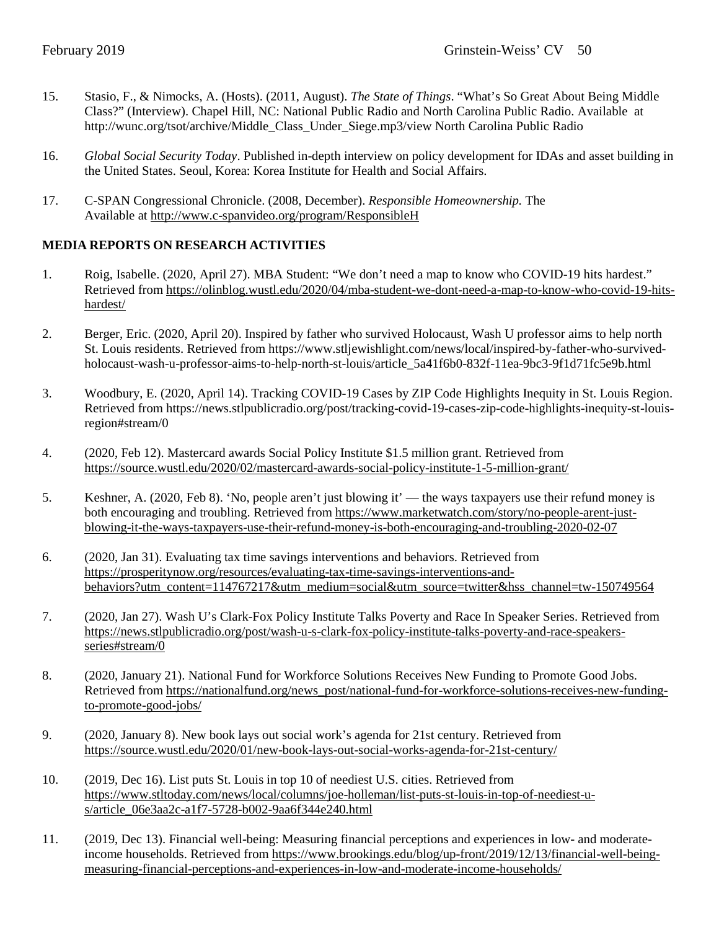- 15. Stasio, F., & Nimocks, A. (Hosts). (2011, August). *The State of Things*. "What's So Great About Being Middle Class?" (Interview). Chapel Hill, NC: National Public Radio and North Carolina Public Radio. Available at http://wunc.org/tsot/archive/Middle\_Class\_Under\_Siege.mp3/view North Carolina Public Radio
- 16. *Global Social Security Today*. Published in-depth interview on policy development for IDAs and asset building in the United States. Seoul, Korea: Korea Institute for Health and Social Affairs.
- 17. C-SPAN Congressional Chronicle. (2008, December). *Responsible Homeownership.* The Available at<http://www.c-spanvideo.org/program/ResponsibleH>

## **MEDIA REPORTS ON RESEARCH ACTIVITIES**

- 1. Roig, Isabelle. (2020, April 27). MBA Student: "We don't need a map to know who COVID-19 hits hardest." Retrieved fro[m https://olinblog.wustl.edu/2020/04/mba-student-we-dont-need-a-map-to-know-who-covid-19-hits](https://olinblog.wustl.edu/2020/04/mba-student-we-dont-need-a-map-to-know-who-covid-19-hits-hardest/)[hardest/](https://olinblog.wustl.edu/2020/04/mba-student-we-dont-need-a-map-to-know-who-covid-19-hits-hardest/)
- 2. Berger, Eric. (2020, April 20). Inspired by father who survived Holocaust, Wash U professor aims to help north St. Louis residents. Retrieved fro[m https://www.stljewishlight.com/news/local/inspired-by-father-who-survived](https://www.stljewishlight.com/news/local/inspired-by-father-who-survived-holocaust-wash-u-professor-aims-to-help-north-st-louis/article_5a41f6b0-832f-11ea-9bc3-9f1d71fc5e9b.html)[holocaust-wash-u-professor-aims-to-help-north-st-louis/article\\_5a41f6b0-832f-11ea-9bc3-9f1d71fc5e9b.html](https://www.stljewishlight.com/news/local/inspired-by-father-who-survived-holocaust-wash-u-professor-aims-to-help-north-st-louis/article_5a41f6b0-832f-11ea-9bc3-9f1d71fc5e9b.html)
- 3. Woodbury, E. (2020, April 14). Tracking COVID-19 Cases by ZIP Code Highlights Inequity in St. Louis Region. Retrieved from [https://news.stlpublicradio.org/post/tracking-covid-19-cases-zip-code-highlights-inequity-st-louis](https://news.stlpublicradio.org/post/tracking-covid-19-cases-zip-code-highlights-inequity-st-louis-region#stream/0)[region#stream/0](https://news.stlpublicradio.org/post/tracking-covid-19-cases-zip-code-highlights-inequity-st-louis-region#stream/0)
- 4. (2020, Feb 12). Mastercard awards Social Policy Institute \$1.5 million grant. Retrieved from <https://source.wustl.edu/2020/02/mastercard-awards-social-policy-institute-1-5-million-grant/>
- 5. Keshner, A. (2020, Feb 8). 'No, people aren't just blowing it' the ways taxpayers use their refund money is both encouraging and troubling. Retrieved fro[m https://www.marketwatch.com/story/no-people-arent-just](https://www.marketwatch.com/story/no-people-arent-just-blowing-it-the-ways-taxpayers-use-their-refund-money-is-both-encouraging-and-troubling-2020-02-07)[blowing-it-the-ways-taxpayers-use-their-refund-money-is-both-encouraging-and-troubling-2020-02-07](https://www.marketwatch.com/story/no-people-arent-just-blowing-it-the-ways-taxpayers-use-their-refund-money-is-both-encouraging-and-troubling-2020-02-07)
- 6. (2020, Jan 31). Evaluating tax time savings interventions and behaviors. Retrieved from [https://prosperitynow.org/resources/evaluating-tax-time-savings-interventions-and](https://prosperitynow.org/resources/evaluating-tax-time-savings-interventions-and-behaviors?utm_content=114767217&utm_medium=social&utm_source=twitter&hss_channel=tw-150749564)[behaviors?utm\\_content=114767217&utm\\_medium=social&utm\\_source=twitter&hss\\_channel=tw-150749564](https://prosperitynow.org/resources/evaluating-tax-time-savings-interventions-and-behaviors?utm_content=114767217&utm_medium=social&utm_source=twitter&hss_channel=tw-150749564)
- 7. (2020, Jan 27). Wash U's Clark-Fox Policy Institute Talks Poverty and Race In Speaker Series. Retrieved from [https://news.stlpublicradio.org/post/wash-u-s-clark-fox-policy-institute-talks-poverty-and-race-speakers](https://news.stlpublicradio.org/post/wash-u-s-clark-fox-policy-institute-talks-poverty-and-race-speakers-series#stream/0)[series#stream/0](https://news.stlpublicradio.org/post/wash-u-s-clark-fox-policy-institute-talks-poverty-and-race-speakers-series#stream/0)
- 8. (2020, January 21). National Fund for Workforce Solutions Receives New Funding to Promote Good Jobs. Retrieved fro[m https://nationalfund.org/news\\_post/national-fund-for-workforce-solutions-receives-new-funding](https://nationalfund.org/news_post/national-fund-for-workforce-solutions-receives-new-funding-to-promote-good-jobs/)[to-promote-good-jobs/](https://nationalfund.org/news_post/national-fund-for-workforce-solutions-receives-new-funding-to-promote-good-jobs/)
- 9. (2020, January 8). New book lays out social work's agenda for 21st century. Retrieved from <https://source.wustl.edu/2020/01/new-book-lays-out-social-works-agenda-for-21st-century/>
- 10. (2019, Dec 16). List puts St. Louis in top 10 of neediest U.S. cities. Retrieved from [https://www.stltoday.com/news/local/columns/joe-holleman/list-puts-st-louis-in-top-of-neediest-u](https://www.stltoday.com/news/local/columns/joe-holleman/list-puts-st-louis-in-top-of-neediest-u-s/article_06e3aa2c-a1f7-5728-b002-9aa6f344e240.html)[s/article\\_06e3aa2c-a1f7-5728-b002-9aa6f344e240.html](https://www.stltoday.com/news/local/columns/joe-holleman/list-puts-st-louis-in-top-of-neediest-u-s/article_06e3aa2c-a1f7-5728-b002-9aa6f344e240.html)
- 11. (2019, Dec 13). Financial well-being: Measuring financial perceptions and experiences in low- and moderateincome households. Retrieved from [https://www.brookings.edu/blog/up-front/2019/12/13/financial-well-being](https://www.brookings.edu/blog/up-front/2019/12/13/financial-well-being-measuring-financial-perceptions-and-experiences-in-low-and-moderate-income-households/)[measuring-financial-perceptions-and-experiences-in-low-and-moderate-income-households/](https://www.brookings.edu/blog/up-front/2019/12/13/financial-well-being-measuring-financial-perceptions-and-experiences-in-low-and-moderate-income-households/)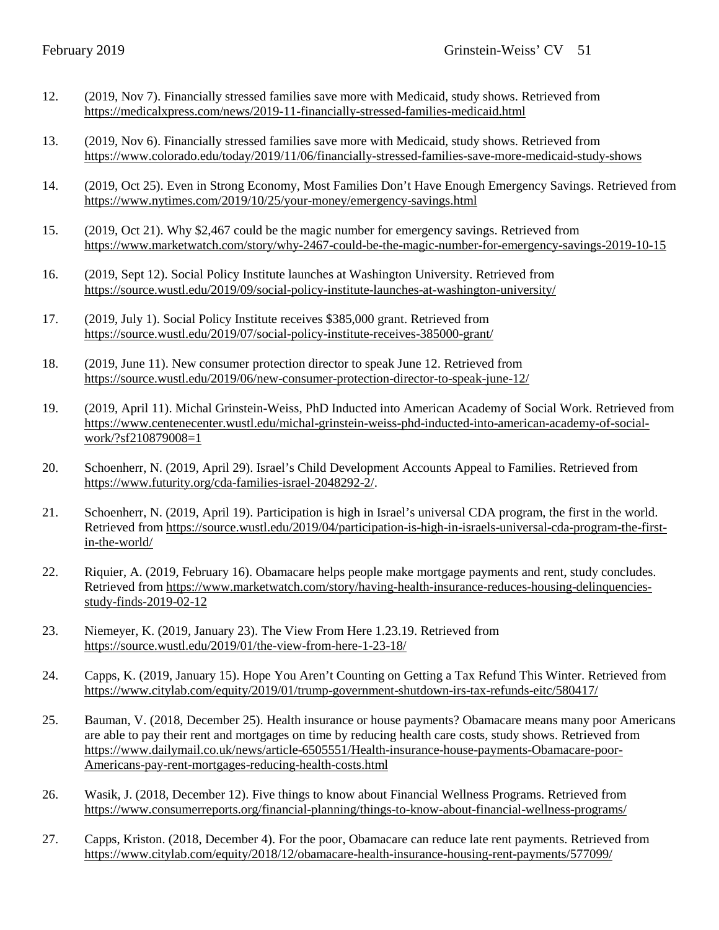- 12. (2019, Nov 7). Financially stressed families save more with Medicaid, study shows. Retrieved from <https://medicalxpress.com/news/2019-11-financially-stressed-families-medicaid.html>
- 13. (2019, Nov 6). Financially stressed families save more with Medicaid, study shows. Retrieved from <https://www.colorado.edu/today/2019/11/06/financially-stressed-families-save-more-medicaid-study-shows>
- 14. (2019, Oct 25). Even in Strong Economy, Most Families Don't Have Enough Emergency Savings. Retrieved from <https://www.nytimes.com/2019/10/25/your-money/emergency-savings.html>
- 15. (2019, Oct 21). Why \$2,467 could be the magic number for emergency savings. Retrieved from <https://www.marketwatch.com/story/why-2467-could-be-the-magic-number-for-emergency-savings-2019-10-15>
- 16. (2019, Sept 12). Social Policy Institute launches at Washington University. Retrieved from <https://source.wustl.edu/2019/09/social-policy-institute-launches-at-washington-university/>
- 17. (2019, July 1). Social Policy Institute receives \$385,000 grant. Retrieved from <https://source.wustl.edu/2019/07/social-policy-institute-receives-385000-grant/>
- 18. (2019, June 11). New consumer protection director to speak June 12. Retrieved from <https://source.wustl.edu/2019/06/new-consumer-protection-director-to-speak-june-12/>
- 19. (2019, April 11). Michal Grinstein-Weiss, PhD Inducted into American Academy of Social Work. Retrieved from [https://www.centenecenter.wustl.edu/michal-grinstein-weiss-phd-inducted-into-american-academy-of-social](https://www.centenecenter.wustl.edu/michal-grinstein-weiss-phd-inducted-into-american-academy-of-social-work/?sf210879008=1)[work/?sf210879008=1](https://www.centenecenter.wustl.edu/michal-grinstein-weiss-phd-inducted-into-american-academy-of-social-work/?sf210879008=1)
- 20. Schoenherr, N. (2019, April 29). Israel's Child Development Accounts Appeal to Families. Retrieved from [https://www.futurity.org/cda-families-israel-2048292-2/.](https://www.futurity.org/cda-families-israel-2048292-2/)
- 21. Schoenherr, N. (2019, April 19). Participation is high in Israel's universal CDA program, the first in the world. Retrieved fro[m https://source.wustl.edu/2019/04/participation-is-high-in-israels-universal-cda-program-the-first](https://source.wustl.edu/2019/04/participation-is-high-in-israels-universal-cda-program-the-first-in-the-world/)[in-the-world/](https://source.wustl.edu/2019/04/participation-is-high-in-israels-universal-cda-program-the-first-in-the-world/)
- 22. Riquier, A. (2019, February 16). Obamacare helps people make mortgage payments and rent, study concludes. Retrieved fro[m https://www.marketwatch.com/story/having-health-insurance-reduces-housing-delinquencies](https://www.marketwatch.com/story/having-health-insurance-reduces-housing-delinquencies-study-finds-2019-02-12)[study-finds-2019-02-12](https://www.marketwatch.com/story/having-health-insurance-reduces-housing-delinquencies-study-finds-2019-02-12)
- 23. Niemeyer, K. (2019, January 23). The View From Here 1.23.19. Retrieved from <https://source.wustl.edu/2019/01/the-view-from-here-1-23-18/>
- 24. Capps, K. (2019, January 15). Hope You Aren't Counting on Getting a Tax Refund This Winter. Retrieved from <https://www.citylab.com/equity/2019/01/trump-government-shutdown-irs-tax-refunds-eitc/580417/>
- 25. Bauman, V. (2018, December 25). Health insurance or house payments? Obamacare means many poor Americans are able to pay their rent and mortgages on time by reducing health care costs, study shows. Retrieved from [https://www.dailymail.co.uk/news/article-6505551/Health-insurance-house-payments-Obamacare-poor-](https://www.dailymail.co.uk/news/article-6505551/Health-insurance-house-payments-Obamacare-poor-Americans-pay-rent-mortgages-reducing-health-costs.html)[Americans-pay-rent-mortgages-reducing-health-costs.html](https://www.dailymail.co.uk/news/article-6505551/Health-insurance-house-payments-Obamacare-poor-Americans-pay-rent-mortgages-reducing-health-costs.html)
- 26. Wasik, J. (2018, December 12). Five things to know about Financial Wellness Programs. Retrieved from <https://www.consumerreports.org/financial-planning/things-to-know-about-financial-wellness-programs/>
- 27. Capps, Kriston. (2018, December 4). For the poor, Obamacare can reduce late rent payments. Retrieved from <https://www.citylab.com/equity/2018/12/obamacare-health-insurance-housing-rent-payments/577099/>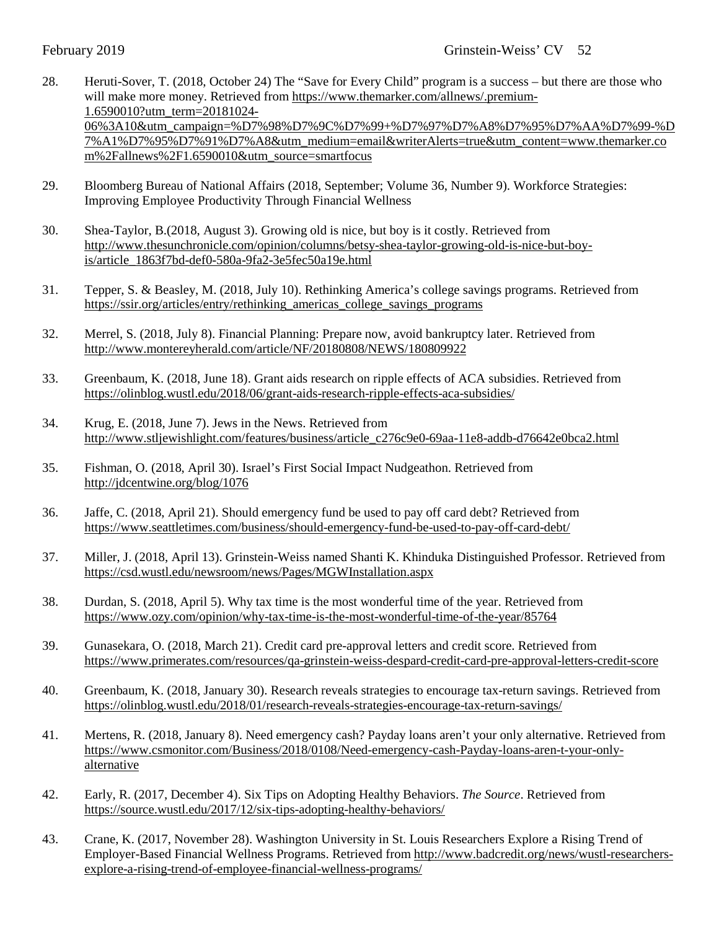- 28. Heruti-Sover, T. (2018, October 24) The "Save for Every Child" program is a success but there are those who will make more money. Retrieved from [https://www.themarker.com/allnews/.premium-](https://www.themarker.com/allnews/.premium-1.6590010?utm_term=20181024-06%3A10&utm_campaign=%D7%98%D7%9C%D7%99+%D7%97%D7%A8%D7%95%D7%AA%D7%99-%D7%A1%D7%95%D7%91%D7%A8&utm_medium=email&writerAlerts=true&utm_content=www.themarker.com%2Fallnews%2F1.6590010&utm_source=smartfocus)[1.6590010?utm\\_term=20181024-](https://www.themarker.com/allnews/.premium-1.6590010?utm_term=20181024-06%3A10&utm_campaign=%D7%98%D7%9C%D7%99+%D7%97%D7%A8%D7%95%D7%AA%D7%99-%D7%A1%D7%95%D7%91%D7%A8&utm_medium=email&writerAlerts=true&utm_content=www.themarker.com%2Fallnews%2F1.6590010&utm_source=smartfocus) [06%3A10&utm\\_campaign=%D7%98%D7%9C%D7%99+%D7%97%D7%A8%D7%95%D7%AA%D7%99-%D](https://www.themarker.com/allnews/.premium-1.6590010?utm_term=20181024-06%3A10&utm_campaign=%D7%98%D7%9C%D7%99+%D7%97%D7%A8%D7%95%D7%AA%D7%99-%D7%A1%D7%95%D7%91%D7%A8&utm_medium=email&writerAlerts=true&utm_content=www.themarker.com%2Fallnews%2F1.6590010&utm_source=smartfocus) [7%A1%D7%95%D7%91%D7%A8&utm\\_medium=email&writerAlerts=true&utm\\_content=www.themarker.co](https://www.themarker.com/allnews/.premium-1.6590010?utm_term=20181024-06%3A10&utm_campaign=%D7%98%D7%9C%D7%99+%D7%97%D7%A8%D7%95%D7%AA%D7%99-%D7%A1%D7%95%D7%91%D7%A8&utm_medium=email&writerAlerts=true&utm_content=www.themarker.com%2Fallnews%2F1.6590010&utm_source=smartfocus) [m%2Fallnews%2F1.6590010&utm\\_source=smartfocus](https://www.themarker.com/allnews/.premium-1.6590010?utm_term=20181024-06%3A10&utm_campaign=%D7%98%D7%9C%D7%99+%D7%97%D7%A8%D7%95%D7%AA%D7%99-%D7%A1%D7%95%D7%91%D7%A8&utm_medium=email&writerAlerts=true&utm_content=www.themarker.com%2Fallnews%2F1.6590010&utm_source=smartfocus)
- 29. Bloomberg Bureau of National Affairs (2018, September; Volume 36, Number 9). Workforce Strategies: Improving Employee Productivity Through Financial Wellness
- 30. Shea-Taylor, B.(2018, August 3). Growing old is nice, but boy is it costly. Retrieved from [http://www.thesunchronicle.com/opinion/columns/betsy-shea-taylor-growing-old-is-nice-but-boy](http://www.thesunchronicle.com/opinion/columns/betsy-shea-taylor-growing-old-is-nice-but-boy-is/article_1863f7bd-def0-580a-9fa2-3e5fec50a19e.html)[is/article\\_1863f7bd-def0-580a-9fa2-3e5fec50a19e.html](http://www.thesunchronicle.com/opinion/columns/betsy-shea-taylor-growing-old-is-nice-but-boy-is/article_1863f7bd-def0-580a-9fa2-3e5fec50a19e.html)
- 31. Tepper, S. & Beasley, M. (2018, July 10). Rethinking America's college savings programs. Retrieved from [https://ssir.org/articles/entry/rethinking\\_americas\\_college\\_savings\\_programs](https://ssir.org/articles/entry/rethinking_americas_college_savings_programs)
- 32. Merrel, S. (2018, July 8). Financial Planning: Prepare now, avoid bankruptcy later. Retrieved from <http://www.montereyherald.com/article/NF/20180808/NEWS/180809922>
- 33. Greenbaum, K. (2018, June 18). Grant aids research on ripple effects of ACA subsidies. Retrieved from <https://olinblog.wustl.edu/2018/06/grant-aids-research-ripple-effects-aca-subsidies/>
- 34. Krug, E. (2018, June 7). Jews in the News. Retrieved from [http://www.stljewishlight.com/features/business/article\\_c276c9e0-69aa-11e8-addb-d76642e0bca2.html](http://www.stljewishlight.com/features/business/article_c276c9e0-69aa-11e8-addb-d76642e0bca2.html)
- 35. Fishman, O. (2018, April 30). Israel's First Social Impact Nudgeathon. Retrieved from <http://jdcentwine.org/blog/1076>
- 36. Jaffe, C. (2018, April 21). Should emergency fund be used to pay off card debt? Retrieved from <https://www.seattletimes.com/business/should-emergency-fund-be-used-to-pay-off-card-debt/>
- 37. Miller, J. (2018, April 13). Grinstein-Weiss named Shanti K. Khinduka Distinguished Professor. Retrieved from <https://csd.wustl.edu/newsroom/news/Pages/MGWInstallation.aspx>
- 38. Durdan, S. (2018, April 5). Why tax time is the most wonderful time of the year. Retrieved from <https://www.ozy.com/opinion/why-tax-time-is-the-most-wonderful-time-of-the-year/85764>
- 39. Gunasekara, O. (2018, March 21). Credit card pre-approval letters and credit score. Retrieved from <https://www.primerates.com/resources/qa-grinstein-weiss-despard-credit-card-pre-approval-letters-credit-score>
- 40. Greenbaum, K. (2018, January 30). Research reveals strategies to encourage tax-return savings. Retrieved from <https://olinblog.wustl.edu/2018/01/research-reveals-strategies-encourage-tax-return-savings/>
- 41. Mertens, R. (2018, January 8). Need emergency cash? Payday loans aren't your only alternative. Retrieved from [https://www.csmonitor.com/Business/2018/0108/Need-emergency-cash-Payday-loans-aren-t-your-only](https://www.csmonitor.com/Business/2018/0108/Need-emergency-cash-Payday-loans-aren-t-your-only-alternative)[alternative](https://www.csmonitor.com/Business/2018/0108/Need-emergency-cash-Payday-loans-aren-t-your-only-alternative)
- 42. Early, R. (2017, December 4). Six Tips on Adopting Healthy Behaviors. *The Source*. Retrieved from <https://source.wustl.edu/2017/12/six-tips-adopting-healthy-behaviors/>
- 43. Crane, K. (2017, November 28). Washington University in St. Louis Researchers Explore a Rising Trend of Employer-Based Financial Wellness Programs. Retrieved fro[m http://www.badcredit.org/news/wustl-researchers](http://www.badcredit.org/news/wustl-researchers-explore-a-rising-trend-of-employee-financial-wellness-programs/)[explore-a-rising-trend-of-employee-financial-wellness-programs/](http://www.badcredit.org/news/wustl-researchers-explore-a-rising-trend-of-employee-financial-wellness-programs/)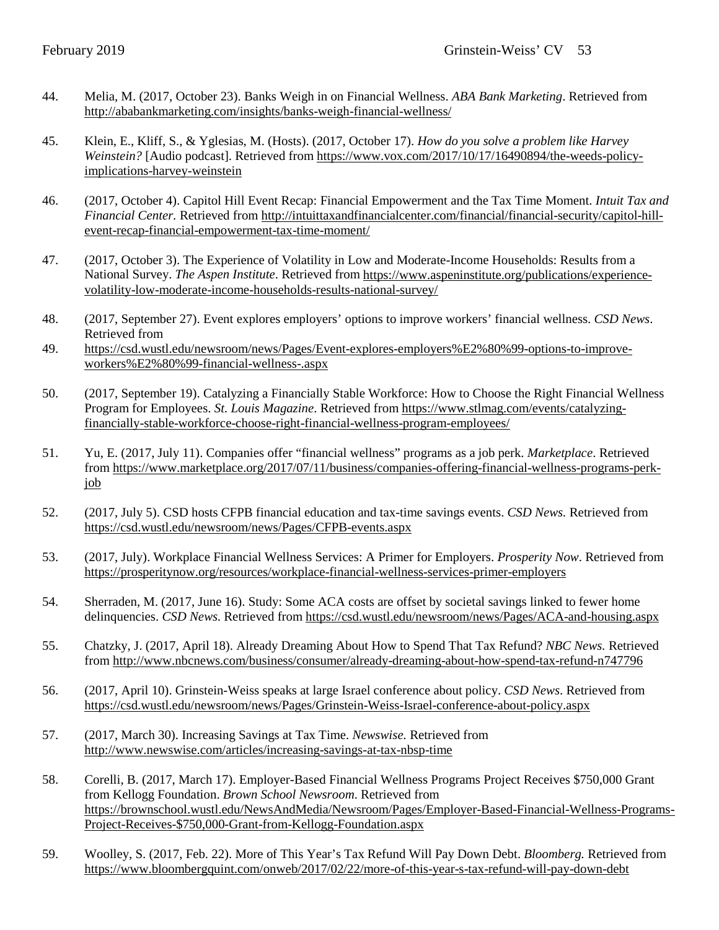- 44. Melia, M. (2017, October 23). Banks Weigh in on Financial Wellness. *ABA Bank Marketing*. Retrieved from http://ababankmarketing.com/insights/banks-weigh-financial-wellness/
- 45. Klein, E., Kliff, S., & Yglesias, M. (Hosts). (2017, October 17). *How do you solve a problem like Harvey Weinstein?* [Audio podcast]. Retrieved from [https://www.vox.com/2017/10/17/16490894/the-weeds-policy](https://www.vox.com/2017/10/17/16490894/the-weeds-policy-implications-harvey-weinstein)[implications-harvey-weinstein](https://www.vox.com/2017/10/17/16490894/the-weeds-policy-implications-harvey-weinstein)
- 46. (2017, October 4). Capitol Hill Event Recap: Financial Empowerment and the Tax Time Moment. *Intuit Tax and Financial Center.* Retrieved from http://intuittaxandfinancialcenter.com/financial/financial-security/capitol-hillevent-recap-financial-empowerment-tax-time-moment/
- 47. (2017, October 3). The Experience of Volatility in Low and Moderate-Income Households: Results from a National Survey. *The Aspen Institute*. Retrieved from [https://www.aspeninstitute.org/publications/experience](https://www.aspeninstitute.org/publications/experience-volatility-low-moderate-income-households-results-national-survey/)[volatility-low-moderate-income-households-results-national-survey/](https://www.aspeninstitute.org/publications/experience-volatility-low-moderate-income-households-results-national-survey/)
- 48. (2017, September 27). Event explores employers' options to improve workers' financial wellness. *CSD News*. Retrieved from
- 49. [https://csd.wustl.edu/newsroom/news/Pages/Event-explores-employers%E2%80%99-options-to-improve](https://csd.wustl.edu/newsroom/news/Pages/Event-explores-employers%E2%80%99-options-to-improve-workers%E2%80%99-financial-wellness-.aspx)[workers%E2%80%99-financial-wellness-.aspx](https://csd.wustl.edu/newsroom/news/Pages/Event-explores-employers%E2%80%99-options-to-improve-workers%E2%80%99-financial-wellness-.aspx)
- 50. (2017, September 19). Catalyzing a Financially Stable Workforce: How to Choose the Right Financial Wellness Program for Employees. *St. Louis Magazine*. Retrieved from https://www.stlmag.com/events/catalyzingfinancially-stable-workforce-choose-right-financial-wellness-program-employees/
- 51. Yu, E. (2017, July 11). Companies offer "financial wellness" programs as a job perk. *Marketplace*. Retrieved from [https://www.marketplace.org/2017/07/11/business/companies-offering-financial-wellness-programs-perk](https://www.marketplace.org/2017/07/11/business/companies-offering-financial-wellness-programs-perk-job)[job](https://www.marketplace.org/2017/07/11/business/companies-offering-financial-wellness-programs-perk-job)
- 52. (2017, July 5). CSD hosts CFPB financial education and tax-time savings events. *CSD News.* Retrieved from <https://csd.wustl.edu/newsroom/news/Pages/CFPB-events.aspx>
- 53. (2017, July). Workplace Financial Wellness Services: A Primer for Employers. *Prosperity Now*. Retrieved from <https://prosperitynow.org/resources/workplace-financial-wellness-services-primer-employers>
- 54. Sherraden, M. (2017, June 16). Study: Some ACA costs are offset by societal savings linked to fewer home delinquencies. *CSD News.* Retrieved from<https://csd.wustl.edu/newsroom/news/Pages/ACA-and-housing.aspx>
- 55. Chatzky, J. (2017, April 18). Already Dreaming About How to Spend That Tax Refund? *NBC News.* Retrieved from<http://www.nbcnews.com/business/consumer/already-dreaming-about-how-spend-tax-refund-n747796>
- 56. (2017, April 10). Grinstein-Weiss speaks at large Israel conference about policy. *CSD News*. Retrieved from <https://csd.wustl.edu/newsroom/news/Pages/Grinstein-Weiss-Israel-conference-about-policy.aspx>
- 57. (2017, March 30). Increasing Savings at Tax Time. *Newswise.* Retrieved from <http://www.newswise.com/articles/increasing-savings-at-tax-nbsp-time>
- 58. Corelli, B. (2017, March 17). Employer-Based Financial Wellness Programs Project Receives \$750,000 Grant from Kellogg Foundation. *Brown School Newsroom*. Retrieved from [https://brownschool.wustl.edu/NewsAndMedia/Newsroom/Pages/Employer-Based-Financial-Wellness-Programs-](https://brownschool.wustl.edu/NewsAndMedia/Newsroom/Pages/Employer-Based-Financial-Wellness-Programs-Project-Receives-$750,000-Grant-from-Kellogg-Foundation.aspx)[Project-Receives-\\$750,000-Grant-from-Kellogg-Foundation.aspx](https://brownschool.wustl.edu/NewsAndMedia/Newsroom/Pages/Employer-Based-Financial-Wellness-Programs-Project-Receives-$750,000-Grant-from-Kellogg-Foundation.aspx)
- 59. Woolley, S. (2017, Feb. 22). More of This Year's Tax Refund Will Pay Down Debt. *Bloomberg.* Retrieved from <https://www.bloombergquint.com/onweb/2017/02/22/more-of-this-year-s-tax-refund-will-pay-down-debt>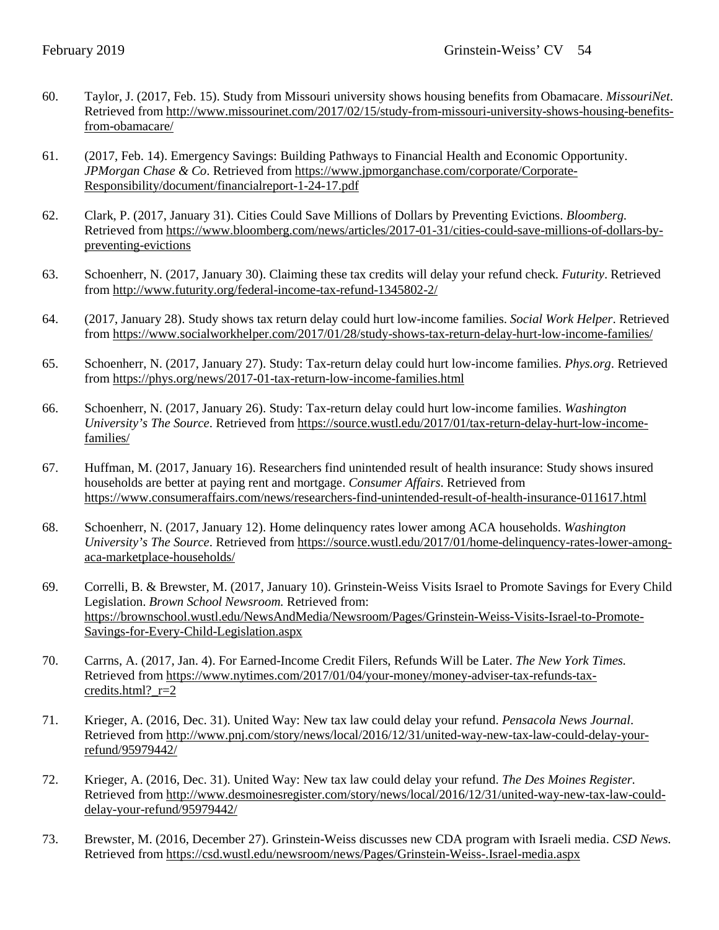- 60. Taylor, J. (2017, Feb. 15). Study from Missouri university shows housing benefits from Obamacare. *MissouriNet*. Retrieved fro[m http://www.missourinet.com/2017/02/15/study-from-missouri-university-shows-housing-benefits](http://www.missourinet.com/2017/02/15/study-from-missouri-university-shows-housing-benefits-from-obamacare/)[from-obamacare/](http://www.missourinet.com/2017/02/15/study-from-missouri-university-shows-housing-benefits-from-obamacare/)
- 61. (2017, Feb. 14). Emergency Savings: Building Pathways to Financial Health and Economic Opportunity. *JPMorgan Chase & Co*. Retrieved from [https://www.jpmorganchase.com/corporate/Corporate-](https://www.jpmorganchase.com/corporate/Corporate-Responsibility/document/financialreport-1-24-17.pdf)[Responsibility/document/financialreport-1-24-17.pdf](https://www.jpmorganchase.com/corporate/Corporate-Responsibility/document/financialreport-1-24-17.pdf)
- 62. Clark, P. (2017, January 31). Cities Could Save Millions of Dollars by Preventing Evictions. *Bloomberg.* Retrieved fro[m https://www.bloomberg.com/news/articles/2017-01-31/cities-could-save-millions-of-dollars-by](https://www.bloomberg.com/news/articles/2017-01-31/cities-could-save-millions-of-dollars-by-preventing-evictions)[preventing-evictions](https://www.bloomberg.com/news/articles/2017-01-31/cities-could-save-millions-of-dollars-by-preventing-evictions)
- 63. Schoenherr, N. (2017, January 30). Claiming these tax credits will delay your refund check. *Futurity*. Retrieved from<http://www.futurity.org/federal-income-tax-refund-1345802-2/>
- 64. (2017, January 28). Study shows tax return delay could hurt low-income families. *Social Work Helper*. Retrieved from<https://www.socialworkhelper.com/2017/01/28/study-shows-tax-return-delay-hurt-low-income-families/>
- 65. Schoenherr, N. (2017, January 27). Study: Tax-return delay could hurt low-income families. *Phys.org*. Retrieved from<https://phys.org/news/2017-01-tax-return-low-income-families.html>
- 66. Schoenherr, N. (2017, January 26). Study: Tax-return delay could hurt low-income families. *Washington University's The Source*. Retrieved from [https://source.wustl.edu/2017/01/tax-return-delay-hurt-low-income](https://source.wustl.edu/2017/01/tax-return-delay-hurt-low-income-families/)[families/](https://source.wustl.edu/2017/01/tax-return-delay-hurt-low-income-families/)
- 67. Huffman, M. (2017, January 16). Researchers find unintended result of health insurance: Study shows insured households are better at paying rent and mortgage. *Consumer Affairs*. Retrieved from <https://www.consumeraffairs.com/news/researchers-find-unintended-result-of-health-insurance-011617.html>
- 68. Schoenherr, N. (2017, January 12). Home delinquency rates lower among ACA households. *Washington University's The Source*. Retrieved from [https://source.wustl.edu/2017/01/home-delinquency-rates-lower-among](https://source.wustl.edu/2017/01/home-delinquency-rates-lower-among-aca-marketplace-households/)[aca-marketplace-households/](https://source.wustl.edu/2017/01/home-delinquency-rates-lower-among-aca-marketplace-households/)
- 69. Correlli, B. & Brewster, M. (2017, January 10). Grinstein-Weiss Visits Israel to Promote Savings for Every Child Legislation. *Brown School Newsroom.* Retrieved from: [https://brownschool.wustl.edu/NewsAndMedia/Newsroom/Pages/Grinstein-Weiss-Visits-Israel-to-Promote-](https://brownschool.wustl.edu/NewsAndMedia/Newsroom/Pages/Grinstein-Weiss-Visits-Israel-to-Promote-Savings-for-Every-Child-Legislation.aspx)[Savings-for-Every-Child-Legislation.aspx](https://brownschool.wustl.edu/NewsAndMedia/Newsroom/Pages/Grinstein-Weiss-Visits-Israel-to-Promote-Savings-for-Every-Child-Legislation.aspx)
- 70. Carrns, A. (2017, Jan. 4). For Earned-Income Credit Filers, Refunds Will be Later. *The New York Times.* Retrieved fro[m https://www.nytimes.com/2017/01/04/your-money/money-adviser-tax-refunds-tax](https://www.nytimes.com/2017/01/04/your-money/money-adviser-tax-refunds-tax-credits.html?_r=2)credits.html? $r=2$
- 71. Krieger, A. (2016, Dec. 31). United Way: New tax law could delay your refund. *Pensacola News Journal*. Retrieved fro[m http://www.pnj.com/story/news/local/2016/12/31/united-way-new-tax-law-could-delay-your](http://www.pnj.com/story/news/local/2016/12/31/united-way-new-tax-law-could-delay-your-refund/95979442/)[refund/95979442/](http://www.pnj.com/story/news/local/2016/12/31/united-way-new-tax-law-could-delay-your-refund/95979442/)
- 72. Krieger, A. (2016, Dec. 31). United Way: New tax law could delay your refund. *The Des Moines Register.*  Retrieved fro[m http://www.desmoinesregister.com/story/news/local/2016/12/31/united-way-new-tax-law-could](http://www.desmoinesregister.com/story/news/local/2016/12/31/united-way-new-tax-law-could-delay-your-refund/95979442/)[delay-your-refund/95979442/](http://www.desmoinesregister.com/story/news/local/2016/12/31/united-way-new-tax-law-could-delay-your-refund/95979442/)
- 73. Brewster, M. (2016, December 27). Grinstein-Weiss discusses new CDA program with Israeli media. *CSD News.* Retrieved fro[m https://csd.wustl.edu/newsroom/news/Pages/Grinstein-Weiss-.Israel-media.aspx](https://csd.wustl.edu/newsroom/news/Pages/Grinstein-Weiss-.Israel-media.aspx)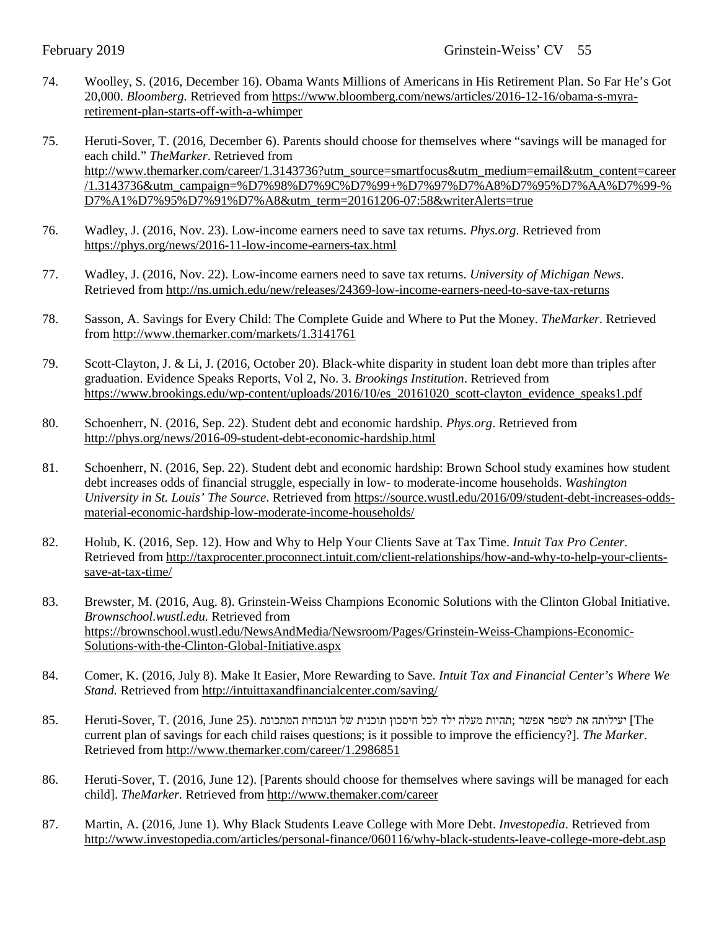- 74. Woolley, S. (2016, December 16). Obama Wants Millions of Americans in His Retirement Plan. So Far He's Got 20,000. *Bloomberg.* Retrieved from [https://www.bloomberg.com/news/articles/2016-12-16/obama-s-myra](https://www.bloomberg.com/news/articles/2016-12-16/obama-s-myra-retirement-plan-starts-off-with-a-whimper)[retirement-plan-starts-off-with-a-whimper](https://www.bloomberg.com/news/articles/2016-12-16/obama-s-myra-retirement-plan-starts-off-with-a-whimper)
- 75. Heruti-Sover, T. (2016, December 6). Parents should choose for themselves where "savings will be managed for each child." *TheMarker*. Retrieved from [http://www.themarker.com/career/1.3143736?utm\\_source=smartfocus&utm\\_medium=email&utm\\_content=career](http://www.themarker.com/career/1.3143736?utm_source=smartfocus&utm_medium=email&utm_content=career/1.3143736&utm_campaign=%D7%98%D7%9C%D7%99+%D7%97%D7%A8%D7%95%D7%AA%D7%99-%D7%A1%D7%95%D7%91%D7%A8&utm_term=20161206-07:58&writerAlerts=true) [/1.3143736&utm\\_campaign=%D7%98%D7%9C%D7%99+%D7%97%D7%A8%D7%95%D7%AA%D7%99-%](http://www.themarker.com/career/1.3143736?utm_source=smartfocus&utm_medium=email&utm_content=career/1.3143736&utm_campaign=%D7%98%D7%9C%D7%99+%D7%97%D7%A8%D7%95%D7%AA%D7%99-%D7%A1%D7%95%D7%91%D7%A8&utm_term=20161206-07:58&writerAlerts=true) [D7%A1%D7%95%D7%91%D7%A8&utm\\_term=20161206-07:58&writerAlerts=true](http://www.themarker.com/career/1.3143736?utm_source=smartfocus&utm_medium=email&utm_content=career/1.3143736&utm_campaign=%D7%98%D7%9C%D7%99+%D7%97%D7%A8%D7%95%D7%AA%D7%99-%D7%A1%D7%95%D7%91%D7%A8&utm_term=20161206-07:58&writerAlerts=true)
- 76. Wadley, J. (2016, Nov. 23). Low-income earners need to save tax returns. *Phys.org*. Retrieved from <https://phys.org/news/2016-11-low-income-earners-tax.html>
- 77. Wadley, J. (2016, Nov. 22). Low-income earners need to save tax returns. *University of Michigan News*. Retrieved fro[m http://ns.umich.edu/new/releases/24369-low-income-earners-need-to-save-tax-returns](http://ns.umich.edu/new/releases/24369-low-income-earners-need-to-save-tax-returns)
- 78. Sasson, A. Savings for Every Child: The Complete Guide and Where to Put the Money. *TheMarker.* Retrieved from<http://www.themarker.com/markets/1.3141761>
- 79. Scott-Clayton, J. & Li, J. (2016, October 20). Black-white disparity in student loan debt more than triples after graduation. Evidence Speaks Reports, Vol 2, No. 3. *Brookings Institution*. Retrieved from [https://www.brookings.edu/wp-content/uploads/2016/10/es\\_20161020\\_scott-clayton\\_evidence\\_speaks1.pdf](https://www.brookings.edu/wp-content/uploads/2016/10/es_20161020_scott-clayton_evidence_speaks1.pdf)
- 80. Schoenherr, N. (2016, Sep. 22). Student debt and economic hardship. *Phys.org*. Retrieved from <http://phys.org/news/2016-09-student-debt-economic-hardship.html>
- 81. Schoenherr, N. (2016, Sep. 22). Student debt and economic hardship: Brown School study examines how student debt increases odds of financial struggle, especially in low- to moderate-income households. *Washington University in St. Louis' The Source*. Retrieved fro[m https://source.wustl.edu/2016/09/student-debt-increases-odds](https://source.wustl.edu/2016/09/student-debt-increases-odds-material-economic-hardship-low-moderate-income-households/)[material-economic-hardship-low-moderate-income-households/](https://source.wustl.edu/2016/09/student-debt-increases-odds-material-economic-hardship-low-moderate-income-households/)
- 82. Holub, K. (2016, Sep. 12). How and Why to Help Your Clients Save at Tax Time. *Intuit Tax Pro Center.* Retrieved fro[m http://taxprocenter.proconnect.intuit.com/client-relationships/how-and-why-to-help-your-clients](http://taxprocenter.proconnect.intuit.com/client-relationships/how-and-why-to-help-your-clients-save-at-tax-time/)[save-at-tax-time/](http://taxprocenter.proconnect.intuit.com/client-relationships/how-and-why-to-help-your-clients-save-at-tax-time/)
- 83. Brewster, M. (2016, Aug. 8). Grinstein-Weiss Champions Economic Solutions with the Clinton Global Initiative. *Brownschool.wustl.edu.* Retrieved from [https://brownschool.wustl.edu/NewsAndMedia/Newsroom/Pages/Grinstein-Weiss-Champions-Economic-](https://brownschool.wustl.edu/NewsAndMedia/Newsroom/Pages/Grinstein-Weiss-Champions-Economic-Solutions-with-the-Clinton-Global-Initiative.aspx)[Solutions-with-the-Clinton-Global-Initiative.aspx](https://brownschool.wustl.edu/NewsAndMedia/Newsroom/Pages/Grinstein-Weiss-Champions-Economic-Solutions-with-the-Clinton-Global-Initiative.aspx)
- 84. Comer, K. (2016, July 8). Make It Easier, More Rewarding to Save. *Intuit Tax and Financial Center's Where We Stand.* Retrieved from<http://intuittaxandfinancialcenter.com/saving/>
- The [יעילותה את לשפר אפשר ;תהיות מעלה ילד לכל חיסכון תוכנית של הנוכחית המתכונת .(25 June 2016, (.T ,Sover-Heruti 85. current plan of savings for each child raises questions; is it possible to improve the efficiency?]. *The Marker*. Retrieved fro[m http://www.themarker.com/career/1.2986851](http://www.themarker.com/career/1.2986851)
- 86. Heruti-Sover, T. (2016, June 12). [Parents should choose for themselves where savings will be managed for each child]. *TheMarker.* Retrieved from<http://www.themaker.com/career>
- 87. Martin, A. (2016, June 1). Why Black Students Leave College with More Debt. *Investopedia*. Retrieved from <http://www.investopedia.com/articles/personal-finance/060116/why-black-students-leave-college-more-debt.asp>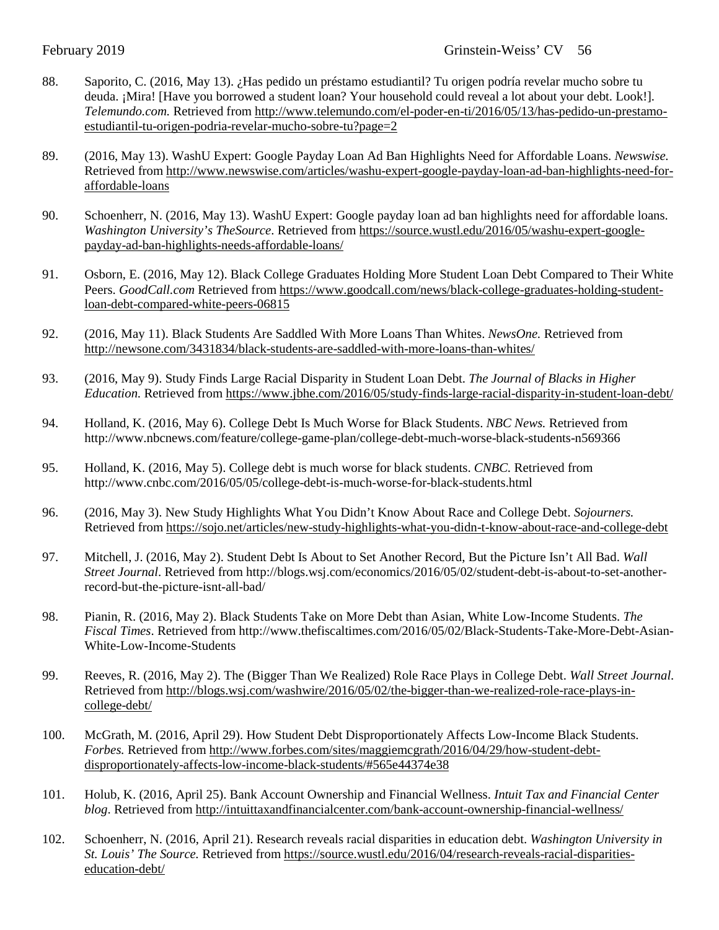- 88. Saporito, C. (2016, May 13). ¿Has pedido un préstamo estudiantil? Tu origen podría revelar mucho sobre tu deuda. ¡Mira! [Have you borrowed a student loan? Your household could reveal a lot about your debt. Look!]. *Telemundo.com.* Retrieved from [http://www.telemundo.com/el-poder-en-ti/2016/05/13/has-pedido-un-prestamo](http://www.telemundo.com/el-poder-en-ti/2016/05/13/has-pedido-un-prestamo-estudiantil-tu-origen-podria-revelar-mucho-sobre-tu?page=2)[estudiantil-tu-origen-podria-revelar-mucho-sobre-tu?page=2](http://www.telemundo.com/el-poder-en-ti/2016/05/13/has-pedido-un-prestamo-estudiantil-tu-origen-podria-revelar-mucho-sobre-tu?page=2)
- 89. (2016, May 13). WashU Expert: Google Payday Loan Ad Ban Highlights Need for Affordable Loans. *Newswise.* Retrieved fro[m http://www.newswise.com/articles/washu-expert-google-payday-loan-ad-ban-highlights-need-for](http://www.newswise.com/articles/washu-expert-google-payday-loan-ad-ban-highlights-need-for-affordable-loans)[affordable-loans](http://www.newswise.com/articles/washu-expert-google-payday-loan-ad-ban-highlights-need-for-affordable-loans)
- 90. Schoenherr, N. (2016, May 13). WashU Expert: Google payday loan ad ban highlights need for affordable loans. *Washington University's TheSource*. Retrieved from [https://source.wustl.edu/2016/05/washu-expert-google](https://source.wustl.edu/2016/05/washu-expert-google-payday-ad-ban-highlights-needs-affordable-loans/)[payday-ad-ban-highlights-needs-affordable-loans/](https://source.wustl.edu/2016/05/washu-expert-google-payday-ad-ban-highlights-needs-affordable-loans/)
- 91. Osborn, E. (2016, May 12). Black College Graduates Holding More Student Loan Debt Compared to Their White Peers. *GoodCall.com* Retrieved from [https://www.goodcall.com/news/black-college-graduates-holding-student](https://www.goodcall.com/news/black-college-graduates-holding-student-loan-debt-compared-white-peers-06815)[loan-debt-compared-white-peers-06815](https://www.goodcall.com/news/black-college-graduates-holding-student-loan-debt-compared-white-peers-06815)
- 92. (2016, May 11). Black Students Are Saddled With More Loans Than Whites. *NewsOne.* Retrieved from <http://newsone.com/3431834/black-students-are-saddled-with-more-loans-than-whites/>
- 93. (2016, May 9). Study Finds Large Racial Disparity in Student Loan Debt. *The Journal of Blacks in Higher Education.* Retrieved from<https://www.jbhe.com/2016/05/study-finds-large-racial-disparity-in-student-loan-debt/>
- 94. Holland, K. (2016, May 6). College Debt Is Much Worse for Black Students. *NBC News.* Retrieved from http://www.nbcnews.com/feature/college-game-plan/college-debt-much-worse-black-students-n569366
- 95. Holland, K. (2016, May 5). College debt is much worse for black students. *CNBC.* Retrieved from http://www.cnbc.com/2016/05/05/college-debt-is-much-worse-for-black-students.html
- 96. (2016, May 3). New Study Highlights What You Didn't Know About Race and College Debt. *Sojourners.* Retrieved fro[m https://sojo.net/articles/new-study-highlights-what-you-didn-t-know-about-race-and-college-debt](https://sojo.net/articles/new-study-highlights-what-you-didn-t-know-about-race-and-college-debt)
- 97. Mitchell, J. (2016, May 2). Student Debt Is About to Set Another Record, But the Picture Isn't All Bad. *Wall Street Journal*. Retrieved from http://blogs.wsj.com/economics/2016/05/02/student-debt-is-about-to-set-anotherrecord-but-the-picture-isnt-all-bad/
- 98. Pianin, R. (2016, May 2). Black Students Take on More Debt than Asian, White Low-Income Students. *The Fiscal Times*. Retrieved from http://www.thefiscaltimes.com/2016/05/02/Black-Students-Take-More-Debt-Asian-White-Low-Income-Students
- 99. Reeves, R. (2016, May 2). The (Bigger Than We Realized) Role Race Plays in College Debt. *Wall Street Journal.* Retrieved fro[m http://blogs.wsj.com/washwire/2016/05/02/the-bigger-than-we-realized-role-race-plays-in](http://blogs.wsj.com/washwire/2016/05/02/the-bigger-than-we-realized-role-race-plays-in-college-debt/)[college-debt/](http://blogs.wsj.com/washwire/2016/05/02/the-bigger-than-we-realized-role-race-plays-in-college-debt/)
- 100. McGrath, M. (2016, April 29). How Student Debt Disproportionately Affects Low-Income Black Students. *Forbes.* Retrieved from [http://www.forbes.com/sites/maggiemcgrath/2016/04/29/how-student-debt](http://www.forbes.com/sites/maggiemcgrath/2016/04/29/how-student-debt-disproportionately-affects-low-income-black-students/%23565e44374e38)[disproportionately-affects-low-income-black-students/#565e44374e38](http://www.forbes.com/sites/maggiemcgrath/2016/04/29/how-student-debt-disproportionately-affects-low-income-black-students/%23565e44374e38)
- 101. Holub, K. (2016, April 25). Bank Account Ownership and Financial Wellness. *Intuit Tax and Financial Center blog*. Retrieved fro[m http://intuittaxandfinancialcenter.com/bank-account-ownership-financial-wellness/](http://intuittaxandfinancialcenter.com/bank-account-ownership-financial-wellness/)
- 102. Schoenherr, N. (2016, April 21). Research reveals racial disparities in education debt. *Washington University in St. Louis' The Source.* Retrieved from [https://source.wustl.edu/2016/04/research-reveals-racial-disparities](https://source.wustl.edu/2016/04/research-reveals-racial-disparities-education-debt/)[education-debt/](https://source.wustl.edu/2016/04/research-reveals-racial-disparities-education-debt/)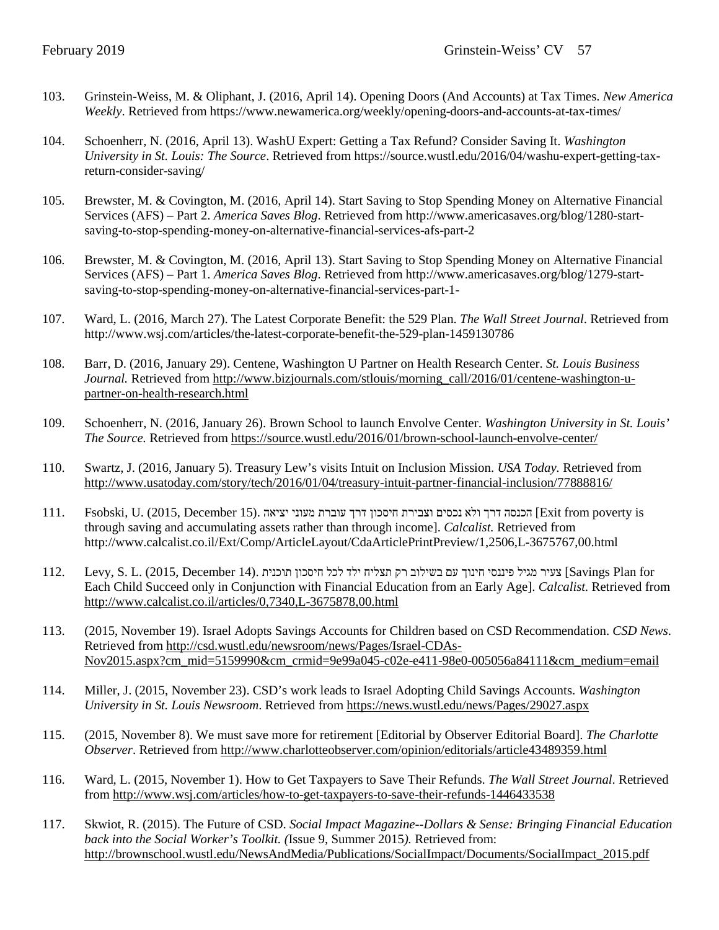- 103. Grinstein-Weiss, M. & Oliphant, J. (2016, April 14). Opening Doors (And Accounts) at Tax Times. *New America Weekly*. Retrieved from https://www.newamerica.org/weekly/opening-doors-and-accounts-at-tax-times/
- 104. Schoenherr, N. (2016, April 13). WashU Expert: Getting a Tax Refund? Consider Saving It. *Washington University in St. Louis: The Source*. Retrieved from https://source.wustl.edu/2016/04/washu-expert-getting-taxreturn-consider-saving/
- 105. Brewster, M. & Covington, M. (2016, April 14). Start Saving to Stop Spending Money on Alternative Financial Services (AFS) – Part 2. *America Saves Blog*. Retrieved from http://www.americasaves.org/blog/1280-startsaving-to-stop-spending-money-on-alternative-financial-services-afs-part-2
- 106. Brewster, M. & Covington, M. (2016, April 13). Start Saving to Stop Spending Money on Alternative Financial Services (AFS) – Part 1. *America Saves Blog*. Retrieved from http://www.americasaves.org/blog/1279-startsaving-to-stop-spending-money-on-alternative-financial-services-part-1-
- 107. Ward, L. (2016, March 27). The Latest Corporate Benefit: the 529 Plan. *The Wall Street Journal*. Retrieved from http://www.wsj.com/articles/the-latest-corporate-benefit-the-529-plan-1459130786
- 108. Barr, D. (2016, January 29). Centene, Washington U Partner on Health Research Center. *St. Louis Business Journal.* Retrieved from [http://www.bizjournals.com/stlouis/morning\\_call/2016/01/centene-washington-u](http://www.bizjournals.com/stlouis/morning_call/2016/01/centene-washington-u-partner-on-health-research.html)[partner-on-health-research.html](http://www.bizjournals.com/stlouis/morning_call/2016/01/centene-washington-u-partner-on-health-research.html)
- 109. Schoenherr, N. (2016, January 26). Brown School to launch Envolve Center. *Washington University in St. Louis' The Source.* Retrieved from<https://source.wustl.edu/2016/01/brown-school-launch-envolve-center/>
- 110. Swartz, J. (2016, January 5). Treasury Lew's visits Intuit on Inclusion Mission. *USA Today.* Retrieved from <http://www.usatoday.com/story/tech/2016/01/04/treasury-intuit-partner-financial-inclusion/77888816/>
- is poverty from Exit [הכנסה דרך ולא נכסים וצבירת חיסכון דרך עוברת מעוני יציאה .(15 December 2015, (.U ,Fsobski 111. through saving and accumulating assets rather than through income]. *Calcalist.* Retrieved from http://www.calcalist.co.il/Ext/Comp/ArticleLayout/CdaArticlePrintPreview/1,2506,L-3675767,00.html
- for Plan Savings [צעיר מגיל פיננסי חינוך עם בשילוב רק תצליח ילד לכל חיסכון תוכנית .(14 December 2015, (.L .S ,Levy 112. Each Child Succeed only in Conjunction with Financial Education from an Early Age]. *Calcalist.* Retrieved from <http://www.calcalist.co.il/articles/0,7340,L-3675878,00.html>
- 113. (2015, November 19). Israel Adopts Savings Accounts for Children based on CSD Recommendation. *CSD News*. Retrieved fro[m http://csd.wustl.edu/newsroom/news/Pages/Israel-CDAs-](http://csd.wustl.edu/newsroom/news/Pages/Israel-CDAs-Nov2015.aspx?cm_mid=5159990&cm_crmid=9e99a045-c02e-e411-98e0-005056a84111&cm_medium=email)[Nov2015.aspx?cm\\_mid=5159990&cm\\_crmid=9e99a045-c02e-e411-98e0-005056a84111&cm\\_medium=email](http://csd.wustl.edu/newsroom/news/Pages/Israel-CDAs-Nov2015.aspx?cm_mid=5159990&cm_crmid=9e99a045-c02e-e411-98e0-005056a84111&cm_medium=email)
- 114. Miller, J. (2015, November 23). CSD's work leads to Israel Adopting Child Savings Accounts. *Washington University in St. Louis Newsroom*. Retrieved from<https://news.wustl.edu/news/Pages/29027.aspx>
- 115. (2015, November 8). We must save more for retirement [Editorial by Observer Editorial Board]. *The Charlotte Observer*. Retrieved from<http://www.charlotteobserver.com/opinion/editorials/article43489359.html>
- 116. Ward, L. (2015, November 1). How to Get Taxpayers to Save Their Refunds. *The Wall Street Journal*. Retrieved from<http://www.wsj.com/articles/how-to-get-taxpayers-to-save-their-refunds-1446433538>
- 117. Skwiot, R. (2015). The Future of CSD. *Social Impact Magazine--Dollars & Sense: Bringing Financial Education back into the Social Worker's Toolkit. (*Issue 9, Summer 2015*).* Retrieved from: [http://brownschool.wustl.edu/NewsAndMedia/Publications/SocialImpact/Documents/SocialImpact\\_2015.pdf](http://brownschool.wustl.edu/NewsAndMedia/Publications/SocialImpact/Documents/SocialImpact_2015.pdf)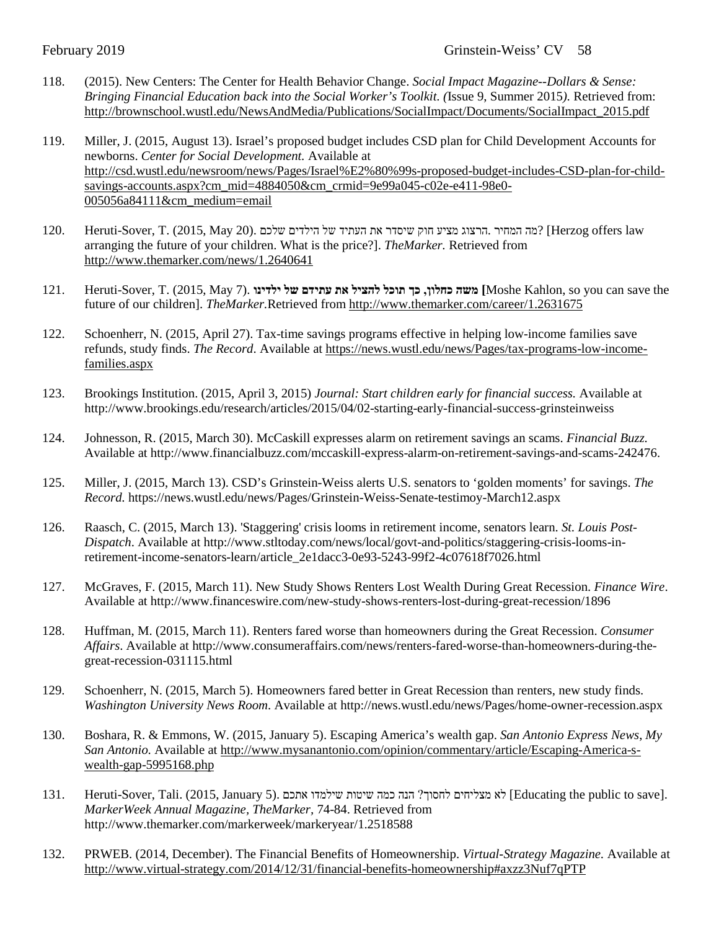- 118. (2015). New Centers: The Center for Health Behavior Change. *Social Impact Magazine--Dollars & Sense: Bringing Financial Education back into the Social Worker's Toolkit. (*Issue 9, Summer 2015*).* Retrieved from: [http://brownschool.wustl.edu/NewsAndMedia/Publications/SocialImpact/Documents/SocialImpact\\_2015.pdf](http://brownschool.wustl.edu/NewsAndMedia/Publications/SocialImpact/Documents/SocialImpact_2015.pdf)
- 119. Miller, J. (2015, August 13). Israel's proposed budget includes CSD plan for Child Development Accounts for newborns. *Center for Social Development.* Available at [http://csd.wustl.edu/newsroom/news/Pages/Israel%E2%80%99s-proposed-budget-includes-CSD-plan-for-child](http://csd.wustl.edu/newsroom/news/Pages/Israel%E2%80%99s-proposed-budget-includes-CSD-plan-for-child-savings-accounts.aspx?cm_mid=4884050&cm_crmid=9e99a045-c02e-e411-98e0-005056a84111&cm_medium=email)[savings-accounts.aspx?cm\\_mid=4884050&cm\\_crmid=9e99a045-c02e-e411-98e0-](http://csd.wustl.edu/newsroom/news/Pages/Israel%E2%80%99s-proposed-budget-includes-CSD-plan-for-child-savings-accounts.aspx?cm_mid=4884050&cm_crmid=9e99a045-c02e-e411-98e0-005056a84111&cm_medium=email) [005056a84111&cm\\_medium=email](http://csd.wustl.edu/newsroom/news/Pages/Israel%E2%80%99s-proposed-budget-includes-CSD-plan-for-child-savings-accounts.aspx?cm_mid=4884050&cm_crmid=9e99a045-c02e-e411-98e0-005056a84111&cm_medium=email)
- law (מה המחיר .הרצוג מציע חוק שיסדר את העתיד של הילדים שלכם .(2015, May 20) מה המחיר .הרצוג מציע חוק שיסדר את arranging the future of your children. What is the price?]. *TheMarker.* Retrieved from <http://www.themarker.com/news/1.2640641>
- 121. Heruti-Sover, T. (2015, May 7). **ילדינו של עתידם את להציל תוכל כך ,כחלון משה]** Moshe Kahlon, so you can save the future of our children]. *TheMarker.*Retrieved from<http://www.themarker.com/career/1.2631675>
- 122. Schoenherr, N. (2015, April 27). Tax-time savings programs effective in helping low-income families save refunds, study finds. *The Record*. Available at [https://news.wustl.edu/news/Pages/tax-programs-low-income](https://news.wustl.edu/news/Pages/tax-programs-low-income-families.aspx)[families.aspx](https://news.wustl.edu/news/Pages/tax-programs-low-income-families.aspx)
- 123. Brookings Institution. (2015, April 3, 2015) *Journal: Start children early for financial success.* Available at http://www.brookings.edu/research/articles/2015/04/02-starting-early-financial-success-grinsteinweiss
- 124. Johnesson, R. (2015, March 30). McCaskill expresses alarm on retirement savings an scams. *Financial Buzz.* Available at http://www.financialbuzz.com/mccaskill-express-alarm-on-retirement-savings-and-scams-242476.
- 125. Miller, J. (2015, March 13). CSD's Grinstein-Weiss alerts U.S. senators to 'golden moments' for savings. *The Record.* https://news.wustl.edu/news/Pages/Grinstein-Weiss-Senate-testimoy-March12.aspx
- 126. Raasch, C. (2015, March 13). 'Staggering' crisis looms in retirement income, senators learn. *St. Louis Post-Dispatch*. Available at http://www.stltoday.com/news/local/govt-and-politics/staggering-crisis-looms-inretirement-income-senators-learn/article\_2e1dacc3-0e93-5243-99f2-4c07618f7026.html
- 127. McGraves, F. (2015, March 11). New Study Shows Renters Lost Wealth During Great Recession. *Finance Wire*. Available at http://www.financeswire.com/new-study-shows-renters-lost-during-great-recession/1896
- 128. Huffman, M. (2015, March 11). Renters fared worse than homeowners during the Great Recession. *Consumer Affairs*. Available at http://www.consumeraffairs.com/news/renters-fared-worse-than-homeowners-during-thegreat-recession-031115.html
- 129. Schoenherr, N. (2015, March 5). Homeowners fared better in Great Recession than renters, new study finds. *Washington University News Room*. Available at http://news.wustl.edu/news/Pages/home-owner-recession.aspx
- 130. Boshara, R. & Emmons, W. (2015, January 5). Escaping America's wealth gap. *San Antonio Express News*, *My San Antonio.* Available at [http://www.mysanantonio.com/opinion/commentary/article/Escaping-America-s](http://www.mysanantonio.com/opinion/commentary/article/Escaping-America-s-wealth-gap-5995168.php)[wealth-gap-5995168.php](http://www.mysanantonio.com/opinion/commentary/article/Escaping-America-s-wealth-gap-5995168.php)
- 131. Heruti-Sover, Tali. (2015, January 5). אתכם שיטות שילמדו אתכם לחסוך? הנה כמה שיטות לחסוך לא מצליחים לחסוך *MarkerWeek Annual Magazine, TheMarker,* 74-84. Retrieved from http://www.themarker.com/markerweek/markeryear/1.2518588
- 132. PRWEB. (2014, December). The Financial Benefits of Homeownership. *Virtual-Strategy Magazine.* Available at <http://www.virtual-strategy.com/2014/12/31/financial-benefits-homeownership#axzz3Nuf7qPTP>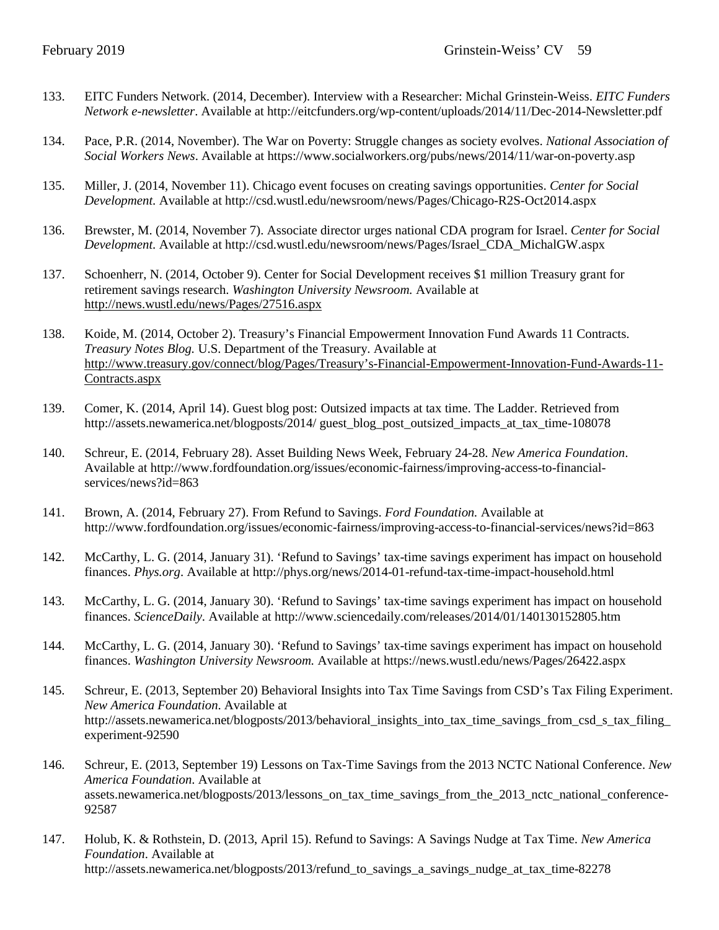- 133. EITC Funders Network. (2014, December). Interview with a Researcher: Michal Grinstein-Weiss. *EITC Funders Network e-newsletter*. Available at http://eitcfunders.org/wp-content/uploads/2014/11/Dec-2014-Newsletter.pdf
- 134. Pace, P.R. (2014, November). The War on Poverty: Struggle changes as society evolves. *National Association of Social Workers News*. Available at https://www.socialworkers.org/pubs/news/2014/11/war-on-poverty.asp
- 135. Miller, J. (2014, November 11). Chicago event focuses on creating savings opportunities. *Center for Social Development.* Available at http://csd.wustl.edu/newsroom/news/Pages/Chicago-R2S-Oct2014.aspx
- 136. Brewster, M. (2014, November 7). Associate director urges national CDA program for Israel. *Center for Social Development.* Available at http://csd.wustl.edu/newsroom/news/Pages/Israel\_CDA\_MichalGW.aspx
- 137. Schoenherr, N. (2014, October 9). Center for Social Development receives \$1 million Treasury grant for retirement savings research. *Washington University Newsroom.* Available at <http://news.wustl.edu/news/Pages/27516.aspx>
- 138. Koide, M. (2014, October 2). Treasury's Financial Empowerment Innovation Fund Awards 11 Contracts. *Treasury Notes Blog.* U.S. Department of the Treasury. Available at [http://www.treasury.gov/connect/blog/Pages/Treasury's-Financial-Empowerment-Innovation-Fund-Awards-11-](http://www.treasury.gov/connect/blog/Pages/Treasury) [Contracts.aspx](http://www.treasury.gov/connect/blog/Pages/Treasury)
- 139. Comer, K. (2014, April 14). Guest blog post: Outsized impacts at tax time. The Ladder. Retrieved from http://assets.newamerica.net/blogposts/2014/ guest\_blog\_post\_outsized\_impacts\_at\_tax\_time-108078
- 140. Schreur, E. (2014, February 28). Asset Building News Week, February 24-28. *New America Foundation*. Available at http://www.fordfoundation.org/issues/economic-fairness/improving-access-to-financialservices/news?id=863
- 141. Brown, A. (2014, February 27). From Refund to Savings. *Ford Foundation.* Available at http://www.fordfoundation.org/issues/economic-fairness/improving-access-to-financial-services/news?id=863
- 142. McCarthy, L. G. (2014, January 31). 'Refund to Savings' tax-time savings experiment has impact on household finances. *Phys.org*. Available at http://phys.org/news/2014-01-refund-tax-time-impact-household.html
- 143. McCarthy, L. G. (2014, January 30). 'Refund to Savings' tax-time savings experiment has impact on household finances. *ScienceDaily.* Available at http://www.sciencedaily.com/releases/2014/01/140130152805.htm
- 144. McCarthy, L. G. (2014, January 30). 'Refund to Savings' tax-time savings experiment has impact on household finances. *Washington University Newsroom.* Available at https://news.wustl.edu/news/Pages/26422.aspx
- 145. Schreur, E. (2013, September 20) Behavioral Insights into Tax Time Savings from CSD's Tax Filing Experiment. *New America Foundation*. Available at http://assets.newamerica.net/blogposts/2013/behavioral\_insights\_into\_tax\_time\_savings\_from\_csd\_s\_tax\_filing\_ experiment-92590
- 146. Schreur, E. (2013, September 19) Lessons on Tax-Time Savings from the 2013 NCTC National Conference. *New America Foundation*. Available at assets.newamerica.net/blogposts/2013/lessons\_on\_tax\_time\_savings\_from\_the\_2013\_nctc\_national\_conference-92587
- 147. Holub, K. & Rothstein, D. (2013, April 15). Refund to Savings: A Savings Nudge at Tax Time. *New America Foundation*. Available at http://assets.newamerica.net/blogposts/2013/refund to savings a savings nudge at tax time-82278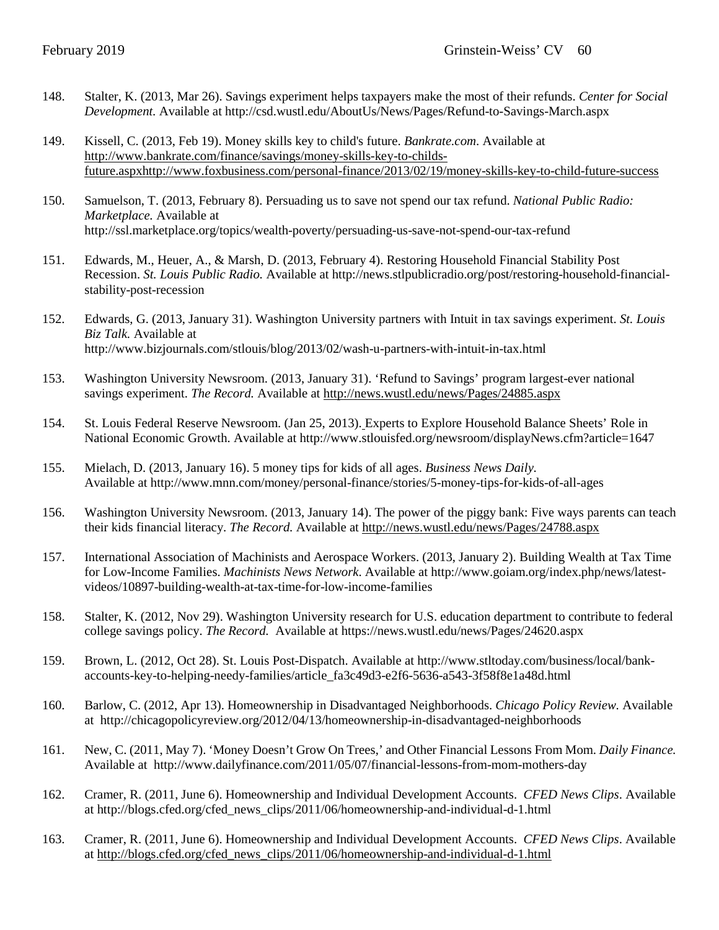- 148. Stalter, K. (2013, Mar 26). Savings experiment helps taxpayers make the most of their refunds. *Center for Social Development.* Available at http://csd.wustl.edu/AboutUs/News/Pages/Refund-to-Savings-March.aspx
- 149. Kissell, C. (2013, Feb 19). Money skills key to child's future. *Bankrate.com*. Available at [http://www.bankrate.com/finance/savings/money-skills-key-to-childs](http://www.bankrate.com/finance/savings/money-skills-key-to-childs-future.aspxhttp:/www.foxbusiness.com/personal-finance/2013/02/19/money-skills-key-to-child-future-success)[future.aspxhttp://www.foxbusiness.com/personal-finance/2013/02/19/money-skills-key-to-child-future-success](http://www.bankrate.com/finance/savings/money-skills-key-to-childs-future.aspxhttp:/www.foxbusiness.com/personal-finance/2013/02/19/money-skills-key-to-child-future-success)
- 150. Samuelson, T. (2013, February 8). Persuading us to save not spend our tax refund. *National Public Radio: Marketplace.* Available at http://ssl.marketplace.org/topics/wealth-poverty/persuading-us-save-not-spend-our-tax-refund
- 151. Edwards, M., Heuer, A., & Marsh, D. (2013, February 4). Restoring Household Financial Stability Post Recession. *St. Louis Public Radio.* Available at http://news.stlpublicradio.org/post/restoring-household-financialstability-post-recession
- 152. Edwards, G. (2013, January 31). Washington University partners with Intuit in tax savings experiment. *St. Louis Biz Talk.* [Available](http://www.bizjournals.com/stlouis/bio/6841/Greg+Edwards) at http://www.bizjournals.com/stlouis/blog/2013/02/wash-u-partners-with-intuit-in-tax.html
- 153. Washington University Newsroom. (2013, January 31). 'Refund to Savings' program largest-ever national savings experiment. *The Record.* Available at<http://news.wustl.edu/news/Pages/24885.aspx>
- 154. St. Louis Federal Reserve Newsroom. (Jan 25, 2013). Experts to Explore Household Balance Sheets' Role in National Economic Growth. Available at http://www.stlouisfed.org/newsroom/displayNews.cfm?article=1647
- 155. Mielach, D. (2013, January 16). 5 money tips for kids of all ages. *Business News Daily.* Available at http://www.mnn.com/money/personal-finance/stories/5-money-tips-for-kids-of-all-ages
- 156. Washington University Newsroom. (2013, January 14). The power of the piggy bank: Five ways parents can teach their kids financial literacy. *The Record.* Available at<http://news.wustl.edu/news/Pages/24788.aspx>
- 157. International Association of Machinists and Aerospace Workers. (2013, January 2). Building Wealth at Tax Time for Low-Income Families. *Machinists News Network*. Available at http://www.goiam.org/index.php/news/latestvideos/10897-building-wealth-at-tax-time-for-low-income-families
- 158. Stalter, K. (2012, Nov 29). Washington University research for U.S. education department to contribute to federal college savings policy. *The Record.* Available at https://news.wustl.edu/news/Pages/24620.aspx
- 159. Brown, L. (2012, Oct 28). St. Louis Post-Dispatch. Available at http://www.stltoday.com/business/local/bankaccounts-key-to-helping-needy-families/article\_fa3c49d3-e2f6-5636-a543-3f58f8e1a48d.html
- 160. Barlow, C. (2012, Apr 13). Homeownership in Disadvantaged Neighborhoods. *Chicago Policy Review.* Available at http://chicagopolicyreview.org/2012/04/13/homeownership-in-disadvantaged-neighborhoods
- 161. New, C. (2011, May 7). 'Money Doesn't Grow On Trees,' and Other Financial Lessons From Mom. *Daily Finance.*  Available at http://www.dailyfinance.com/2011/05/07/financial-lessons-from-mom-mothers-day
- 162. Cramer, R. (2011, June 6). Homeownership and Individual Development Accounts. *CFED News Clips*. Available at http://blogs.cfed.org/cfed\_news\_clips/2011/06/homeownership-and-individual-d-1.html
- 163. Cramer, R. (2011, June 6). Homeownership and Individual Development Accounts. *CFED News Clips*. Available at [http://blogs.cfed.org/cfed\\_news\\_clips/2011/06/homeownership-and-individual-d-1.html](http://blogs.cfed.org/cfed_news_clips/2011/06/homeownership-and-individual-d-1.html)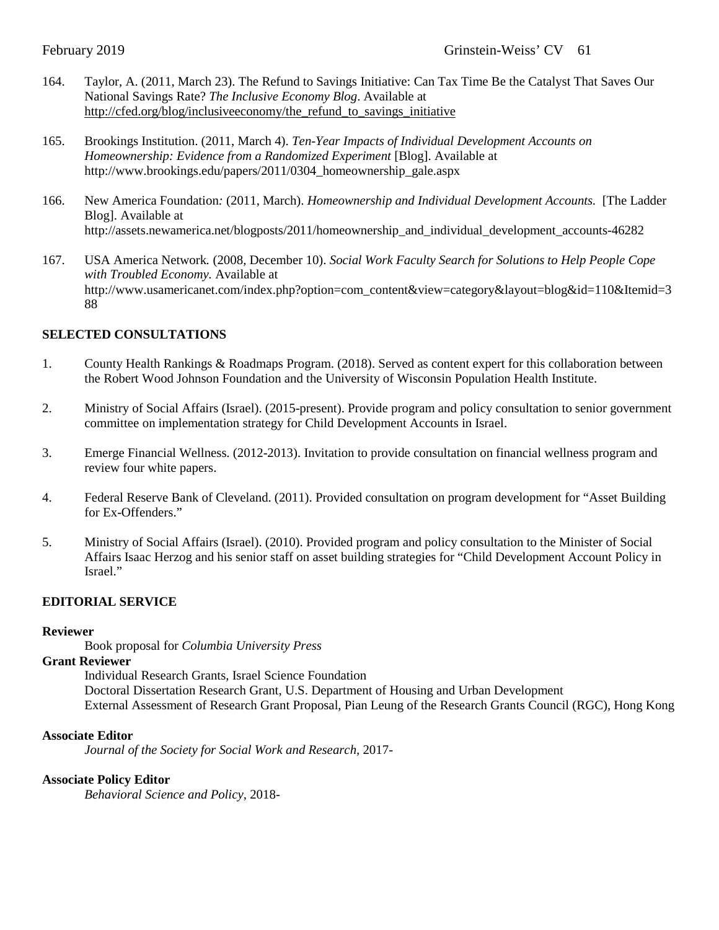- 164. Taylor, A. (2011, March 23). The Refund to Savings Initiative: Can Tax Time Be the Catalyst That Saves Our National Savings Rate? *The Inclusive Economy Blog*. Available at [http://cfed.org/blog/inclusiveeconomy/the\\_refund\\_to\\_savings\\_initiative](http://cfed.org/blog/inclusiveeconomy/the_refund_to_savings_initiative)
- 165. Brookings Institution. (2011, March 4). *Ten-Year Impacts of Individual Development Accounts on Homeownership: Evidence from a Randomized Experiment* [Blog]. Available at http://www.brookings.edu/papers/2011/0304\_homeownership\_gale.aspx
- 166. New America Foundation*:* (2011, March). *Homeownership and Individual Development Accounts.* [The Ladder Blog]. Available at http://assets.newamerica.net/blogposts/2011/homeownership\_and\_individual\_development\_accounts-46282
- 167. USA America Network*.* (2008*,* December 10). *Social Work Faculty Search for Solutions to Help People Cope with Troubled Economy.* Available at http://www.usamericanet.com/index.php?option=com\_content&view=category&layout=blog&id=110&Itemid=3 88

## **SELECTED CONSULTATIONS**

- 1. County Health Rankings & Roadmaps Program. (2018). Served as content expert for this collaboration between the Robert Wood Johnson Foundation and the University of Wisconsin Population Health Institute.
- 2. Ministry of Social Affairs (Israel). (2015-present). Provide program and policy consultation to senior government committee on implementation strategy for Child Development Accounts in Israel.
- 3. Emerge Financial Wellness. (2012-2013). Invitation to provide consultation on financial wellness program and review four white papers.
- 4. Federal Reserve Bank of Cleveland. (2011). Provided consultation on program development for "Asset Building for Ex-Offenders."
- 5. Ministry of Social Affairs (Israel). (2010). Provided program and policy consultation to the Minister of Social Affairs Isaac Herzog and his senior staff on asset building strategies for "Child Development Account Policy in Israel."

## **EDITORIAL SERVICE**

#### **Reviewer**

Book proposal for *Columbia University Press*

## **Grant Reviewer**

Individual Research Grants, Israel Science Foundation Doctoral Dissertation Research Grant, U.S. Department of Housing and Urban Development External Assessment of Research Grant Proposal, Pian Leung of the Research Grants Council (RGC), Hong Kong

#### **Associate Editor**

*Journal of the Society for Social Work and Research,* 2017-

#### **Associate Policy Editor**

*Behavioral Science and Policy*, 2018-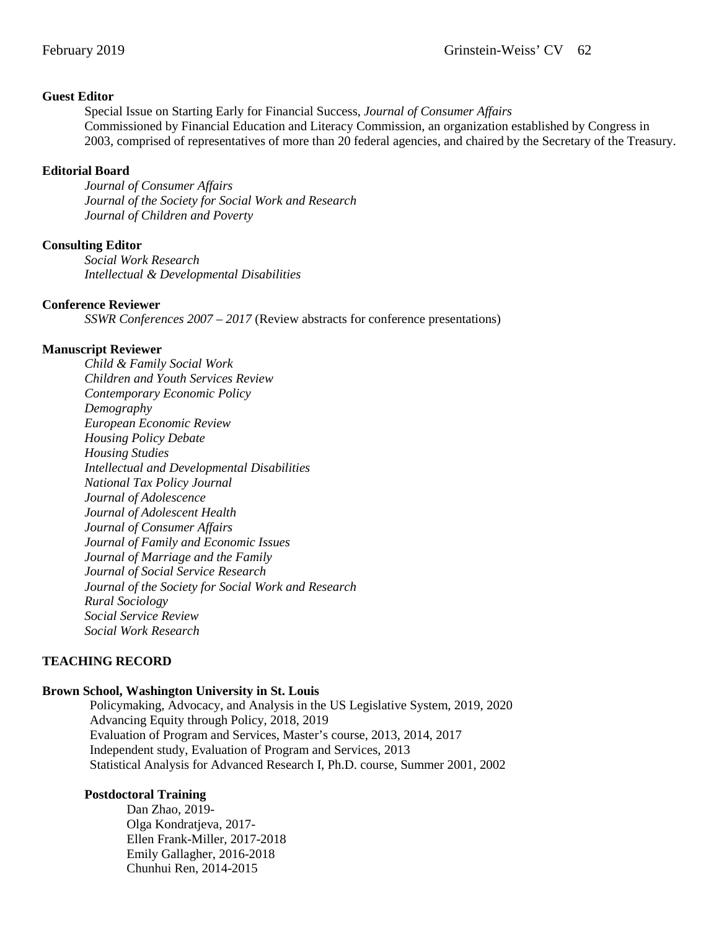#### **Guest Editor**

Special Issue on Starting Early for Financial Success, *Journal of Consumer Affairs* Commissioned by Financial Education and Literacy Commission, an organization established by Congress in 2003, comprised of representatives of more than 20 federal agencies, and chaired by the Secretary of the Treasury.

#### **Editorial Board**

*Journal of Consumer Affairs Journal of the Society for Social Work and Research Journal of Children and Poverty*

### **Consulting Editor**

*Social Work Research Intellectual & Developmental Disabilities*

### **Conference Reviewer**

*SSWR Conferences 2007 – 2017* (Review abstracts for conference presentations)

#### **Manuscript Reviewer**

*Child & Family Social Work Children and Youth Services Review Contemporary Economic Policy Demography European Economic Review Housing Policy Debate Housing Studies Intellectual and Developmental Disabilities National Tax Policy Journal Journal of Adolescence Journal of Adolescent Health Journal of Consumer Affairs Journal of Family and Economic Issues Journal of Marriage and the Family Journal of Social Service Research Journal of the Society for Social Work and Research Rural Sociology Social Service Review Social Work Research*

#### **TEACHING RECORD**

## **Brown School, Washington University in St. Louis**

Policymaking, Advocacy, and Analysis in the US Legislative System, 2019, 2020 Advancing Equity through Policy, 2018, 2019 Evaluation of Program and Services, Master's course, 2013, 2014, 2017 Independent study, Evaluation of Program and Services, 2013 Statistical Analysis for Advanced Research I, Ph.D. course, Summer 2001, 2002

## **Postdoctoral Training**

Dan Zhao, 2019- Olga Kondratjeva, 2017- Ellen Frank-Miller, 2017-2018 Emily Gallagher, 2016-2018 Chunhui Ren, 2014-2015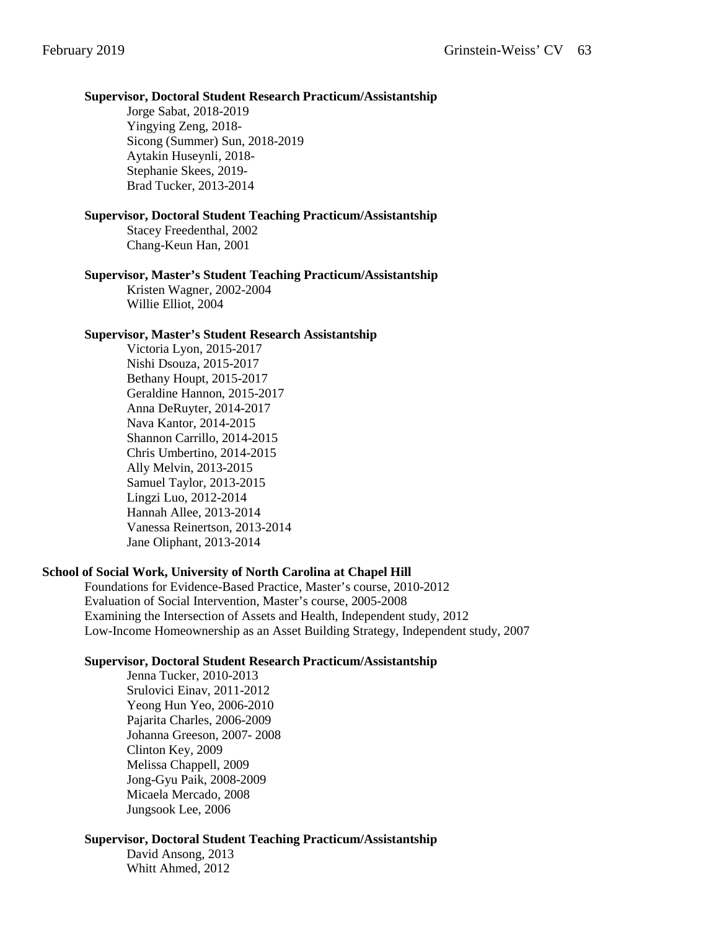#### **Supervisor, Doctoral Student Research Practicum/Assistantship**

Jorge Sabat, 2018-2019 Yingying Zeng, 2018- Sicong (Summer) Sun, 2018-2019 Aytakin Huseynli, 2018- Stephanie Skees, 2019- Brad Tucker, 2013-2014

#### **Supervisor, Doctoral Student Teaching Practicum/Assistantship**

Stacey Freedenthal, 2002 Chang-Keun Han, 2001

#### **Supervisor, Master's Student Teaching Practicum/Assistantship**

Kristen Wagner, 2002-2004 Willie Elliot, 2004

#### **Supervisor, Master's Student Research Assistantship**

Victoria Lyon, 2015-2017 Nishi Dsouza, 2015-2017 Bethany Houpt, 2015-2017 Geraldine Hannon, 2015-2017 Anna DeRuyter, 2014-2017 Nava Kantor, 2014-2015 Shannon Carrillo, 2014-2015 Chris Umbertino, 2014-2015 Ally Melvin, 2013-2015 Samuel Taylor, 2013-2015 Lingzi Luo, 2012-2014 Hannah Allee, 2013-2014 Vanessa Reinertson, 2013-2014 Jane Oliphant, 2013-2014

#### **School of Social Work, University of North Carolina at Chapel Hill**

Foundations for Evidence-Based Practice, Master's course, 2010-2012 Evaluation of Social Intervention, Master's course, 2005-2008 Examining the Intersection of Assets and Health, Independent study, 2012 Low-Income Homeownership as an Asset Building Strategy, Independent study, 2007

#### **Supervisor, Doctoral Student Research Practicum/Assistantship**

Jenna Tucker, 2010-2013 Srulovici Einav, 2011-2012 Yeong Hun Yeo, 2006-2010 Pajarita Charles, 2006-2009 Johanna Greeson, 2007- 2008 Clinton Key, 2009 Melissa Chappell, 2009 Jong-Gyu Paik, 2008-2009 Micaela Mercado, 2008 Jungsook Lee, 2006

#### **Supervisor, Doctoral Student Teaching Practicum/Assistantship**

David Ansong, 2013 Whitt Ahmed, 2012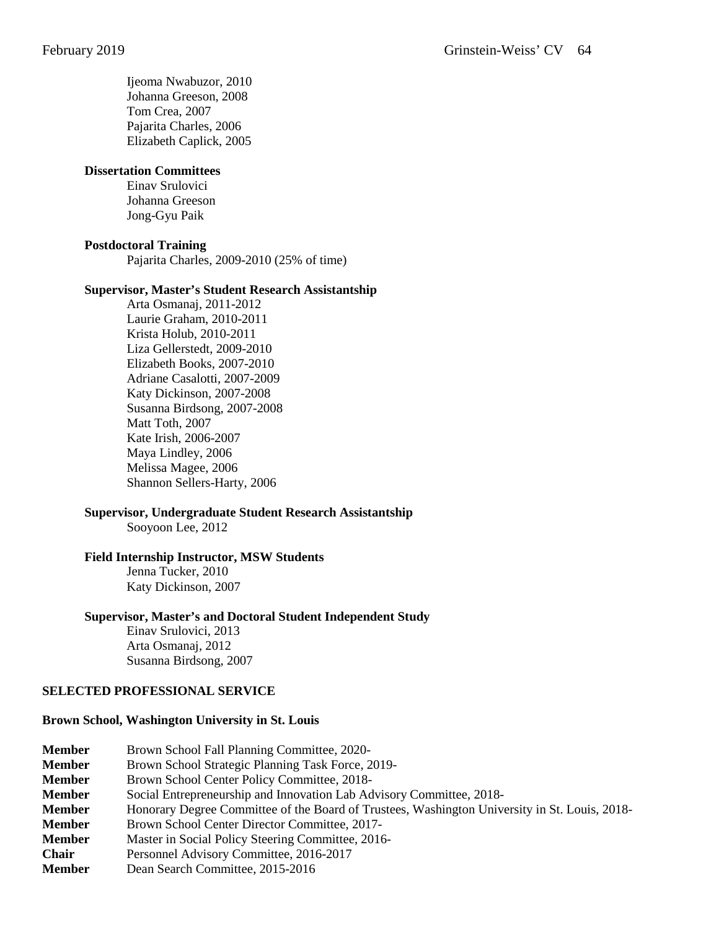Ijeoma Nwabuzor, 2010 Johanna Greeson, 2008 Tom Crea, 2007 Pajarita Charles, 2006 Elizabeth Caplick, 2005

#### **Dissertation Committees**

Einav Srulovici Johanna Greeson Jong-Gyu Paik

#### **Postdoctoral Training**

Pajarita Charles, 2009-2010 (25% of time)

#### **Supervisor, Master's Student Research Assistantship**

Arta Osmanaj, 2011-2012 Laurie Graham, 2010-2011 Krista Holub, 2010-2011 Liza Gellerstedt, 2009-2010 Elizabeth Books, 2007-2010 Adriane Casalotti, 2007-2009 Katy Dickinson, 2007-2008 Susanna Birdsong, 2007-2008 Matt Toth, 2007 Kate Irish, 2006-2007 Maya Lindley, 2006 Melissa Magee, 2006 Shannon Sellers-Harty, 2006

#### **Supervisor, Undergraduate Student Research Assistantship**

Sooyoon Lee, 2012

#### **Field Internship Instructor, MSW Students**

Jenna Tucker, 2010 Katy Dickinson, 2007

#### **Supervisor, Master's and Doctoral Student Independent Study**

Einav Srulovici, 2013 Arta Osmanaj, 2012 Susanna Birdsong, 2007

## **SELECTED PROFESSIONAL SERVICE**

#### **Brown School, Washington University in St. Louis**

**Member** Brown School Fall Planning Committee, 2020-

**Member** Brown School Strategic Planning Task Force, 2019-

- **Member** Brown School Center Policy Committee, 2018-
- **Member** Social Entrepreneurship and Innovation Lab Advisory Committee, 2018-
- **Member** Honorary Degree Committee of the Board of Trustees, Washington University in St. Louis, 2018-
- **Member** Brown School Center Director Committee, 2017-
- **Member** Master in Social Policy Steering Committee, 2016-
- **Chair** Personnel Advisory Committee, 2016-2017
- **Member** Dean Search Committee, 2015-2016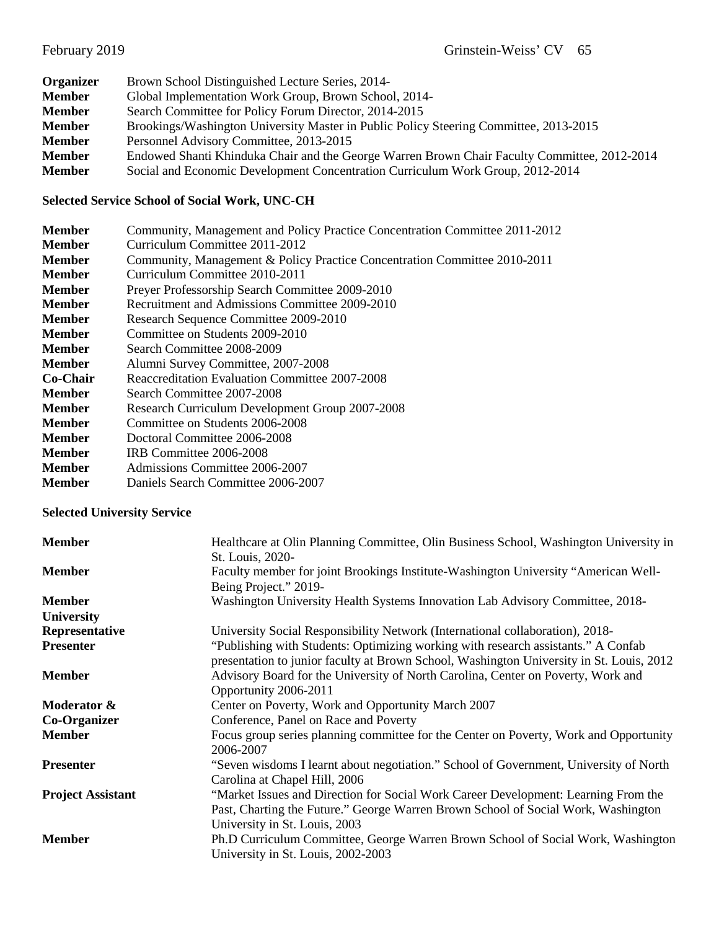| Organizer     | Brown School Distinguished Lecture Series, 2014-                                             |  |  |
|---------------|----------------------------------------------------------------------------------------------|--|--|
| <b>Member</b> | Global Implementation Work Group, Brown School, 2014-                                        |  |  |
| <b>Member</b> | Search Committee for Policy Forum Director, 2014-2015                                        |  |  |
| <b>Member</b> | Brookings/Washington University Master in Public Policy Steering Committee, 2013-2015        |  |  |
| <b>Member</b> | Personnel Advisory Committee, 2013-2015                                                      |  |  |
| <b>Member</b> | Endowed Shanti Khinduka Chair and the George Warren Brown Chair Faculty Committee, 2012-2014 |  |  |
| <b>Member</b> | Social and Economic Development Concentration Curriculum Work Group, 2012-2014               |  |  |

## **Selected Service School of Social Work, UNC-CH**

| <b>Member</b> | Community, Management and Policy Practice Concentration Committee 2011-2012 |  |  |  |  |
|---------------|-----------------------------------------------------------------------------|--|--|--|--|
| <b>Member</b> | Curriculum Committee 2011-2012                                              |  |  |  |  |
| <b>Member</b> | Community, Management & Policy Practice Concentration Committee 2010-2011   |  |  |  |  |
| <b>Member</b> | Curriculum Committee 2010-2011                                              |  |  |  |  |
| <b>Member</b> | Preyer Professorship Search Committee 2009-2010                             |  |  |  |  |
| <b>Member</b> | Recruitment and Admissions Committee 2009-2010                              |  |  |  |  |
| <b>Member</b> | Research Sequence Committee 2009-2010                                       |  |  |  |  |
| <b>Member</b> | Committee on Students 2009-2010                                             |  |  |  |  |
| <b>Member</b> | Search Committee 2008-2009                                                  |  |  |  |  |
| <b>Member</b> | Alumni Survey Committee, 2007-2008                                          |  |  |  |  |
| Co-Chair      | Reaccreditation Evaluation Committee 2007-2008                              |  |  |  |  |
| <b>Member</b> | Search Committee 2007-2008                                                  |  |  |  |  |
| <b>Member</b> | Research Curriculum Development Group 2007-2008                             |  |  |  |  |
| <b>Member</b> | Committee on Students 2006-2008                                             |  |  |  |  |
| <b>Member</b> | Doctoral Committee 2006-2008                                                |  |  |  |  |
| <b>Member</b> | IRB Committee 2006-2008                                                     |  |  |  |  |
| <b>Member</b> | Admissions Committee 2006-2007                                              |  |  |  |  |
| <b>Member</b> | Daniels Search Committee 2006-2007                                          |  |  |  |  |

## **Selected University Service**

| <b>Member</b>            | Healthcare at Olin Planning Committee, Olin Business School, Washington University in<br>St. Louis, 2020-                                                                                                |
|--------------------------|----------------------------------------------------------------------------------------------------------------------------------------------------------------------------------------------------------|
| <b>Member</b>            | Faculty member for joint Brookings Institute-Washington University "American Well-<br>Being Project." 2019-                                                                                              |
| <b>Member</b>            | Washington University Health Systems Innovation Lab Advisory Committee, 2018-                                                                                                                            |
| University               |                                                                                                                                                                                                          |
| Representative           | University Social Responsibility Network (International collaboration), 2018-                                                                                                                            |
| <b>Presenter</b>         | "Publishing with Students: Optimizing working with research assistants." A Confab<br>presentation to junior faculty at Brown School, Washington University in St. Louis, 2012                            |
| <b>Member</b>            | Advisory Board for the University of North Carolina, Center on Poverty, Work and<br>Opportunity 2006-2011                                                                                                |
| Moderator &              | Center on Poverty, Work and Opportunity March 2007                                                                                                                                                       |
| Co-Organizer             | Conference, Panel on Race and Poverty                                                                                                                                                                    |
| <b>Member</b>            | Focus group series planning committee for the Center on Poverty, Work and Opportunity<br>2006-2007                                                                                                       |
| <b>Presenter</b>         | "Seven wisdoms I learnt about negotiation." School of Government, University of North<br>Carolina at Chapel Hill, 2006                                                                                   |
| <b>Project Assistant</b> | "Market Issues and Direction for Social Work Career Development: Learning From the<br>Past, Charting the Future." George Warren Brown School of Social Work, Washington<br>University in St. Louis, 2003 |
| <b>Member</b>            | Ph.D Curriculum Committee, George Warren Brown School of Social Work, Washington<br>University in St. Louis, 2002-2003                                                                                   |